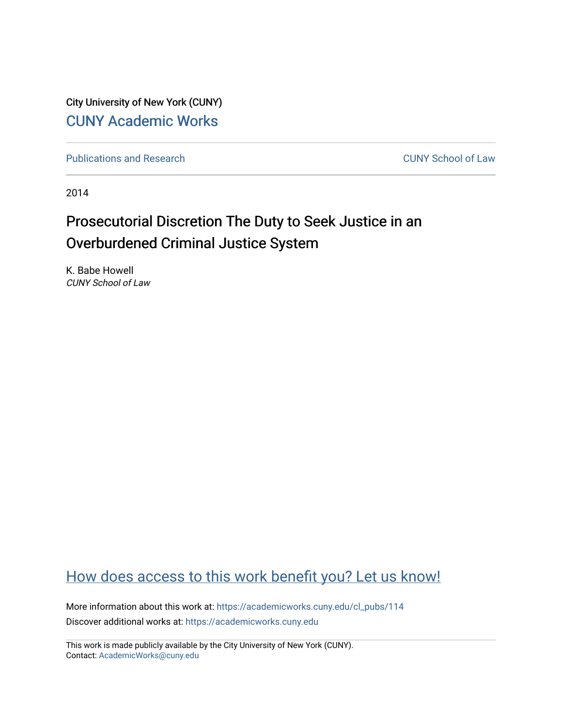City University of New York (CUNY) [CUNY Academic Works](https://academicworks.cuny.edu/) 

[Publications and Research](https://academicworks.cuny.edu/cl_pubs) [CUNY School of Law](https://academicworks.cuny.edu/cl) 

2014

# Prosecutorial Discretion The Duty to Seek Justice in an Overburdened Criminal Justice System

K. Babe Howell CUNY School of Law

## [How does access to this work benefit you? Let us know!](http://ols.cuny.edu/academicworks/?ref=https://academicworks.cuny.edu/cl_pubs/114)

More information about this work at: [https://academicworks.cuny.edu/cl\\_pubs/114](https://academicworks.cuny.edu/cl_pubs/114) Discover additional works at: [https://academicworks.cuny.edu](https://academicworks.cuny.edu/?)

This work is made publicly available by the City University of New York (CUNY). Contact: [AcademicWorks@cuny.edu](mailto:AcademicWorks@cuny.edu)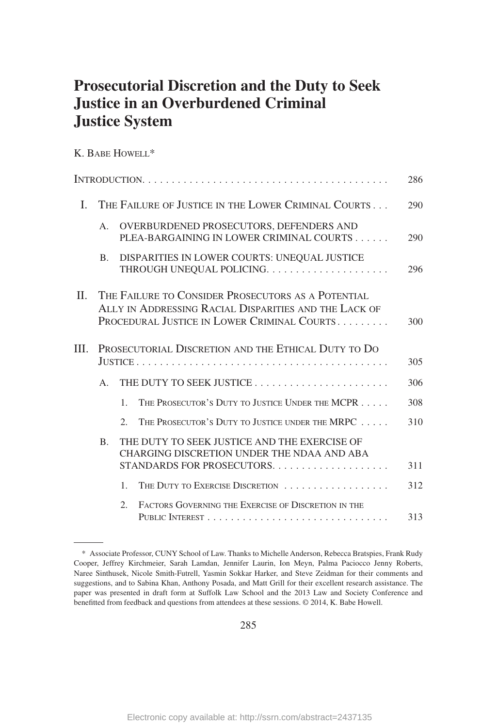## **Prosecutorial Discretion and the Duty to Seek Justice in an Overburdened Criminal Justice System**

K. BABE HOWELL\*

|         |                                                                                                                                                            |                                                                                            | 286 |  |  |  |
|---------|------------------------------------------------------------------------------------------------------------------------------------------------------------|--------------------------------------------------------------------------------------------|-----|--|--|--|
| L       |                                                                                                                                                            | THE FAILURE OF JUSTICE IN THE LOWER CRIMINAL COURTS                                        | 290 |  |  |  |
|         | A.                                                                                                                                                         | OVERBURDENED PROSECUTORS, DEFENDERS AND<br>PLEA-BARGAINING IN LOWER CRIMINAL COURTS        | 290 |  |  |  |
|         | <b>B.</b>                                                                                                                                                  | DISPARITIES IN LOWER COURTS: UNEQUAL JUSTICE                                               | 296 |  |  |  |
| $\Pi$ . | THE FAILURE TO CONSIDER PROSECUTORS AS A POTENTIAL<br>ALLY IN ADDRESSING RACIAL DISPARITIES AND THE LACK OF<br>PROCEDURAL JUSTICE IN LOWER CRIMINAL COURTS |                                                                                            |     |  |  |  |
| III.    |                                                                                                                                                            | PROSECUTORIAL DISCRETION AND THE ETHICAL DUTY TO DO                                        | 305 |  |  |  |
|         | $A_{\cdot}$                                                                                                                                                |                                                                                            | 306 |  |  |  |
|         |                                                                                                                                                            | THE PROSECUTOR'S DUTY TO JUSTICE UNDER THE MCPR<br>$\mathbf{1}$ .                          | 308 |  |  |  |
|         |                                                                                                                                                            | THE PROSECUTOR'S DUTY TO JUSTICE UNDER THE MRPC<br>2.                                      | 310 |  |  |  |
|         | <b>B.</b>                                                                                                                                                  | THE DUTY TO SEEK JUSTICE AND THE EXERCISE OF<br>CHARGING DISCRETION UNDER THE NDAA AND ABA | 311 |  |  |  |
|         |                                                                                                                                                            | THE DUTY TO EXERCISE DISCRETION<br>$\mathbf{1}$                                            | 312 |  |  |  |
|         |                                                                                                                                                            |                                                                                            |     |  |  |  |
|         |                                                                                                                                                            | FACTORS GOVERNING THE EXERCISE OF DISCRETION IN THE<br>2.                                  | 313 |  |  |  |

<sup>\*</sup> Associate Professor, CUNY School of Law. Thanks to Michelle Anderson, Rebecca Bratspies, Frank Rudy Cooper, Jeffrey Kirchmeier, Sarah Lamdan, Jennifer Laurin, Ion Meyn, Palma Paciocco Jenny Roberts, Naree Sinthusek, Nicole Smith-Futrell, Yasmin Sokkar Harker, and Steve Zeidman for their comments and suggestions, and to Sabina Khan, Anthony Posada, and Matt Grill for their excellent research assistance. The paper was presented in draft form at Suffolk Law School and the 2013 Law and Society Conference and benefitted from feedback and questions from attendees at these sessions. © 2014, K. Babe Howell.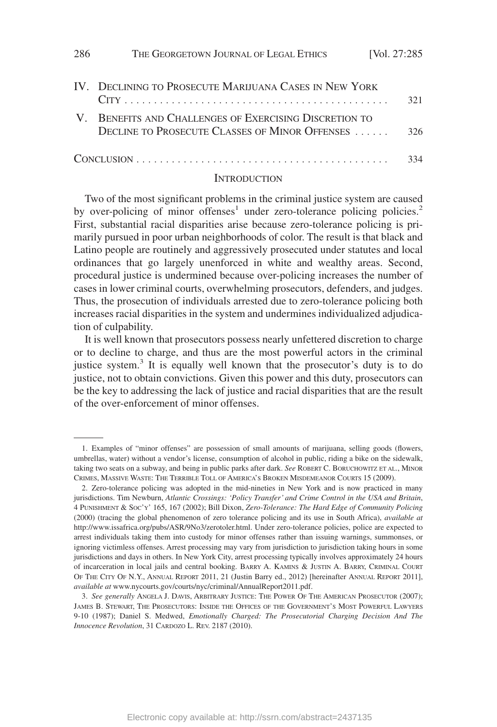| 286 | THE GEORGETOWN JOURNAL OF LEGAL ETHICS [Vol. 27:285]                                                     |     |
|-----|----------------------------------------------------------------------------------------------------------|-----|
|     | IV. DECLINING TO PROSECUTE MARIJUANA CASES IN NEW YORK                                                   | 321 |
|     | V. BENEFITS AND CHALLENGES OF EXERCISING DISCRETION TO<br>DECLINE TO PROSECUTE CLASSES OF MINOR OFFENSES | 326 |
|     |                                                                                                          | 334 |

#### **INTRODUCTION**

Two of the most significant problems in the criminal justice system are caused by over-policing of minor offenses<sup>1</sup> under zero-tolerance policing policies.<sup>2</sup> First, substantial racial disparities arise because zero-tolerance policing is primarily pursued in poor urban neighborhoods of color. The result is that black and Latino people are routinely and aggressively prosecuted under statutes and local ordinances that go largely unenforced in white and wealthy areas. Second, procedural justice is undermined because over-policing increases the number of cases in lower criminal courts, overwhelming prosecutors, defenders, and judges. Thus, the prosecution of individuals arrested due to zero-tolerance policing both increases racial disparities in the system and undermines individualized adjudication of culpability.

It is well known that prosecutors possess nearly unfettered discretion to charge or to decline to charge, and thus are the most powerful actors in the criminal justice system.<sup>3</sup> It is equally well known that the prosecutor's duty is to do justice, not to obtain convictions. Given this power and this duty, prosecutors can be the key to addressing the lack of justice and racial disparities that are the result of the over-enforcement of minor offenses.

<sup>1.</sup> Examples of "minor offenses" are possession of small amounts of marijuana, selling goods (flowers, umbrellas, water) without a vendor's license, consumption of alcohol in public, riding a bike on the sidewalk, taking two seats on a subway, and being in public parks after dark. *See* ROBERT C. BORUCHOWITZ ET AL., MINOR CRIMES, MASSIVE WASTE: THE TERRIBLE TOLL OF AMERICA'S BROKEN MISDEMEANOR COURTS 15 (2009).

<sup>2.</sup> Zero-tolerance policing was adopted in the mid-nineties in New York and is now practiced in many jurisdictions. Tim Newburn, *Atlantic Crossings: 'Policy Transfer' and Crime Control in the USA and Britain*, 4 PUNISHMENT & SOC'Y' 165, 167 (2002); Bill Dixon, *Zero-Tolerance: The Hard Edge of Community Policing* (2000) (tracing the global phenomenon of zero tolerance policing and its use in South Africa), *available at* http://www.issafrica.org/pubs/ASR/9No3/zerotoler.html. Under zero-tolerance policies, police are expected to arrest individuals taking them into custody for minor offenses rather than issuing warnings, summonses, or ignoring victimless offenses. Arrest processing may vary from jurisdiction to jurisdiction taking hours in some jurisdictions and days in others. In New York City, arrest processing typically involves approximately 24 hours of incarceration in local jails and central booking. BARRY A. KAMINS & JUSTIN A. BARRY, CRIMINAL COURT OF THE CITY OF N.Y., ANNUAL REPORT 2011, 21 (Justin Barry ed., 2012) [hereinafter ANNUAL REPORT 2011], *available at* www.nycourts.gov/courts/nyc/criminal/AnnualReport2011.pdf.

<sup>3.</sup> *See generally* ANGELA J. DAVIS, ARBITRARY JUSTICE: THE POWER OF THE AMERICAN PROSECUTOR (2007); JAMES B. STEWART, THE PROSECUTORS: INSIDE THE OFFICES OF THE GOVERNMENT'S MOST POWERFUL LAWYERS 9-10 (1987); Daniel S. Medwed, *Emotionally Charged: The Prosecutorial Charging Decision And The Innocence Revolution*, 31 CARDOZO L. REV. 2187 (2010).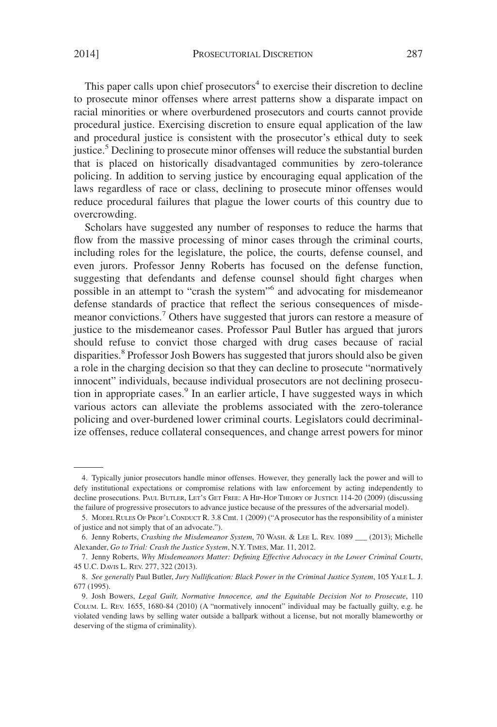This paper calls upon chief prosecutors<sup>4</sup> to exercise their discretion to decline to prosecute minor offenses where arrest patterns show a disparate impact on racial minorities or where overburdened prosecutors and courts cannot provide procedural justice. Exercising discretion to ensure equal application of the law and procedural justice is consistent with the prosecutor's ethical duty to seek justice.<sup>5</sup> Declining to prosecute minor offenses will reduce the substantial burden that is placed on historically disadvantaged communities by zero-tolerance policing. In addition to serving justice by encouraging equal application of the laws regardless of race or class, declining to prosecute minor offenses would reduce procedural failures that plague the lower courts of this country due to overcrowding.

Scholars have suggested any number of responses to reduce the harms that flow from the massive processing of minor cases through the criminal courts, including roles for the legislature, the police, the courts, defense counsel, and even jurors. Professor Jenny Roberts has focused on the defense function, suggesting that defendants and defense counsel should fight charges when possible in an attempt to "crash the system"<sup>6</sup> and advocating for misdemeanor defense standards of practice that reflect the serious consequences of misdemeanor convictions.<sup>7</sup> Others have suggested that jurors can restore a measure of justice to the misdemeanor cases. Professor Paul Butler has argued that jurors should refuse to convict those charged with drug cases because of racial disparities.<sup>8</sup> Professor Josh Bowers has suggested that jurors should also be given a role in the charging decision so that they can decline to prosecute "normatively innocent" individuals, because individual prosecutors are not declining prosecution in appropriate cases.<sup>9</sup> In an earlier article, I have suggested ways in which various actors can alleviate the problems associated with the zero-tolerance policing and over-burdened lower criminal courts. Legislators could decriminalize offenses, reduce collateral consequences, and change arrest powers for minor

<sup>4.</sup> Typically junior prosecutors handle minor offenses. However, they generally lack the power and will to defy institutional expectations or compromise relations with law enforcement by acting independently to decline prosecutions. PAUL BUTLER, LET'S GET FREE:AHIP-HOP THEORY OF JUSTICE 114-20 (2009) (discussing the failure of progressive prosecutors to advance justice because of the pressures of the adversarial model).

<sup>5.</sup> MODELRULES OF PROF'LCONDUCT R. 3.8 Cmt. 1 (2009) ("A prosecutor has the responsibility of a minister of justice and not simply that of an advocate.").

<sup>6.</sup> Jenny Roberts, *Crashing the Misdemeanor System*, 70 WASH.&LEE L. REV. 1089 \_\_\_ (2013); Michelle Alexander, *Go to Trial: Crash the Justice System*, N.Y. TIMES, Mar. 11, 2012.

<sup>7.</sup> Jenny Roberts, *Why Misdemeanors Matter: Defining Effective Advocacy in the Lower Criminal Courts*, 45 U.C. DAVIS L. REV. 277, 322 (2013).

<sup>8.</sup> *See generally* Paul Butler, *Jury Nullification: Black Power in the Criminal Justice System*, 105 YALE L. J. 677 (1995).

<sup>9.</sup> Josh Bowers, *Legal Guilt, Normative Innocence, and the Equitable Decision Not to Prosecute*, 110 COLUM. L. REV. 1655, 1680-84 (2010) (A "normatively innocent" individual may be factually guilty, e.g. he violated vending laws by selling water outside a ballpark without a license, but not morally blameworthy or deserving of the stigma of criminality).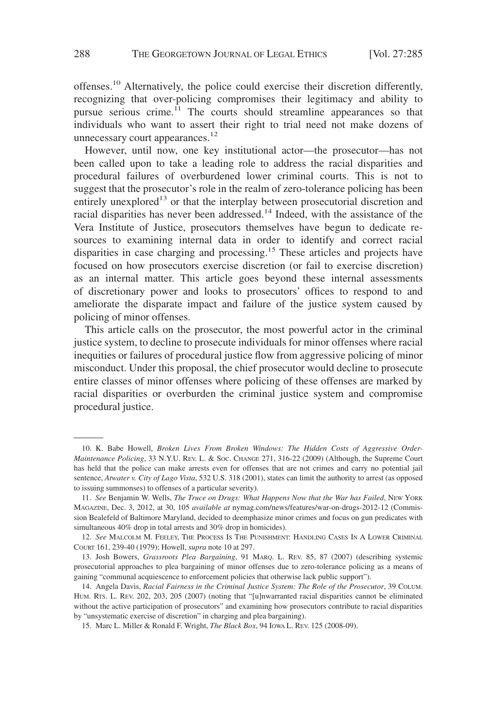offenses.10 Alternatively, the police could exercise their discretion differently, recognizing that over-policing compromises their legitimacy and ability to pursue serious crime.<sup>11</sup> The courts should streamline appearances so that individuals who want to assert their right to trial need not make dozens of unnecessary court appearances.<sup>12</sup>

However, until now, one key institutional actor—the prosecutor—has not been called upon to take a leading role to address the racial disparities and procedural failures of overburdened lower criminal courts. This is not to suggest that the prosecutor's role in the realm of zero-tolerance policing has been entirely unexplored<sup>13</sup> or that the interplay between prosecutorial discretion and racial disparities has never been addressed.<sup>14</sup> Indeed, with the assistance of the Vera Institute of Justice, prosecutors themselves have begun to dedicate resources to examining internal data in order to identify and correct racial disparities in case charging and processing.<sup>15</sup> These articles and projects have focused on how prosecutors exercise discretion (or fail to exercise discretion) as an internal matter. This article goes beyond these internal assessments of discretionary power and looks to prosecutors' offices to respond to and ameliorate the disparate impact and failure of the justice system caused by policing of minor offenses.

This article calls on the prosecutor, the most powerful actor in the criminal justice system, to decline to prosecute individuals for minor offenses where racial inequities or failures of procedural justice flow from aggressive policing of minor misconduct. Under this proposal, the chief prosecutor would decline to prosecute entire classes of minor offenses where policing of these offenses are marked by racial disparities or overburden the criminal justice system and compromise procedural justice.

<sup>10.</sup> K. Babe Howell, *Broken Lives From Broken Windows: The Hidden Costs of Aggressive Order-Maintenance Policing*, 33 N.Y.U. REV. L. & SOC. CHANGE 271, 316-22 (2009) (Although, the Supreme Court has held that the police can make arrests even for offenses that are not crimes and carry no potential jail sentence, *Atwater v. City of Lago Vista*, 532 U.S. 318 (2001), states can limit the authority to arrest (as opposed to issuing summonses) to offenses of a particular severity).

<sup>11.</sup> *See* Benjamin W. Wells, *The Truce on Drugs: What Happens Now that the War has Failed*, NEW YORK MAGAZINE, Dec. 3, 2012, at 30, 105 *available at* nymag.com/news/features/war-on-drugs-2012-12 (Commission Bealefeld of Baltimore Maryland, decided to deemphasize minor crimes and focus on gun predicates with simultaneous 40% drop in total arrests and 30% drop in homicides).

<sup>12.</sup> *See* MALCOLM M. FEELEY, THE PROCESS IS THE PUNISHMENT: HANDLING CASES IN A LOWER CRIMINAL COURT 161, 239-40 (1979); Howell, *supra* note 10 at 297.

<sup>13.</sup> Josh Bowers, *Grassroots Plea Bargaining*, 91 MARQ. L. REV. 85, 87 (2007) (describing systemic prosecutorial approaches to plea bargaining of minor offenses due to zero-tolerance policing as a means of gaining "communal acquiescence to enforcement policies that otherwise lack public support").

<sup>14.</sup> Angela Davis, *Racial Fairness in the Criminal Justice System: The Role of the Prosecutor*, 39 COLUM. HUM. RTS. L. REV. 202, 203, 205 (2007) (noting that "[u]nwarranted racial disparities cannot be eliminated without the active participation of prosecutors" and examining how prosecutors contribute to racial disparities by "unsystematic exercise of discretion" in charging and plea bargaining).

<sup>15.</sup> Marc L. Miller & Ronald F. Wright, *The Black Box*, 94 IOWA L. REV. 125 (2008-09).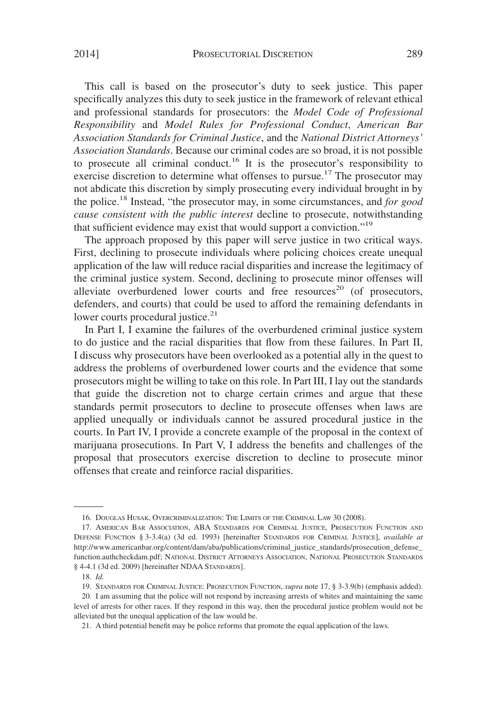This call is based on the prosecutor's duty to seek justice. This paper specifically analyzes this duty to seek justice in the framework of relevant ethical and professional standards for prosecutors: the *Model Code of Professional Responsibility* and *Model Rules for Professional Conduct*, *American Bar Association Standards for Criminal Justice*, and the *National District Attorneys' Association Standards*. Because our criminal codes are so broad, it is not possible to prosecute all criminal conduct.<sup>16</sup> It is the prosecutor's responsibility to exercise discretion to determine what offenses to pursue.<sup>17</sup> The prosecutor may not abdicate this discretion by simply prosecuting every individual brought in by the police.<sup>18</sup> Instead, "the prosecutor may, in some circumstances, and *for good cause consistent with the public interest* decline to prosecute, notwithstanding that sufficient evidence may exist that would support a conviction."19

The approach proposed by this paper will serve justice in two critical ways. First, declining to prosecute individuals where policing choices create unequal application of the law will reduce racial disparities and increase the legitimacy of the criminal justice system. Second, declining to prosecute minor offenses will alleviate overburdened lower courts and free resources<sup>20</sup> (of prosecutors, defenders, and courts) that could be used to afford the remaining defendants in lower courts procedural justice.<sup>21</sup>

In Part I, I examine the failures of the overburdened criminal justice system to do justice and the racial disparities that flow from these failures. In Part II, I discuss why prosecutors have been overlooked as a potential ally in the quest to address the problems of overburdened lower courts and the evidence that some prosecutors might be willing to take on this role. In Part III, I lay out the standards that guide the discretion not to charge certain crimes and argue that these standards permit prosecutors to decline to prosecute offenses when laws are applied unequally or individuals cannot be assured procedural justice in the courts. In Part IV, I provide a concrete example of the proposal in the context of marijuana prosecutions. In Part V, I address the benefits and challenges of the proposal that prosecutors exercise discretion to decline to prosecute minor offenses that create and reinforce racial disparities.

<sup>16.</sup> DOUGLAS HUSAK, OVERCRIMINALIZATION: THE LIMITS OF THE CRIMINAL LAW 30 (2008).

<sup>17.</sup> AMERICAN BAR ASSOCIATION, ABA STANDARDS FOR CRIMINAL JUSTICE, PROSECUTION FUNCTION AND DEFENSE FUNCTION § 3-3.4(a) (3d ed. 1993) [hereinafter STANDARDS FOR CRIMINAL JUSTICE], *available at* http://www.americanbar.org/content/dam/aba/publications/criminal\_justice\_standards/prosecution\_defense\_ function.authcheckdam.pdf; NATIONAL DISTRICT ATTORNEYS ASSOCIATION, NATIONAL PROSECUTION STANDARDS § 4-4.1 (3d ed. 2009) [hereinafter NDAA STANDARDS].

<sup>18.</sup> *Id.*

<sup>19.</sup> STANDARDS FOR CRIMINAL JUSTICE: PROSECUTION FUNCTION, *supra* note 17, § 3-3.9(b) (emphasis added).

<sup>20.</sup> I am assuming that the police will not respond by increasing arrests of whites and maintaining the same level of arrests for other races. If they respond in this way, then the procedural justice problem would not be alleviated but the unequal application of the law would be.

<sup>21.</sup> A third potential benefit may be police reforms that promote the equal application of the laws.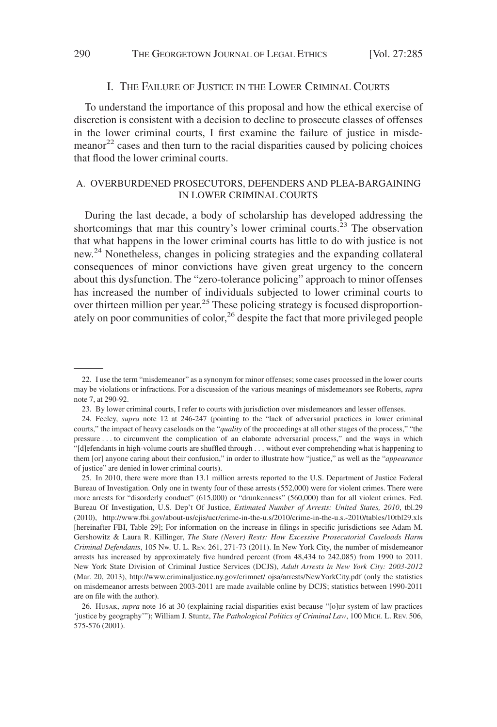#### I. THE FAILURE OF JUSTICE IN THE LOWER CRIMINAL COURTS

To understand the importance of this proposal and how the ethical exercise of discretion is consistent with a decision to decline to prosecute classes of offenses in the lower criminal courts, I first examine the failure of justice in misdemeanor $2<sup>2</sup>$  cases and then turn to the racial disparities caused by policing choices that flood the lower criminal courts.

## A. OVERBURDENED PROSECUTORS, DEFENDERS AND PLEA-BARGAINING IN LOWER CRIMINAL COURTS

During the last decade, a body of scholarship has developed addressing the shortcomings that mar this country's lower criminal courts.<sup>23</sup> The observation that what happens in the lower criminal courts has little to do with justice is not new.24 Nonetheless, changes in policing strategies and the expanding collateral consequences of minor convictions have given great urgency to the concern about this dysfunction. The "zero-tolerance policing" approach to minor offenses has increased the number of individuals subjected to lower criminal courts to over thirteen million per year.<sup>25</sup> These policing strategy is focused disproportionately on poor communities of color,<sup>26</sup> despite the fact that more privileged people

<sup>22.</sup> I use the term "misdemeanor" as a synonym for minor offenses; some cases processed in the lower courts may be violations or infractions. For a discussion of the various meanings of misdemeanors see Roberts, *supra* note 7, at 290-92.

<sup>23.</sup> By lower criminal courts, I refer to courts with jurisdiction over misdemeanors and lesser offenses.

<sup>24.</sup> Feeley, *supra* note 12 at 246-247 (pointing to the "lack of adversarial practices in lower criminal courts," the impact of heavy caseloads on the "*quality* of the proceedings at all other stages of the process," "the pressure . . . to circumvent the complication of an elaborate adversarial process," and the ways in which "[d]efendants in high-volume courts are shuffled through . . . without ever comprehending what is happening to them [or] anyone caring about their confusion," in order to illustrate how "justice," as well as the "*appearance* of justice" are denied in lower criminal courts).

<sup>25.</sup> In 2010, there were more than 13.1 million arrests reported to the U.S. Department of Justice Federal Bureau of Investigation. Only one in twenty four of these arrests (552,000) were for violent crimes. There were more arrests for "disorderly conduct" (615,000) or "drunkenness" (560,000) than for all violent crimes. Fed. Bureau Of Investigation, U.S. Dep't Of Justice, *Estimated Number of Arrests: United States, 2010*, tbl.29 (2010), http://www.fbi.gov/about-us/cjis/ucr/crime-in-the-u.s/2010/crime-in-the-u.s.-2010/tables/10tbl29.xls [hereinafter FBI, Table 29]; For information on the increase in filings in specific jurisdictions see Adam M. Gershowitz & Laura R. Killinger, *The State (Never) Rests: How Excessive Prosecutorial Caseloads Harm Criminal Defendants*, 105 NW. U. L. REV. 261, 271-73 (2011). In New York City, the number of misdemeanor arrests has increased by approximately five hundred percent (from 48,434 to 242,085) from 1990 to 2011. New York State Division of Criminal Justice Services (DCJS), *Adult Arrests in New York City: 2003-2012* (Mar. 20, 2013), http://www.criminaljustice.ny.gov/crimnet/ ojsa/arrests/NewYorkCity.pdf (only the statistics on misdemeanor arrests between 2003-2011 are made available online by DCJS; statistics between 1990-2011 are on file with the author).

<sup>26.</sup> HUSAK, *supra* note 16 at 30 (explaining racial disparities exist because "[o]ur system of law practices 'justice by geography'"); William J. Stuntz, *The Pathological Politics of Criminal Law*, 100 MICH. L. REV. 506, 575-576 (2001).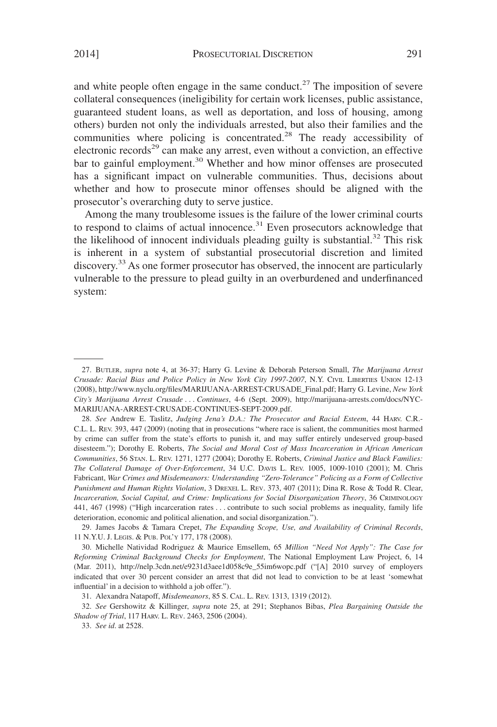and white people often engage in the same conduct.<sup>27</sup> The imposition of severe collateral consequences (ineligibility for certain work licenses, public assistance, guaranteed student loans, as well as deportation, and loss of housing, among others) burden not only the individuals arrested, but also their families and the communities where policing is concentrated.<sup>28</sup> The ready accessibility of electronic records<sup>29</sup> can make any arrest, even without a conviction, an effective bar to gainful employment.<sup>30</sup> Whether and how minor offenses are prosecuted has a significant impact on vulnerable communities. Thus, decisions about whether and how to prosecute minor offenses should be aligned with the prosecutor's overarching duty to serve justice.

Among the many troublesome issues is the failure of the lower criminal courts to respond to claims of actual innocence. $31$  Even prosecutors acknowledge that the likelihood of innocent individuals pleading guilty is substantial.<sup>32</sup> This risk is inherent in a system of substantial prosecutorial discretion and limited discovery.<sup>33</sup> As one former prosecutor has observed, the innocent are particularly vulnerable to the pressure to plead guilty in an overburdened and underfinanced system:

33. *See id*. at 2528.

<sup>27.</sup> BUTLER, *supra* note 4, at 36-37; Harry G. Levine & Deborah Peterson Small, *The Marijuana Arrest Crusade: Racial Bias and Police Policy in New York City 1997-2007*, N.Y. CIVIL LIBERTIES UNION 12-13 (2008), http://www.nyclu.org/files/MARIJUANA-ARREST-CRUSADE\_Final.pdf; Harry G. Levine, *New York City's Marijuana Arrest Crusade* ... *Continues*, 4-6 (Sept. 2009), http://marijuana-arrests.com/docs/NYC-MARIJUANA-ARREST-CRUSADE-CONTINUES-SEPT-2009.pdf.

<sup>28.</sup> *See* Andrew E. Taslitz, *Judging Jena's D.A.: The Prosecutor and Racial Esteem*, 44 HARV. C.R.- C.L. L. REV. 393, 447 (2009) (noting that in prosecutions "where race is salient, the communities most harmed by crime can suffer from the state's efforts to punish it, and may suffer entirely undeserved group-based disesteem."); Dorothy E. Roberts, *The Social and Moral Cost of Mass Incarceration in African American Communities*, 56 STAN. L. REV. 1271, 1277 (2004); Dorothy E. Roberts, *Criminal Justice and Black Families: The Collateral Damage of Over-Enforcement*, 34 U.C. DAVIS L. REV. 1005, 1009-1010 (2001); M. Chris Fabricant, *War Crimes and Misdemeanors: Understanding "Zero-Tolerance" Policing as a Form of Collective Punishment and Human Rights Violation*,3DREXEL L. REV. 373, 407 (2011); Dina R. Rose & Todd R. Clear, *Incarceration, Social Capital, and Crime: Implications for Social Disorganization Theory*, 36 CRIMINOLOGY 441, 467 (1998) ("High incarceration rates... contribute to such social problems as inequality, family life deterioration, economic and political alienation, and social disorganization.").

<sup>29.</sup> James Jacobs & Tamara Crepet, *The Expanding Scope, Use, and Availability of Criminal Records*, 11 N.Y.U. J. LEGIS.&PUB. POL'Y 177, 178 (2008).

<sup>30.</sup> Michelle Natividad Rodriguez & Maurice Emsellem, 65 *Million "Need Not Apply": The Case for Reforming Criminal Background Checks for Employment*, The National Employment Law Project, 6, 14 (Mar. 2011), http://nelp.3cdn.net/e9231d3aee1d058c9e\_55im6wopc.pdf ("[A] 2010 survey of employers indicated that over 30 percent consider an arrest that did not lead to conviction to be at least 'somewhat influential' in a decision to withhold a job offer.").

<sup>31.</sup> Alexandra Natapoff, *Misdemeanors*, 85 S. CAL. L. REV. 1313, 1319 (2012).

<sup>32.</sup> *See* Gershowitz & Killinger, *supra* note 25, at 291; Stephanos Bibas, *Plea Bargaining Outside the Shadow of Trial*, 117 HARV. L. REV. 2463, 2506 (2004).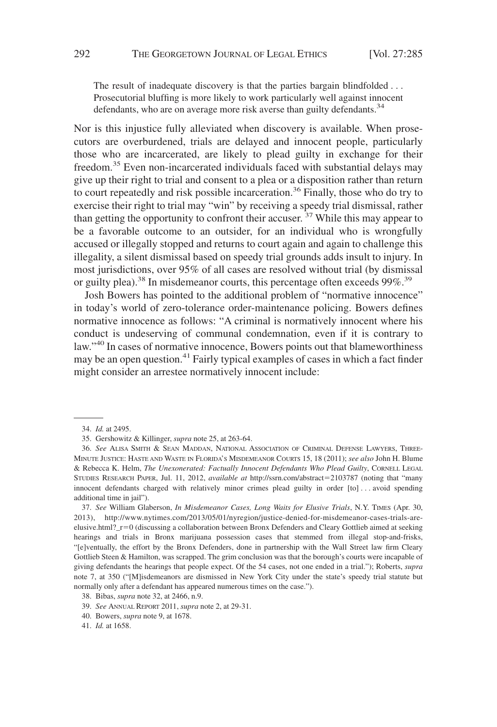The result of inadequate discovery is that the parties bargain blindfolded... Prosecutorial bluffing is more likely to work particularly well against innocent defendants, who are on average more risk averse than guilty defendants.<sup>34</sup>

Nor is this injustice fully alleviated when discovery is available. When prosecutors are overburdened, trials are delayed and innocent people, particularly those who are incarcerated, are likely to plead guilty in exchange for their freedom.<sup>35</sup> Even non-incarcerated individuals faced with substantial delays may give up their right to trial and consent to a plea or a disposition rather than return to court repeatedly and risk possible incarceration.<sup>36</sup> Finally, those who do try to exercise their right to trial may "win" by receiving a speedy trial dismissal, rather than getting the opportunity to confront their accuser.  $37$  While this may appear to be a favorable outcome to an outsider, for an individual who is wrongfully accused or illegally stopped and returns to court again and again to challenge this illegality, a silent dismissal based on speedy trial grounds adds insult to injury. In most jurisdictions, over 95% of all cases are resolved without trial (by dismissal or guilty plea).<sup>38</sup> In misdemeanor courts, this percentage often exceeds 99%.<sup>39</sup>

Josh Bowers has pointed to the additional problem of "normative innocence" in today's world of zero-tolerance order-maintenance policing. Bowers defines normative innocence as follows: "A criminal is normatively innocent where his conduct is undeserving of communal condemnation, even if it is contrary to law."40 In cases of normative innocence, Bowers points out that blameworthiness may be an open question.<sup>41</sup> Fairly typical examples of cases in which a fact finder might consider an arrestee normatively innocent include:

37. *See* William Glaberson, *In Misdemeanor Cases, Long Waits for Elusive Trials*, N.Y. TIMES (Apr. 30, 2013), http://www.nytimes.com/2013/05/01/nyregion/justice-denied-for-misdemeanor-cases-trials-areelusive.html?\_r-0 (discussing a collaboration between Bronx Defenders and Cleary Gottlieb aimed at seeking hearings and trials in Bronx marijuana possession cases that stemmed from illegal stop-and-frisks, "[e]ventually, the effort by the Bronx Defenders, done in partnership with the Wall Street law firm Cleary Gottlieb Steen & Hamilton, was scrapped. The grim conclusion was that the borough's courts were incapable of giving defendants the hearings that people expect. Of the 54 cases, not one ended in a trial."); Roberts, *supra* note 7, at 350 ("[M]isdemeanors are dismissed in New York City under the state's speedy trial statute but normally only after a defendant has appeared numerous times on the case.").

<sup>34.</sup> *Id.* at 2495.

<sup>35.</sup> Gershowitz & Killinger, *supra* note 25, at 263-64.

<sup>36.</sup> *See* ALISA SMITH & SEAN MADDAN, NATIONAL ASSOCIATION OF CRIMINAL DEFENSE LAWYERS, THREE-MINUTE JUSTICE: HASTE AND WASTE IN FLORIDA'S MISDEMEANOR COURTS 15, 18 (2011); *see also* John H. Blume & Rebecca K. Helm, *The Unexonerated: Factually Innocent Defendants Who Plead Guilty*, CORNELL LEGAL STUDIES RESEARCH PAPER, Jul. 11, 2012, *available at* http://ssrn.com/abstract-2103787 (noting that "many innocent defendants charged with relatively minor crimes plead guilty in order [to]... avoid spending additional time in jail").

<sup>38.</sup> Bibas, *supra* note 32, at 2466, n.9.

<sup>39.</sup> *See* ANNUAL REPORT 2011, *supra* note 2, at 29-31.

<sup>40.</sup> Bowers, *supra* note 9, at 1678.

<sup>41.</sup> *Id.* at 1658.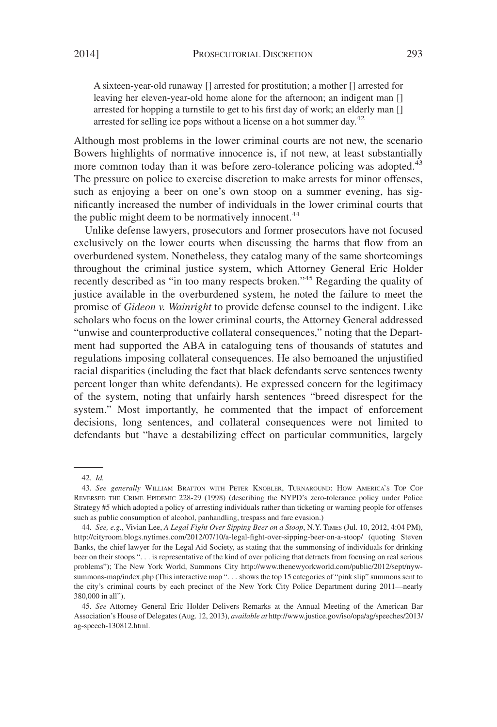A sixteen-year-old runaway [] arrested for prostitution; a mother [] arrested for leaving her eleven-year-old home alone for the afternoon; an indigent man [] arrested for hopping a turnstile to get to his first day of work; an elderly man [] arrested for selling ice pops without a license on a hot summer day.<sup>42</sup>

Although most problems in the lower criminal courts are not new, the scenario Bowers highlights of normative innocence is, if not new, at least substantially more common today than it was before zero-tolerance policing was adopted.<sup>43</sup> The pressure on police to exercise discretion to make arrests for minor offenses, such as enjoying a beer on one's own stoop on a summer evening, has significantly increased the number of individuals in the lower criminal courts that the public might deem to be normatively innocent.<sup>44</sup>

Unlike defense lawyers, prosecutors and former prosecutors have not focused exclusively on the lower courts when discussing the harms that flow from an overburdened system. Nonetheless, they catalog many of the same shortcomings throughout the criminal justice system, which Attorney General Eric Holder recently described as "in too many respects broken."<sup>45</sup> Regarding the quality of justice available in the overburdened system, he noted the failure to meet the promise of *Gideon v. Wainright* to provide defense counsel to the indigent. Like scholars who focus on the lower criminal courts, the Attorney General addressed "unwise and counterproductive collateral consequences," noting that the Department had supported the ABA in cataloguing tens of thousands of statutes and regulations imposing collateral consequences. He also bemoaned the unjustified racial disparities (including the fact that black defendants serve sentences twenty percent longer than white defendants). He expressed concern for the legitimacy of the system, noting that unfairly harsh sentences "breed disrespect for the system." Most importantly, he commented that the impact of enforcement decisions, long sentences, and collateral consequences were not limited to defendants but "have a destabilizing effect on particular communities, largely

<sup>42.</sup> *Id.*

<sup>43.</sup> *See generally* WILLIAM BRATTON WITH PETER KNOBLER, TURNAROUND: HOW AMERICA'S TOP COP REVERSED THE CRIME EPIDEMIC 228-29 (1998) (describing the NYPD's zero-tolerance policy under Police Strategy #5 which adopted a policy of arresting individuals rather than ticketing or warning people for offenses such as public consumption of alcohol, panhandling, trespass and fare evasion.)

<sup>44.</sup> *See, e.g.*, Vivian Lee, *A Legal Fight Over Sipping Beer on a Stoop*, N.Y. TIMES (Jul. 10, 2012, 4:04 PM), http://cityroom.blogs.nytimes.com/2012/07/10/a-legal-fight-over-sipping-beer-on-a-stoop/ (quoting Steven Banks, the chief lawyer for the Legal Aid Society, as stating that the summonsing of individuals for drinking beer on their stoops ". . . is representative of the kind of over policing that detracts from focusing on real serious problems"); The New York World, Summons City http://www.thenewyorkworld.com/public/2012/sept/nywsummons-map/index.php (This interactive map ". . . shows the top 15 categories of "pink slip" summons sent to the city's criminal courts by each precinct of the New York City Police Department during 2011—nearly 380,000 in all").

<sup>45.</sup> *See* Attorney General Eric Holder Delivers Remarks at the Annual Meeting of the American Bar Association's House of Delegates (Aug. 12, 2013), *available at* http://www.justice.gov/iso/opa/ag/speeches/2013/ ag-speech-130812.html.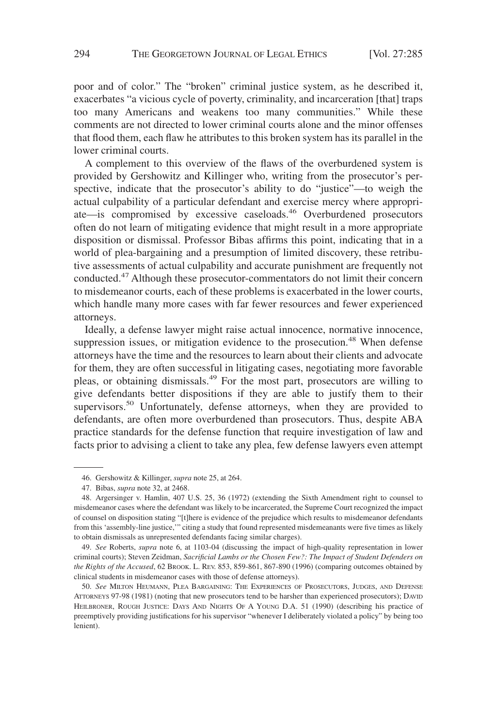poor and of color." The "broken" criminal justice system, as he described it, exacerbates "a vicious cycle of poverty, criminality, and incarceration [that] traps too many Americans and weakens too many communities." While these comments are not directed to lower criminal courts alone and the minor offenses that flood them, each flaw he attributes to this broken system has its parallel in the lower criminal courts.

A complement to this overview of the flaws of the overburdened system is provided by Gershowitz and Killinger who, writing from the prosecutor's perspective, indicate that the prosecutor's ability to do "justice"—to weigh the actual culpability of a particular defendant and exercise mercy where appropriate—is compromised by excessive caseloads.<sup>46</sup> Overburdened prosecutors often do not learn of mitigating evidence that might result in a more appropriate disposition or dismissal. Professor Bibas affirms this point, indicating that in a world of plea-bargaining and a presumption of limited discovery, these retributive assessments of actual culpability and accurate punishment are frequently not conducted.<sup>47</sup> Although these prosecutor-commentators do not limit their concern to misdemeanor courts, each of these problems is exacerbated in the lower courts, which handle many more cases with far fewer resources and fewer experienced attorneys.

Ideally, a defense lawyer might raise actual innocence, normative innocence, suppression issues, or mitigation evidence to the prosecution.<sup>48</sup> When defense attorneys have the time and the resources to learn about their clients and advocate for them, they are often successful in litigating cases, negotiating more favorable pleas, or obtaining dismissals.<sup>49</sup> For the most part, prosecutors are willing to give defendants better dispositions if they are able to justify them to their supervisors.<sup>50</sup> Unfortunately, defense attorneys, when they are provided to defendants, are often more overburdened than prosecutors. Thus, despite ABA practice standards for the defense function that require investigation of law and facts prior to advising a client to take any plea, few defense lawyers even attempt

<sup>46.</sup> Gershowitz & Killinger, *supra* note 25, at 264.

<sup>47.</sup> Bibas, *supra* note 32, at 2468.

<sup>48.</sup> Argersinger v. Hamlin, 407 U.S. 25, 36 (1972) (extending the Sixth Amendment right to counsel to misdemeanor cases where the defendant was likely to be incarcerated, the Supreme Court recognized the impact of counsel on disposition stating "[t]here is evidence of the prejudice which results to misdemeanor defendants from this 'assembly-line justice,'" citing a study that found represented misdemeanants were five times as likely to obtain dismissals as unrepresented defendants facing similar charges).

<sup>49.</sup> *See* Roberts, *supra* note 6, at 1103-04 (discussing the impact of high-quality representation in lower criminal courts); Steven Zeidman, *Sacrificial Lambs or the Chosen Few?: The Impact of Student Defenders on the Rights of the Accused*, 62 BROOK. L. REV. 853, 859-861, 867-890 (1996) (comparing outcomes obtained by clinical students in misdemeanor cases with those of defense attorneys).

<sup>50.</sup> *See* MILTON HEUMANN, PLEA BARGAINING: THE EXPERIENCES OF PROSECUTORS, JUDGES, AND DEFENSE ATTORNEYS 97-98 (1981) (noting that new prosecutors tend to be harsher than experienced prosecutors); DAVID HEILBRONER, ROUGH JUSTICE: DAYS AND NIGHTS OF A YOUNG D.A. 51 (1990) (describing his practice of preemptively providing justifications for his supervisor "whenever I deliberately violated a policy" by being too lenient).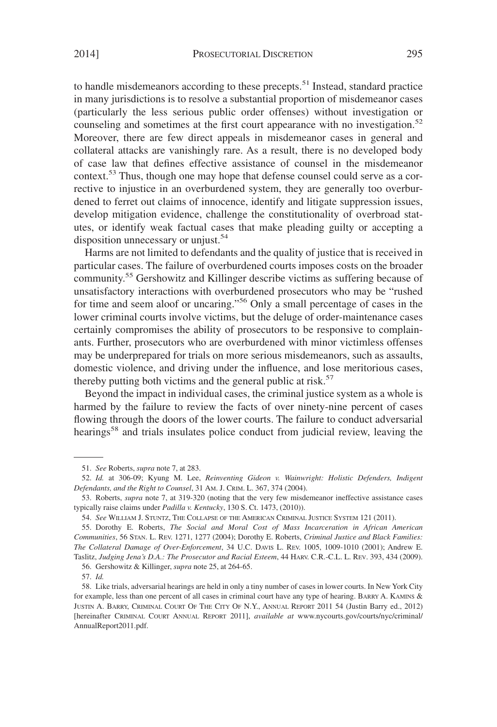to handle misdemeanors according to these precepts.<sup>51</sup> Instead, standard practice in many jurisdictions is to resolve a substantial proportion of misdemeanor cases (particularly the less serious public order offenses) without investigation or counseling and sometimes at the first court appearance with no investigation.<sup>52</sup> Moreover, there are few direct appeals in misdemeanor cases in general and collateral attacks are vanishingly rare. As a result, there is no developed body of case law that defines effective assistance of counsel in the misdemeanor context.<sup>53</sup> Thus, though one may hope that defense counsel could serve as a corrective to injustice in an overburdened system, they are generally too overburdened to ferret out claims of innocence, identify and litigate suppression issues, develop mitigation evidence, challenge the constitutionality of overbroad statutes, or identify weak factual cases that make pleading guilty or accepting a disposition unnecessary or unjust.<sup>54</sup>

Harms are not limited to defendants and the quality of justice that is received in particular cases. The failure of overburdened courts imposes costs on the broader community.55 Gershowitz and Killinger describe victims as suffering because of unsatisfactory interactions with overburdened prosecutors who may be "rushed for time and seem aloof or uncaring."56 Only a small percentage of cases in the lower criminal courts involve victims, but the deluge of order-maintenance cases certainly compromises the ability of prosecutors to be responsive to complainants. Further, prosecutors who are overburdened with minor victimless offenses may be underprepared for trials on more serious misdemeanors, such as assaults, domestic violence, and driving under the influence, and lose meritorious cases, thereby putting both victims and the general public at risk. $57$ 

Beyond the impact in individual cases, the criminal justice system as a whole is harmed by the failure to review the facts of over ninety-nine percent of cases flowing through the doors of the lower courts. The failure to conduct adversarial hearings<sup>58</sup> and trials insulates police conduct from judicial review, leaving the

55. Dorothy E. Roberts, *The Social and Moral Cost of Mass Incarceration in African American Communities*, 56 STAN. L. REV. 1271, 1277 (2004); Dorothy E. Roberts, *Criminal Justice and Black Families: The Collateral Damage of Over-Enforcement*, 34 U.C. DAVIS L. REV. 1005, 1009-1010 (2001); Andrew E. Taslitz, *Judging Jena's D.A.: The Prosecutor and Racial Esteem*, 44 HARV. C.R.-C.L. L. REV. 393, 434 (2009).

56. Gershowitz & Killinger, *supra* note 25, at 264-65.

57. *Id.*

<sup>51.</sup> *See* Roberts, *supra* note 7, at 283.

<sup>52.</sup> *Id.* at 306-09; Kyung M. Lee, *Reinventing Gideon v. Wainwright: Holistic Defenders, Indigent Defendants, and the Right to Counsel*, 31 AM. J. CRIM. L. 367, 374 (2004).

<sup>53.</sup> Roberts, *supra* note 7, at 319-320 (noting that the very few misdemeanor ineffective assistance cases typically raise claims under *Padilla v. Kentucky*, 130 S. Ct. 1473, (2010)).

<sup>54.</sup> *See* WILLIAM J. STUNTZ, THE COLLAPSE OF THE AMERICAN CRIMINAL JUSTICE SYSTEM 121 (2011).

<sup>58.</sup> Like trials, adversarial hearings are held in only a tiny number of cases in lower courts. In New York City for example, less than one percent of all cases in criminal court have any type of hearing. BARRY A. KAMINS & JUSTIN A. BARRY, CRIMINAL COURT OF THE CITY OF N.Y., ANNUAL REPORT 2011 54 (Justin Barry ed., 2012) [hereinafter CRIMINAL COURT ANNUAL REPORT 2011], *available at* www.nycourts.gov/courts/nyc/criminal/ AnnualReport2011.pdf.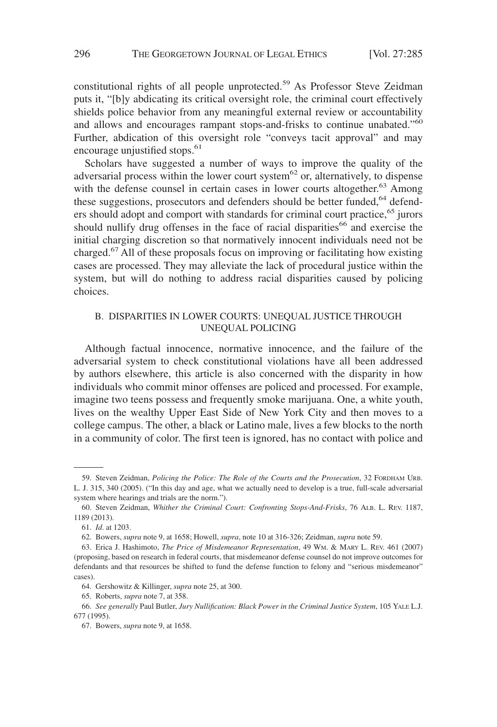constitutional rights of all people unprotected.<sup>59</sup> As Professor Steve Zeidman puts it, "[b]y abdicating its critical oversight role, the criminal court effectively shields police behavior from any meaningful external review or accountability and allows and encourages rampant stops-and-frisks to continue unabated."<sup>60</sup> Further, abdication of this oversight role "conveys tacit approval" and may encourage unjustified stops. $61$ 

Scholars have suggested a number of ways to improve the quality of the adversarial process within the lower court system<sup>62</sup> or, alternatively, to dispense with the defense counsel in certain cases in lower courts altogether.<sup>63</sup> Among these suggestions, prosecutors and defenders should be better funded,<sup>64</sup> defenders should adopt and comport with standards for criminal court practice,<sup>65</sup> jurors should nullify drug offenses in the face of racial disparities<sup>66</sup> and exercise the initial charging discretion so that normatively innocent individuals need not be charged.67 All of these proposals focus on improving or facilitating how existing cases are processed. They may alleviate the lack of procedural justice within the system, but will do nothing to address racial disparities caused by policing choices.

#### B. DISPARITIES IN LOWER COURTS: UNEQUAL JUSTICE THROUGH UNEQUAL POLICING

Although factual innocence, normative innocence, and the failure of the adversarial system to check constitutional violations have all been addressed by authors elsewhere, this article is also concerned with the disparity in how individuals who commit minor offenses are policed and processed. For example, imagine two teens possess and frequently smoke marijuana. One, a white youth, lives on the wealthy Upper East Side of New York City and then moves to a college campus. The other, a black or Latino male, lives a few blocks to the north in a community of color. The first teen is ignored, has no contact with police and

<sup>59.</sup> Steven Zeidman, *Policing the Police: The Role of the Courts and the Prosecution*, 32 FORDHAM URB. L. J. 315, 340 (2005). ("In this day and age, what we actually need to develop is a true, full-scale adversarial system where hearings and trials are the norm.").

<sup>60.</sup> Steven Zeidman, *Whither the Criminal Court: Confronting Stops-And-Frisks*, 76 ALB. L. REV. 1187, 1189 (2013).

<sup>61.</sup> *Id*. at 1203.

<sup>62.</sup> Bowers, *supra* note 9, at 1658; Howell, *supra*, note 10 at 316-326; Zeidman, *supra* note 59.

<sup>63.</sup> Erica J. Hashimoto, *The Price of Misdemeanor Representation*, 49 WM.&MARY L. REV. 461 (2007) (proposing, based on research in federal courts, that misdemeanor defense counsel do not improve outcomes for defendants and that resources be shifted to fund the defense function to felony and "serious misdemeanor" cases).

<sup>64.</sup> Gershowitz & Killinger, *supra* note 25, at 300.

<sup>65.</sup> Roberts, *supra* note 7, at 358.

<sup>66.</sup> *See generally* Paul Butler, *Jury Nullification: Black Power in the Criminal Justice System*, 105 YALE L.J. 677 (1995).

<sup>67.</sup> Bowers, *supra* note 9, at 1658.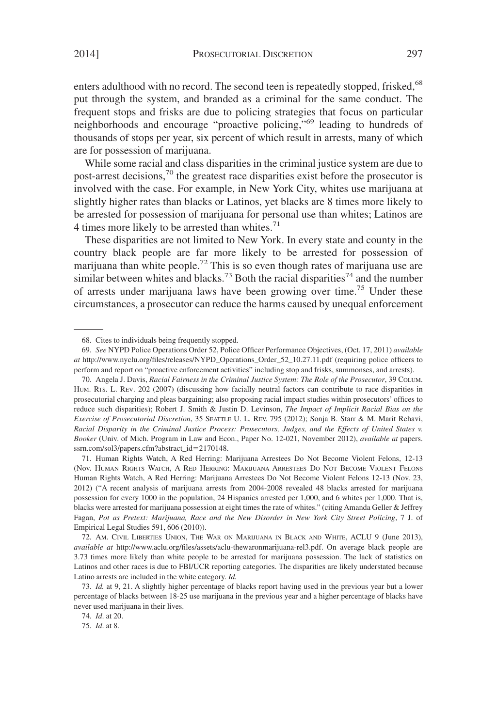enters adulthood with no record. The second teen is repeatedly stopped, frisked,<sup>68</sup> put through the system, and branded as a criminal for the same conduct. The frequent stops and frisks are due to policing strategies that focus on particular neighborhoods and encourage "proactive policing,"69 leading to hundreds of thousands of stops per year, six percent of which result in arrests, many of which are for possession of marijuana.

While some racial and class disparities in the criminal justice system are due to post-arrest decisions,70 the greatest race disparities exist before the prosecutor is involved with the case. For example, in New York City, whites use marijuana at slightly higher rates than blacks or Latinos, yet blacks are 8 times more likely to be arrested for possession of marijuana for personal use than whites; Latinos are 4 times more likely to be arrested than whites. $71$ 

These disparities are not limited to New York. In every state and county in the country black people are far more likely to be arrested for possession of marijuana than white people.<sup>72</sup> This is so even though rates of marijuana use are similar between whites and blacks.<sup>73</sup> Both the racial disparities<sup>74</sup> and the number of arrests under marijuana laws have been growing over time.<sup>75</sup> Under these circumstances, a prosecutor can reduce the harms caused by unequal enforcement

72. AM. CIVIL LIBERTIES UNION, THE WAR ON MARIJUANA IN BLACK AND WHITE, ACLU 9 (June 2013), *available at* http://www.aclu.org/files/assets/aclu-thewaronmarijuana-rel3.pdf. On average black people are 3.73 times more likely than white people to be arrested for marijuana possession. The lack of statistics on Latinos and other races is due to FBI/UCR reporting categories. The disparities are likely understated because Latino arrests are included in the white category. *Id.*

73. *Id.* at 9, 21. A slightly higher percentage of blacks report having used in the previous year but a lower percentage of blacks between 18-25 use marijuana in the previous year and a higher percentage of blacks have never used marijuana in their lives.

74. *Id*. at 20.

75. *Id*. at 8.

<sup>68.</sup> Cites to individuals being frequently stopped.

<sup>69.</sup> *See* NYPD Police Operations Order 52, Police Officer Performance Objectives, (Oct. 17, 2011) *available at* http://www.nyclu.org/files/releases/NYPD\_Operations\_Order\_52\_10.27.11.pdf (requiring police officers to perform and report on "proactive enforcement activities" including stop and frisks, summonses, and arrests).

<sup>70.</sup> Angela J. Davis, *Racial Fairness in the Criminal Justice System: The Role of the Prosecutor*, 39 COLUM. HUM. RTS. L. REV. 202 (2007) (discussing how facially neutral factors can contribute to race disparities in prosecutorial charging and pleas bargaining; also proposing racial impact studies within prosecutors' offices to reduce such disparities); Robert J. Smith & Justin D. Levinson, *The Impact of Implicit Racial Bias on the Exercise of Prosecutorial Discretion*, 35 SEATTLE U. L. REV. 795 (2012); Sonja B. Starr & M. Marit Rehavi, *Racial Disparity in the Criminal Justice Process: Prosecutors, Judges, and the Effects of United States v. Booker* (Univ. of Mich. Program in Law and Econ., Paper No. 12-021, November 2012), *available at* papers. ssrn.com/sol3/papers.cfm?abstract\_id-2170148.

<sup>71.</sup> Human Rights Watch, A Red Herring: Marijuana Arrestees Do Not Become Violent Felons, 12-13 (Nov. HUMAN RIGHTS WATCH, A RED HERRING: MARIJUANA ARRESTEES DO NOT BECOME VIOLENT FELONS Human Rights Watch, A Red Herring: Marijuana Arrestees Do Not Become Violent Felons 12-13 (Nov. 23, 2012) ("A recent analysis of marijuana arrests from 2004-2008 revealed 48 blacks arrested for marijuana possession for every 1000 in the population, 24 Hispanics arrested per 1,000, and 6 whites per 1,000. That is, blacks were arrested for marijuana possession at eight times the rate of whites." (citing Amanda Geller & Jeffrey Fagan, *Pot as Pretext: Marijuana, Race and the New Disorder in New York City Street Policing*, 7 J. of Empirical Legal Studies 591, 606 (2010)).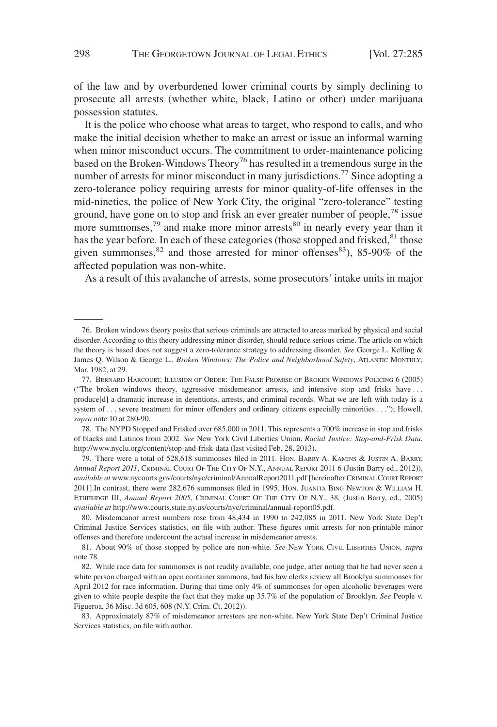of the law and by overburdened lower criminal courts by simply declining to prosecute all arrests (whether white, black, Latino or other) under marijuana possession statutes.

It is the police who choose what areas to target, who respond to calls, and who make the initial decision whether to make an arrest or issue an informal warning when minor misconduct occurs. The commitment to order-maintenance policing based on the Broken-Windows Theory<sup>76</sup> has resulted in a tremendous surge in the number of arrests for minor misconduct in many jurisdictions.<sup>77</sup> Since adopting a zero-tolerance policy requiring arrests for minor quality-of-life offenses in the mid-nineties, the police of New York City, the original "zero-tolerance" testing ground, have gone on to stop and frisk an ever greater number of people,<sup>78</sup> issue more summonses,  $79$  and make more minor arrests  $80$  in nearly every year than it has the year before. In each of these categories (those stopped and frisked, $81$  those given summonses, $82$  and those arrested for minor offenses $83$ ), 85-90% of the affected population was non-white.

As a result of this avalanche of arrests, some prosecutors' intake units in major

78. The NYPD Stopped and Frisked over 685,000 in 2011. This represents a 700% increase in stop and frisks of blacks and Latinos from 2002. *See* New York Civil Liberties Union, *Racial Justice: Stop-and-Frisk Data*, http://www.nyclu.org/content/stop-and-frisk-data (last visited Feb. 28, 2013).

79. There were a total of 528,618 summonses filed in 2011. HON. BARRY A. KAMINS & JUSTIN A. BARRY, *Annual Report 2011*, CRIMINAL COURT OF THE CITY OF N.Y., ANNUAL REPORT 2011 6 (Justin Barry ed., 2012)), *available at* www.nycourts.gov/courts/nyc/criminal/AnnualReport2011.pdf [hereinafter CRIMINALCOURT REPORT 2011].In contrast, there were 282,676 summonses filed in 1995. HON. JUANITA BING NEWTON & WILLIAM H. ETHERIDGE III, *Annual Report 2005*, CRIMINAL COURT OF THE CITY OF N.Y., 38, (Justin Barry, ed., 2005) *available at* http://www.courts.state.ny.us/courts/nyc/criminal/annual-report05.pdf.

80. Misdemeanor arrest numbers rose from 48,434 in 1990 to 242,085 in 2011. New York State Dep't Criminal Justice Services statistics, on file with author. These figures omit arrests for non-printable minor offenses and therefore undercount the actual increase in misdemeanor arrests.

81. About 90% of those stopped by police are non-white. *See* NEW YORK CIVIL LIBERTIES UNION, *supra* note 78.

82. While race data for summonses is not readily available, one judge, after noting that he had never seen a white person charged with an open container summons, had his law clerks review all Brooklyn summonses for April 2012 for race information. During that time only 4% of summonses for open alcoholic beverages were given to white people despite the fact that they make up 35.7% of the population of Brooklyn. *See* People v. Figueroa, 36 Misc. 3d 605, 608 (N.Y. Crim. Ct. 2012)).

83. Approximately 87% of misdemeanor arrestees are non-white. New York State Dep't Criminal Justice Services statistics, on file with author.

<sup>76.</sup> Broken windows theory posits that serious criminals are attracted to areas marked by physical and social disorder. According to this theory addressing minor disorder, should reduce serious crime. The article on which the theory is based does not suggest a zero-tolerance strategy to addressing disorder. *See* George L. Kelling & James Q. Wilson & George L., *Broken Windows: The Police and Neighborhood Safety*, ATLANTIC MONTHLY, Mar. 1982, at 29.

<sup>77.</sup> BERNARD HARCOURT, ILLUSION OF ORDER: THE FALSE PROMISE OF BROKEN WINDOWS POLICING 6 (2005) ("The broken windows theory, aggressive misdemeanor arrests, and intensive stop and frisks have... produce[d] a dramatic increase in detentions, arrests, and criminal records. What we are left with today is a system of... severe treatment for minor offenders and ordinary citizens especially minorities . . ."); Howell, *supra* note 10 at 280-90.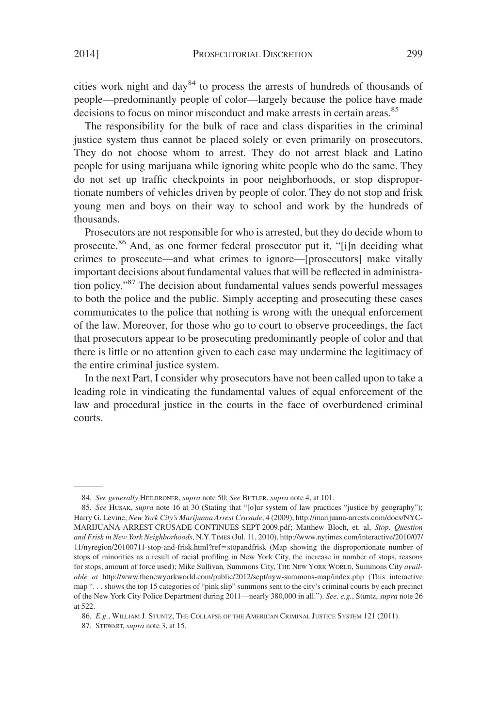cities work night and day<sup>84</sup> to process the arrests of hundreds of thousands of people—predominantly people of color—largely because the police have made decisions to focus on minor misconduct and make arrests in certain areas.<sup>85</sup>

The responsibility for the bulk of race and class disparities in the criminal justice system thus cannot be placed solely or even primarily on prosecutors. They do not choose whom to arrest. They do not arrest black and Latino people for using marijuana while ignoring white people who do the same. They do not set up traffic checkpoints in poor neighborhoods, or stop disproportionate numbers of vehicles driven by people of color. They do not stop and frisk young men and boys on their way to school and work by the hundreds of thousands.

Prosecutors are not responsible for who is arrested, but they do decide whom to prosecute.<sup>86</sup> And, as one former federal prosecutor put it, "[i]n deciding what crimes to prosecute—and what crimes to ignore—[prosecutors] make vitally important decisions about fundamental values that will be reflected in administration policy."<sup>87</sup> The decision about fundamental values sends powerful messages to both the police and the public. Simply accepting and prosecuting these cases communicates to the police that nothing is wrong with the unequal enforcement of the law. Moreover, for those who go to court to observe proceedings, the fact that prosecutors appear to be prosecuting predominantly people of color and that there is little or no attention given to each case may undermine the legitimacy of the entire criminal justice system.

In the next Part, I consider why prosecutors have not been called upon to take a leading role in vindicating the fundamental values of equal enforcement of the law and procedural justice in the courts in the face of overburdened criminal courts.

<sup>84.</sup> *See generally* HEILBRONER, *supra* note 50; *See* BUTLER, *supra* note 4, at 101.

<sup>85.</sup> *See* HUSAK, *supra* note 16 at 30 (Stating that "[o]ur system of law practices "justice by geography"); Harry G. Levine, *New York City's Marijuana Arrest Crusade*, 4 (2009), http://marijuana-arrests.com/docs/NYC-MARIJUANA-ARREST-CRUSADE-CONTINUES-SEPT-2009.pdf; Matthew Bloch, et. al, *Stop, Question and Frisk in New York Neighborhoods*, N.Y. TIMES (Jul. 11, 2010), http://www.nytimes.com/interactive/2010/07/ 11/nyregion/20100711-stop-and-frisk.html?ref-stopandfrisk (Map showing the disproportionate number of stops of minorities as a result of racial profiling in New York City, the increase in number of stops, reasons for stops, amount of force used); Mike Sullivan*,* Summons City, THE NEW YORK WORLD, Summons City *available at* http://www.thenewyorkworld.com/public/2012/sept/nyw-summons-map/index.php (This interactive map ". . . shows the top 15 categories of "pink slip" summons sent to the city's criminal courts by each precinct of the New York City Police Department during 2011—nearly 380,000 in all."). *See, e.g.*, Stuntz, *supra* note 26 at 522.

<sup>86.</sup> *E.g.*, WILLIAM J. STUNTZ, THE COLLAPSE OF THE AMERICAN CRIMINAL JUSTICE SYSTEM 121 (2011).

<sup>87.</sup> STEWART, *supra* note 3, at 15.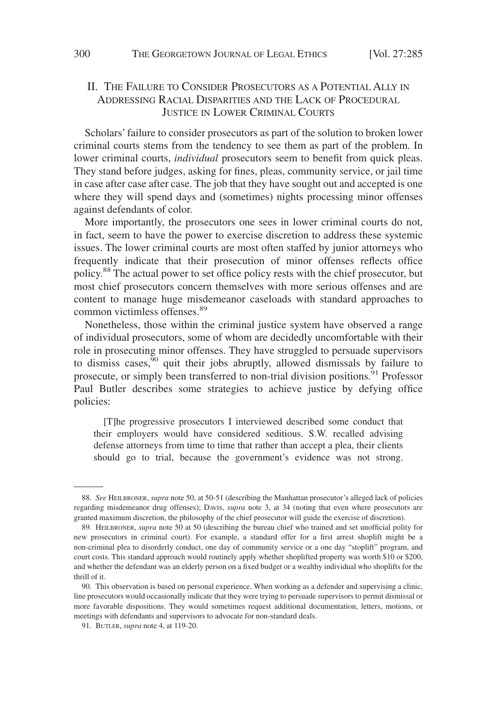## II. THE FAILURE TO CONSIDER PROSECUTORS AS A POTENTIAL ALLY IN ADDRESSING RACIAL DISPARITIES AND THE LACK OF PROCEDURAL JUSTICE IN LOWER CRIMINAL COURTS

Scholars' failure to consider prosecutors as part of the solution to broken lower criminal courts stems from the tendency to see them as part of the problem. In lower criminal courts, *individual* prosecutors seem to benefit from quick pleas. They stand before judges, asking for fines, pleas, community service, or jail time in case after case after case. The job that they have sought out and accepted is one where they will spend days and (sometimes) nights processing minor offenses against defendants of color.

More importantly, the prosecutors one sees in lower criminal courts do not, in fact, seem to have the power to exercise discretion to address these systemic issues. The lower criminal courts are most often staffed by junior attorneys who frequently indicate that their prosecution of minor offenses reflects office policy.88 The actual power to set office policy rests with the chief prosecutor, but most chief prosecutors concern themselves with more serious offenses and are content to manage huge misdemeanor caseloads with standard approaches to common victimless offenses.<sup>89</sup>

Nonetheless, those within the criminal justice system have observed a range of individual prosecutors, some of whom are decidedly uncomfortable with their role in prosecuting minor offenses. They have struggled to persuade supervisors to dismiss cases,  $\frac{90}{90}$  quit their jobs abruptly, allowed dismissals by failure to prosecute, or simply been transferred to non-trial division positions.<sup>91</sup> Professor Paul Butler describes some strategies to achieve justice by defying office policies:

[T]he progressive prosecutors I interviewed described some conduct that their employers would have considered seditious. S.W. recalled advising defense attorneys from time to time that rather than accept a plea, their clients should go to trial, because the government's evidence was not strong.

<sup>88.</sup> *See* HEILBRONER, *supra* note 50, at 50-51 (describing the Manhattan prosecutor's alleged lack of policies regarding misdemeanor drug offenses); DAVIS, *supra* note 3, at 34 (noting that even where prosecutors are granted maximum discretion, the philosophy of the chief prosecutor will guide the exercise of discretion).

<sup>89.</sup> HEILBRONER, *supra* note 50 at 50 (describing the bureau chief who trained and set unofficial polity for new prosecutors in criminal court). For example, a standard offer for a first arrest shoplift might be a non-criminal plea to disorderly conduct, one day of community service or a one day "stoplift" program, and court costs. This standard approach would routinely apply whether shoplifted property was worth \$10 or \$200, and whether the defendant was an elderly person on a fixed budget or a wealthy individual who shoplifts for the thrill of it.

<sup>90.</sup> This observation is based on personal experience. When working as a defender and supervising a clinic, line prosecutors would occasionally indicate that they were trying to persuade supervisors to permit dismissal or more favorable dispositions. They would sometimes request additional documentation, letters, motions, or meetings with defendants and supervisors to advocate for non-standard deals.

<sup>91.</sup> BUTLER, *supra* note 4, at 119-20.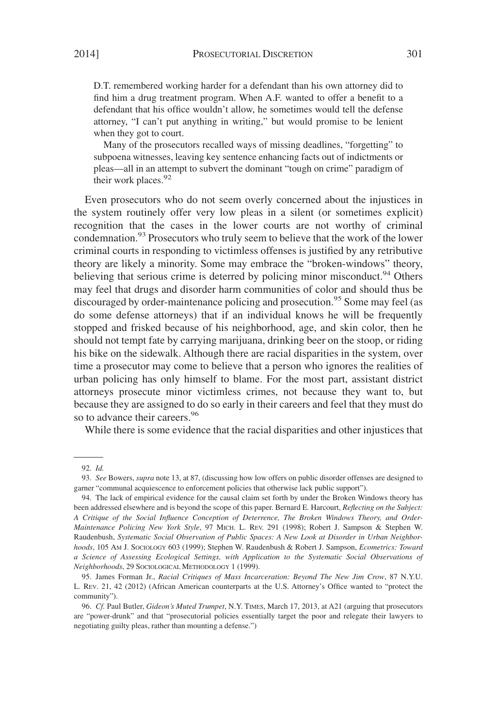D.T. remembered working harder for a defendant than his own attorney did to find him a drug treatment program. When A.F. wanted to offer a benefit to a defendant that his office wouldn't allow, he sometimes would tell the defense attorney, "I can't put anything in writing," but would promise to be lenient when they got to court.

Many of the prosecutors recalled ways of missing deadlines, "forgetting" to subpoena witnesses, leaving key sentence enhancing facts out of indictments or pleas—all in an attempt to subvert the dominant "tough on crime" paradigm of their work places.<sup>92</sup>

Even prosecutors who do not seem overly concerned about the injustices in the system routinely offer very low pleas in a silent (or sometimes explicit) recognition that the cases in the lower courts are not worthy of criminal condemnation.<sup>93</sup> Prosecutors who truly seem to believe that the work of the lower criminal courts in responding to victimless offenses is justified by any retributive theory are likely a minority. Some may embrace the "broken-windows" theory, believing that serious crime is deterred by policing minor misconduct.<sup>94</sup> Others may feel that drugs and disorder harm communities of color and should thus be discouraged by order-maintenance policing and prosecution.<sup>95</sup> Some may feel (as do some defense attorneys) that if an individual knows he will be frequently stopped and frisked because of his neighborhood, age, and skin color, then he should not tempt fate by carrying marijuana, drinking beer on the stoop, or riding his bike on the sidewalk. Although there are racial disparities in the system, over time a prosecutor may come to believe that a person who ignores the realities of urban policing has only himself to blame. For the most part, assistant district attorneys prosecute minor victimless crimes, not because they want to, but because they are assigned to do so early in their careers and feel that they must do so to advance their careers.<sup>96</sup>

While there is some evidence that the racial disparities and other injustices that

<sup>92.</sup> *Id.*

<sup>93.</sup> *See* Bowers, *supra* note 13, at 87, (discussing how low offers on public disorder offenses are designed to garner "communal acquiescence to enforcement policies that otherwise lack public support").

<sup>94.</sup> The lack of empirical evidence for the causal claim set forth by under the Broken Windows theory has been addressed elsewhere and is beyond the scope of this paper. Bernard E. Harcourt, *Reflecting on the Subject: A Critique of the Social Influence Conception of Deterrence, The Broken Windows Theory, and Order-Maintenance Policing New York Style*, 97 MICH. L. REV. 291 (1998); Robert J. Sampson & Stephen W. Raudenbush, *Systematic Social Observation of Public Spaces: A New Look at Disorder in Urban Neighborhoods*, 105 AM J. SOCIOLOGY 603 (1999); Stephen W. Raudenbush & Robert J. Sampson, *Ecometrics: Toward a Science of Assessing Ecological Settings, with Application to the Systematic Social Observations of Neighborhoods*, 29 SOCIOLOGICAL METHODOLOGY 1 (1999).

<sup>95.</sup> James Forman Jr., *Racial Critiques of Mass Incarceration: Beyond The New Jim Crow*, 87 N.Y.U. L. REV. 21, 42 (2012) (African American counterparts at the U.S. Attorney's Office wanted to "protect the community").

<sup>96.</sup> *Cf.* Paul Butler, *Gideon's Muted Trumpet*, N.Y. TIMES, March 17, 2013, at A21 (arguing that prosecutors are "power-drunk" and that "prosecutorial policies essentially target the poor and relegate their lawyers to negotiating guilty pleas, rather than mounting a defense.")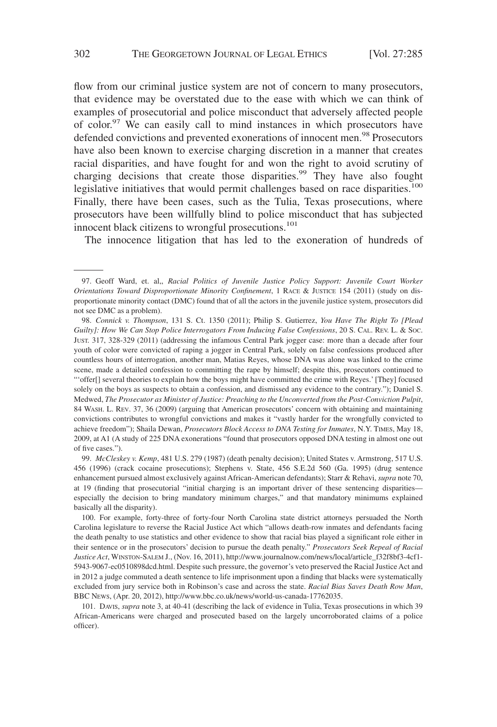flow from our criminal justice system are not of concern to many prosecutors, that evidence may be overstated due to the ease with which we can think of examples of prosecutorial and police misconduct that adversely affected people of color.<sup>97</sup> We can easily call to mind instances in which prosecutors have defended convictions and prevented exonerations of innocent men.<sup>98</sup> Prosecutors have also been known to exercise charging discretion in a manner that creates racial disparities, and have fought for and won the right to avoid scrutiny of charging decisions that create those disparities.<sup>99</sup> They have also fought legislative initiatives that would permit challenges based on race disparities.<sup>100</sup> Finally, there have been cases, such as the Tulia, Texas prosecutions, where prosecutors have been willfully blind to police misconduct that has subjected innocent black citizens to wrongful prosecutions.<sup>101</sup>

The innocence litigation that has led to the exoneration of hundreds of

99. *McCleskey v. Kemp*, 481 U.S. 279 (1987) (death penalty decision); United States v. Armstrong, 517 U.S. 456 (1996) (crack cocaine prosecutions); Stephens v. State, 456 S.E.2d 560 (Ga. 1995) (drug sentence enhancement pursued almost exclusively against African-American defendants); Starr & Rehavi, *supra* note 70, at 19 (finding that prosecutorial "initial charging is an important driver of these sentencing disparities especially the decision to bring mandatory minimum charges," and that mandatory minimums explained basically all the disparity).

100. For example, forty-three of forty-four North Carolina state district attorneys persuaded the North Carolina legislature to reverse the Racial Justice Act which "allows death-row inmates and defendants facing the death penalty to use statistics and other evidence to show that racial bias played a significant role either in their sentence or in the prosecutors' decision to pursue the death penalty." *Prosecutors Seek Repeal of Racial Justice Act*, WINSTON-SALEM J., (Nov. 16, 2011), http://www.journalnow.com/news/local/article\_f32f8bf3-4cf1- 5943-9067-ec0510898dcd.html. Despite such pressure, the governor's veto preserved the Racial Justice Act and in 2012 a judge commuted a death sentence to life imprisonment upon a finding that blacks were systematically excluded from jury service both in Robinson's case and across the state. *Racial Bias Saves Death Row Man*, BBC NEWS, (Apr. 20, 2012), http://www.bbc.co.uk/news/world-us-canada-17762035.

101. DAVIS, *supra* note 3, at 40-41 (describing the lack of evidence in Tulia, Texas prosecutions in which 39 African-Americans were charged and prosecuted based on the largely uncorroborated claims of a police officer).

<sup>97.</sup> Geoff Ward, et. al,, *Racial Politics of Juvenile Justice Policy Support: Juvenile Court Worker Orientations Toward Disproportionate Minority Confinement*,1RACE & JUSTICE 154 (2011) (study on disproportionate minority contact (DMC) found that of all the actors in the juvenile justice system, prosecutors did not see DMC as a problem).

<sup>98.</sup> *Connick v. Thompson*, 131 S. Ct. 1350 (2011); Philip S. Gutierrez, *You Have The Right To [Plead Guilty]: How We Can Stop Police Interrogators From Inducing False Confessions*, 20 S. CAL. REV. L. & SOC. JUST. 317, 328-329 (2011) (addressing the infamous Central Park jogger case: more than a decade after four youth of color were convicted of raping a jogger in Central Park, solely on false confessions produced after countless hours of interrogation, another man, Matias Reyes, whose DNA was alone was linked to the crime scene, made a detailed confession to committing the rape by himself; despite this, prosecutors continued to "'offer[] several theories to explain how the boys might have committed the crime with Reyes.' [They] focused solely on the boys as suspects to obtain a confession, and dismissed any evidence to the contrary."); Daniel S. Medwed, *The Prosecutor as Minister of Justice: Preaching to the Unconverted from the Post-Conviction Pulpit*, 84 WASH. L. REV. 37, 36 (2009) (arguing that American prosecutors' concern with obtaining and maintaining convictions contributes to wrongful convictions and makes it "vastly harder for the wrongfully convicted to achieve freedom"); Shaila Dewan, *Prosecutors Block Access to DNA Testing for Inmates*, N.Y. TIMES, May 18, 2009, at A1 (A study of 225 DNA exonerations "found that prosecutors opposed DNA testing in almost one out of five cases.").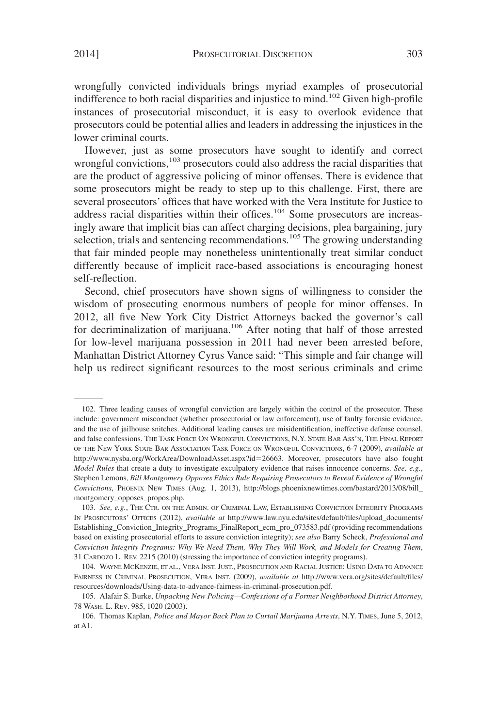wrongfully convicted individuals brings myriad examples of prosecutorial indifference to both racial disparities and injustice to mind.<sup>102</sup> Given high-profile instances of prosecutorial misconduct, it is easy to overlook evidence that prosecutors could be potential allies and leaders in addressing the injustices in the lower criminal courts.

However, just as some prosecutors have sought to identify and correct wrongful convictions,<sup>103</sup> prosecutors could also address the racial disparities that are the product of aggressive policing of minor offenses. There is evidence that some prosecutors might be ready to step up to this challenge. First, there are several prosecutors' offices that have worked with the Vera Institute for Justice to address racial disparities within their offices.<sup>104</sup> Some prosecutors are increasingly aware that implicit bias can affect charging decisions, plea bargaining, jury selection, trials and sentencing recommendations.<sup>105</sup> The growing understanding that fair minded people may nonetheless unintentionally treat similar conduct differently because of implicit race-based associations is encouraging honest self-reflection.

Second, chief prosecutors have shown signs of willingness to consider the wisdom of prosecuting enormous numbers of people for minor offenses. In 2012, all five New York City District Attorneys backed the governor's call for decriminalization of marijuana.<sup>106</sup> After noting that half of those arrested for low-level marijuana possession in 2011 had never been arrested before, Manhattan District Attorney Cyrus Vance said: "This simple and fair change will help us redirect significant resources to the most serious criminals and crime

<sup>102.</sup> Three leading causes of wrongful conviction are largely within the control of the prosecutor. These include: government misconduct (whether prosecutorial or law enforcement), use of faulty forensic evidence, and the use of jailhouse snitches. Additional leading causes are misidentification, ineffective defense counsel, and false confessions. THE TASK FORCE ON WRONGFUL CONVICTIONS, N.Y. STATE BAR ASS'N, THE FINAL REPORT OF THE NEW YORK STATE BAR ASSOCIATION TASK FORCE ON WRONGFUL CONVICTIONS, 6-7 (2009), *available at* http://www.nysba.org/WorkArea/DownloadAsset.aspx?id-26663. Moreover, prosecutors have also fought *Model Rules* that create a duty to investigate exculpatory evidence that raises innocence concerns. *See, e.g.*, Stephen Lemons, *Bill Montgomery Opposes Ethics Rule Requiring Prosecutors to Reveal Evidence of Wrongful Convictions*, PHOENIX NEW TIMES (Aug. 1, 2013), http://blogs.phoenixnewtimes.com/bastard/2013/08/bill\_ montgomery\_opposes\_propos.php.

<sup>103.</sup> *See, e.g.*, THE CTR. ON THE ADMIN. OF CRIMINAL LAW, ESTABLISHING CONVICTION INTEGRITY PROGRAMS IN PROSECUTORS' OFFICES (2012), *available at* http://www.law.nyu.edu/sites/default/files/upload\_documents/ Establishing Conviction Integrity Programs FinalReport ecm pro 073583.pdf (providing recommendations based on existing prosecutorial efforts to assure conviction integrity); *see also* Barry Scheck, *Professional and Conviction Integrity Programs: Why We Need Them, Why They Will Work, and Models for Creating Them*, 31 CARDOZO L. REV. 2215 (2010) (stressing the importance of conviction integrity programs).

<sup>104.</sup> WAYNE MCKENZIE, ET AL., VERA INST. JUST., PROSECUTION AND RACIAL JUSTICE: USING DATA TO ADVANCE FAIRNESS IN CRIMINAL PROSECUTION, VERA INST. (2009), *available at* http://www.vera.org/sites/default/files/ resources/downloads/Using-data-to-advance-fairness-in-criminal-prosecution.pdf.

<sup>105.</sup> Alafair S. Burke, *Unpacking New Policing—Confessions of a Former Neighborhood District Attorney*, 78 WASH. L. REV. 985, 1020 (2003).

<sup>106.</sup> Thomas Kaplan, *Police and Mayor Back Plan to Curtail Marijuana Arrests*, N.Y. TIMES, June 5, 2012, at A1.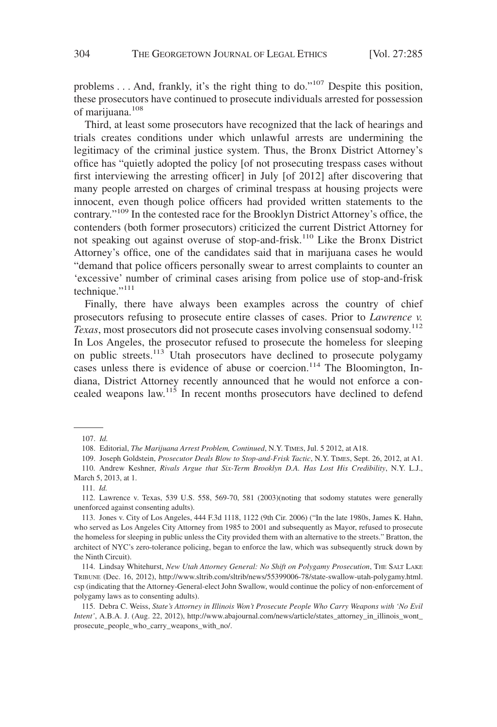problems... And, frankly, it's the right thing to do."<sup>107</sup> Despite this position, these prosecutors have continued to prosecute individuals arrested for possession of marijuana.108

Third, at least some prosecutors have recognized that the lack of hearings and trials creates conditions under which unlawful arrests are undermining the legitimacy of the criminal justice system. Thus, the Bronx District Attorney's office has "quietly adopted the policy [of not prosecuting trespass cases without first interviewing the arresting officer] in July [of 2012] after discovering that many people arrested on charges of criminal trespass at housing projects were innocent, even though police officers had provided written statements to the contrary."109 In the contested race for the Brooklyn District Attorney's office, the contenders (both former prosecutors) criticized the current District Attorney for not speaking out against overuse of stop-and-frisk.110 Like the Bronx District Attorney's office, one of the candidates said that in marijuana cases he would "demand that police officers personally swear to arrest complaints to counter an 'excessive' number of criminal cases arising from police use of stop-and-frisk technique."<sup>111</sup>

Finally, there have always been examples across the country of chief prosecutors refusing to prosecute entire classes of cases. Prior to *Lawrence v. Texas*, most prosecutors did not prosecute cases involving consensual sodomy.<sup>112</sup> In Los Angeles, the prosecutor refused to prosecute the homeless for sleeping on public streets.<sup>113</sup> Utah prosecutors have declined to prosecute polygamy cases unless there is evidence of abuse or coercion.<sup>114</sup> The Bloomington, Indiana, District Attorney recently announced that he would not enforce a concealed weapons law.115 In recent months prosecutors have declined to defend

114. Lindsay Whitehurst, *New Utah Attorney General: No Shift on Polygamy Prosecution*, THE SALT LAKE TRIBUNE (Dec. 16, 2012), http://www.sltrib.com/sltrib/news/55399006-78/state-swallow-utah-polygamy.html. csp (indicating that the Attorney-General-elect John Swallow, would continue the policy of non-enforcement of polygamy laws as to consenting adults).

115. Debra C. Weiss, *State's Attorney in Illinois Won't Prosecute People Who Carry Weapons with 'No Evil Intent'*, A.B.A. J. (Aug. 22, 2012), http://www.abajournal.com/news/article/states\_attorney\_in\_illinois\_wont\_ prosecute\_people\_who\_carry\_weapons\_with\_no/.

<sup>107.</sup> *Id.*

<sup>108.</sup> Editorial, *The Marijuana Arrest Problem, Continued*, N.Y. TIMES, Jul. 5 2012, at A18.

<sup>109.</sup> Joseph Goldstein, *Prosecutor Deals Blow to Stop-and-Frisk Tactic*, N.Y. TIMES, Sept. 26, 2012, at A1. 110. Andrew Keshner, *Rivals Argue that Six-Term Brooklyn D.A. Has Lost His Credibility*, N.Y. L.J., March 5, 2013, at 1.

<sup>111.</sup> *Id.*

<sup>112.</sup> Lawrence v. Texas, 539 U.S. 558, 569-70, 581 (2003)(noting that sodomy statutes were generally unenforced against consenting adults).

<sup>113.</sup> Jones v. City of Los Angeles, 444 F.3d 1118, 1122 (9th Cir. 2006) ("In the late 1980s, James K. Hahn, who served as Los Angeles City Attorney from 1985 to 2001 and subsequently as Mayor, refused to prosecute the homeless for sleeping in public unless the City provided them with an alternative to the streets." Bratton, the architect of NYC's zero-tolerance policing, began to enforce the law, which was subsequently struck down by the Ninth Circuit).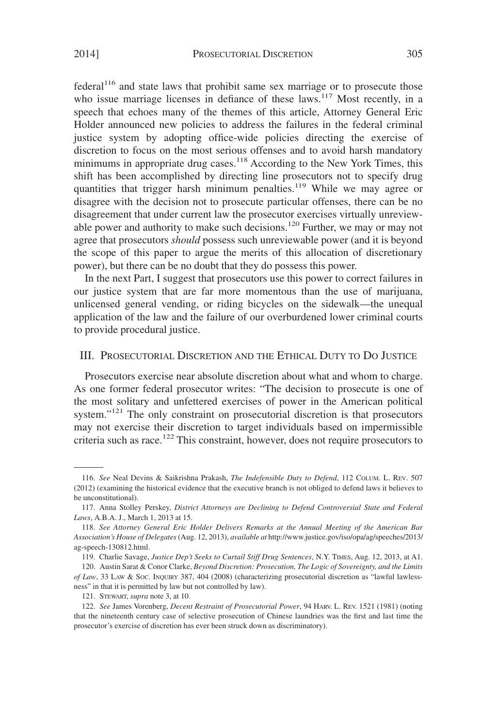federal<sup>116</sup> and state laws that prohibit same sex marriage or to prosecute those who issue marriage licenses in defiance of these laws.<sup>117</sup> Most recently, in a speech that echoes many of the themes of this article, Attorney General Eric Holder announced new policies to address the failures in the federal criminal justice system by adopting office-wide policies directing the exercise of discretion to focus on the most serious offenses and to avoid harsh mandatory minimums in appropriate drug cases.<sup>118</sup> According to the New York Times, this shift has been accomplished by directing line prosecutors not to specify drug quantities that trigger harsh minimum penalties.<sup>119</sup> While we may agree or disagree with the decision not to prosecute particular offenses, there can be no disagreement that under current law the prosecutor exercises virtually unreviewable power and authority to make such decisions.<sup>120</sup> Further, we may or may not agree that prosecutors *should* possess such unreviewable power (and it is beyond the scope of this paper to argue the merits of this allocation of discretionary power), but there can be no doubt that they do possess this power.

In the next Part, I suggest that prosecutors use this power to correct failures in our justice system that are far more momentous than the use of marijuana, unlicensed general vending, or riding bicycles on the sidewalk—the unequal application of the law and the failure of our overburdened lower criminal courts to provide procedural justice.

## III. PROSECUTORIAL DISCRETION AND THE ETHICAL DUTY TO DO JUSTICE

Prosecutors exercise near absolute discretion about what and whom to charge. As one former federal prosecutor writes: "The decision to prosecute is one of the most solitary and unfettered exercises of power in the American political system."<sup>121</sup> The only constraint on prosecutorial discretion is that prosecutors may not exercise their discretion to target individuals based on impermissible criteria such as race.<sup>122</sup> This constraint, however, does not require prosecutors to

<sup>116.</sup> *See* Neal Devins & Saikrishna Prakash, *The Indefensible Duty to Defend*, 112 COLUM. L. REV. 507 (2012) (examining the historical evidence that the executive branch is not obliged to defend laws it believes to be unconstitutional).

<sup>117.</sup> Anna Stolley Perskey, *District Attorneys are Declining to Defend Controversial State and Federal Laws*, A.B.A. J., March 1, 2013 at 15.

<sup>118.</sup> *See Attorney General Eric Holder Delivers Remarks at the Annual Meeting of the American Bar Association's House of Delegates*(Aug. 12, 2013), *available at* http://www.justice.gov/iso/opa/ag/speeches/2013/ ag-speech-130812.html.

<sup>119.</sup> Charlie Savage, *Justice Dep't Seeks to Curtail Stiff Drug Sentences*, N.Y. TIMES, Aug. 12, 2013, at A1.

<sup>120.</sup> Austin Sarat & Conor Clarke, *Beyond Discretion: Prosecution, The Logic of Sovereignty, and the Limits of Law*, 33 LAW & SOC. INQUIRY 387, 404 (2008) (characterizing prosecutorial discretion as "lawful lawlessness" in that it is permitted by law but not controlled by law).

<sup>121.</sup> STEWART, *supra* note 3, at 10.

<sup>122.</sup> *See* James Vorenberg, *Decent Restraint of Prosecutorial Power*, 94 HARV. L. REV. 1521 (1981) (noting that the nineteenth century case of selective prosecution of Chinese laundries was the first and last time the prosecutor's exercise of discretion has ever been struck down as discriminatory).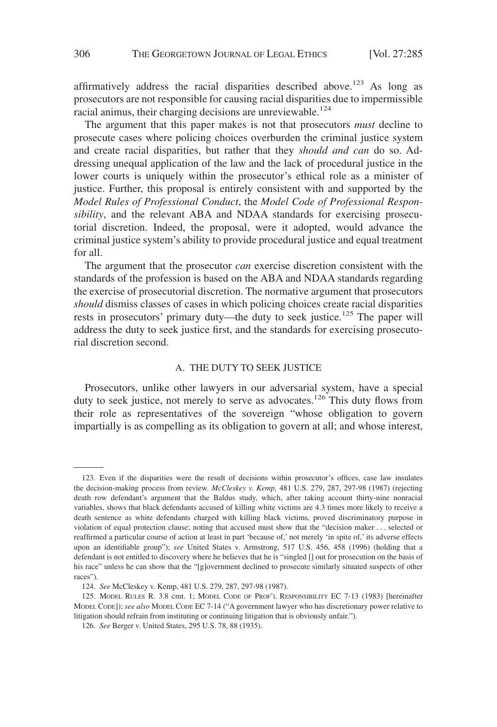affirmatively address the racial disparities described above.<sup>123</sup> As long as prosecutors are not responsible for causing racial disparities due to impermissible racial animus, their charging decisions are unreviewable.<sup>124</sup>

The argument that this paper makes is not that prosecutors *must* decline to prosecute cases where policing choices overburden the criminal justice system and create racial disparities, but rather that they *should and can* do so. Addressing unequal application of the law and the lack of procedural justice in the lower courts is uniquely within the prosecutor's ethical role as a minister of justice. Further, this proposal is entirely consistent with and supported by the *Model Rules of Professional Conduct*, the *Model Code of Professional Responsibility*, and the relevant ABA and NDAA standards for exercising prosecutorial discretion. Indeed, the proposal, were it adopted, would advance the criminal justice system's ability to provide procedural justice and equal treatment for all.

The argument that the prosecutor *can* exercise discretion consistent with the standards of the profession is based on the ABA and NDAA standards regarding the exercise of prosecutorial discretion. The normative argument that prosecutors *should* dismiss classes of cases in which policing choices create racial disparities rests in prosecutors' primary duty—the duty to seek justice.<sup>125</sup> The paper will address the duty to seek justice first, and the standards for exercising prosecutorial discretion second.

#### A. THE DUTY TO SEEK JUSTICE

Prosecutors, unlike other lawyers in our adversarial system, have a special duty to seek justice, not merely to serve as advocates.<sup>126</sup> This duty flows from their role as representatives of the sovereign "whose obligation to govern impartially is as compelling as its obligation to govern at all; and whose interest,

<sup>123.</sup> Even if the disparities were the result of decisions within prosecutor's offices, case law insulates the decision-making process from review. *McCleskey v. Kemp,* 481 U.S. 279, 287, 297-98 (1987) (rejecting death row defendant's argument that the Baldus study, which, after taking account thirty-nine nonracial variables, shows that black defendants accused of killing white victims are 4.3 times more likely to receive a death sentence as white defendants charged with killing black victims, proved discriminatory purpose in violation of equal protection clause; noting that accused must show that the "decision maker... selected or reaffirmed a particular course of action at least in part 'because of,' not merely 'in spite of,' its adverse effects upon an identifiable group"); *see* United States v. Armstrong, 517 U.S. 456, 458 (1996) (holding that a defendant is not entitled to discovery where he believes that he is "singled [] out for prosecution on the basis of his race" unless he can show that the "[g]overnment declined to prosecute similarly situated suspects of other races").

<sup>124.</sup> *See* McCleskey v. Kemp, 481 U.S. 279, 287, 297-98 (1987).

<sup>125.</sup> MODEL RULES R. 3.8 cmt. 1; MODEL CODE OF PROF'L RESPONSIBILITY EC 7-13 (1983) [hereinafter MODEL CODE]); *see also* MODEL CODE EC 7-14 ("A government lawyer who has discretionary power relative to litigation should refrain from instituting or continuing litigation that is obviously unfair.").

<sup>126.</sup> *See* Berger v. United States, 295 U.S. 78, 88 (1935).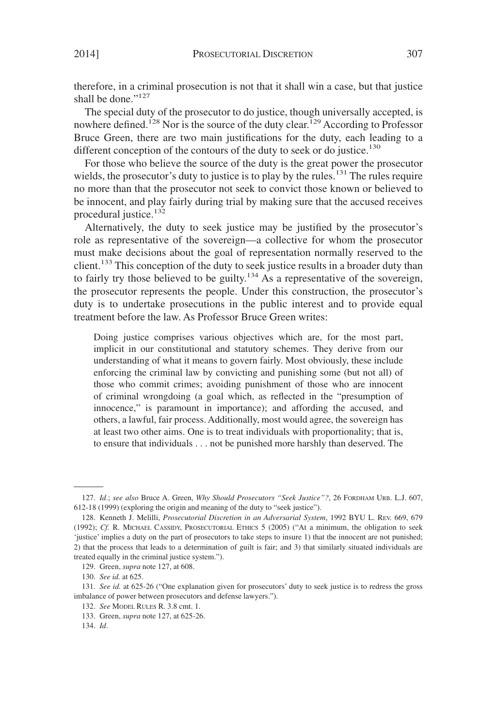therefore, in a criminal prosecution is not that it shall win a case, but that justice shall be done."<sup>127</sup>

The special duty of the prosecutor to do justice, though universally accepted, is nowhere defined.<sup>128</sup> Nor is the source of the duty clear.<sup>129</sup> According to Professor Bruce Green, there are two main justifications for the duty, each leading to a different conception of the contours of the duty to seek or do justice.<sup>130</sup>

For those who believe the source of the duty is the great power the prosecutor wields, the prosecutor's duty to justice is to play by the rules.<sup>131</sup> The rules require no more than that the prosecutor not seek to convict those known or believed to be innocent, and play fairly during trial by making sure that the accused receives procedural justice.<sup>132</sup>

Alternatively, the duty to seek justice may be justified by the prosecutor's role as representative of the sovereign—a collective for whom the prosecutor must make decisions about the goal of representation normally reserved to the client.<sup>133</sup> This conception of the duty to seek justice results in a broader duty than to fairly try those believed to be guilty.<sup>134</sup> As a representative of the sovereign, the prosecutor represents the people. Under this construction, the prosecutor's duty is to undertake prosecutions in the public interest and to provide equal treatment before the law. As Professor Bruce Green writes:

Doing justice comprises various objectives which are, for the most part, implicit in our constitutional and statutory schemes. They derive from our understanding of what it means to govern fairly. Most obviously, these include enforcing the criminal law by convicting and punishing some (but not all) of those who commit crimes; avoiding punishment of those who are innocent of criminal wrongdoing (a goal which, as reflected in the "presumption of innocence," is paramount in importance); and affording the accused, and others, a lawful, fair process. Additionally, most would agree, the sovereign has at least two other aims. One is to treat individuals with proportionality; that is, to ensure that individuals . . . not be punished more harshly than deserved. The

<sup>127.</sup> *Id*.; *see also* Bruce A. Green, *Why Should Prosecutors "Seek Justice"?*, 26 FORDHAM URB. L.J. 607, 612-18 (1999) (exploring the origin and meaning of the duty to "seek justice").

<sup>128.</sup> Kenneth J. Melilli, *Prosecutorial Discretion in an Adversarial System*, 1992 BYU L. REV. 669, 679 (1992); *Cf.* R. MICHAEL CASSIDY, PROSECUTORIAL ETHICS 5 (2005) ("At a minimum, the obligation to seek 'justice' implies a duty on the part of prosecutors to take steps to insure 1) that the innocent are not punished; 2) that the process that leads to a determination of guilt is fair; and 3) that similarly situated individuals are treated equally in the criminal justice system.").

<sup>129.</sup> Green, *supra* note 127, at 608.

<sup>130.</sup> *See id.* at 625.

<sup>131.</sup> *See id.* at 625-26 ("One explanation given for prosecutors' duty to seek justice is to redress the gross imbalance of power between prosecutors and defense lawyers.").

<sup>132.</sup> *See* MODEL RULES R. 3.8 cmt. 1.

<sup>133.</sup> Green, *supra* note 127, at 625-26.

<sup>134.</sup> *Id*.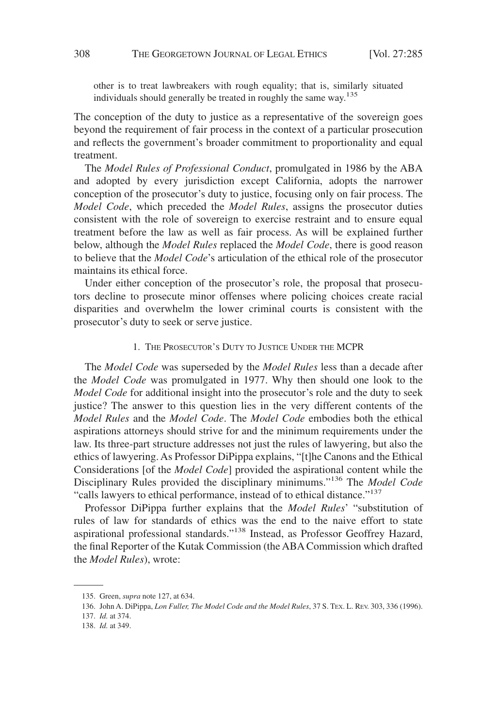other is to treat lawbreakers with rough equality; that is, similarly situated individuals should generally be treated in roughly the same way.<sup>135</sup>

The conception of the duty to justice as a representative of the sovereign goes beyond the requirement of fair process in the context of a particular prosecution and reflects the government's broader commitment to proportionality and equal treatment.

The *Model Rules of Professional Conduct*, promulgated in 1986 by the ABA and adopted by every jurisdiction except California, adopts the narrower conception of the prosecutor's duty to justice, focusing only on fair process. The *Model Code*, which preceded the *Model Rules*, assigns the prosecutor duties consistent with the role of sovereign to exercise restraint and to ensure equal treatment before the law as well as fair process. As will be explained further below, although the *Model Rules* replaced the *Model Code*, there is good reason to believe that the *Model Code*'s articulation of the ethical role of the prosecutor maintains its ethical force.

Under either conception of the prosecutor's role, the proposal that prosecutors decline to prosecute minor offenses where policing choices create racial disparities and overwhelm the lower criminal courts is consistent with the prosecutor's duty to seek or serve justice.

#### 1. THE PROSECUTOR'S DUTY TO JUSTICE UNDER THE MCPR

The *Model Code* was superseded by the *Model Rules* less than a decade after the *Model Code* was promulgated in 1977. Why then should one look to the *Model Code* for additional insight into the prosecutor's role and the duty to seek justice? The answer to this question lies in the very different contents of the *Model Rules* and the *Model Code*. The *Model Code* embodies both the ethical aspirations attorneys should strive for and the minimum requirements under the law. Its three-part structure addresses not just the rules of lawyering, but also the ethics of lawyering. As Professor DiPippa explains, "[t]he Canons and the Ethical Considerations [of the *Model Code*] provided the aspirational content while the Disciplinary Rules provided the disciplinary minimums."<sup>136</sup> The *Model Code* "calls lawyers to ethical performance, instead of to ethical distance."137

Professor DiPippa further explains that the *Model Rules*' "substitution of rules of law for standards of ethics was the end to the naive effort to state aspirational professional standards."<sup>138</sup> Instead, as Professor Geoffrey Hazard, the final Reporter of the Kutak Commission (the ABA Commission which drafted the *Model Rules*), wrote:

<sup>135.</sup> Green, *supra* note 127, at 634.

<sup>136.</sup> John A. DiPippa, *Lon Fuller, The Model Code and the Model Rules*, 37 S. TEX. L. REV. 303, 336 (1996).

<sup>137.</sup> *Id.* at 374.

<sup>138.</sup> *Id.* at 349.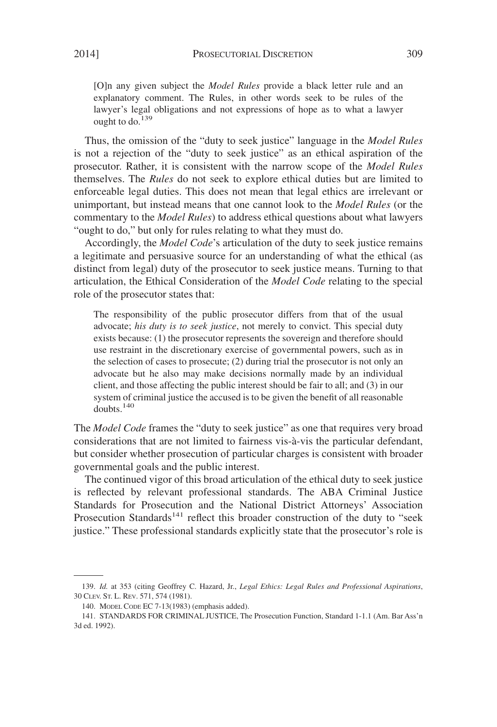[O]n any given subject the *Model Rules* provide a black letter rule and an explanatory comment. The Rules, in other words seek to be rules of the lawyer's legal obligations and not expressions of hope as to what a lawyer ought to do.<sup>139</sup>

Thus, the omission of the "duty to seek justice" language in the *Model Rules* is not a rejection of the "duty to seek justice" as an ethical aspiration of the prosecutor. Rather, it is consistent with the narrow scope of the *Model Rules* themselves. The *Rules* do not seek to explore ethical duties but are limited to enforceable legal duties. This does not mean that legal ethics are irrelevant or unimportant, but instead means that one cannot look to the *Model Rules* (or the commentary to the *Model Rules*) to address ethical questions about what lawyers "ought to do," but only for rules relating to what they must do.

Accordingly, the *Model Code*'s articulation of the duty to seek justice remains a legitimate and persuasive source for an understanding of what the ethical (as distinct from legal) duty of the prosecutor to seek justice means. Turning to that articulation, the Ethical Consideration of the *Model Code* relating to the special role of the prosecutor states that:

The responsibility of the public prosecutor differs from that of the usual advocate; *his duty is to seek justice*, not merely to convict. This special duty exists because: (1) the prosecutor represents the sovereign and therefore should use restraint in the discretionary exercise of governmental powers, such as in the selection of cases to prosecute; (2) during trial the prosecutor is not only an advocate but he also may make decisions normally made by an individual client, and those affecting the public interest should be fair to all; and (3) in our system of criminal justice the accused is to be given the benefit of all reasonable doubts.140

The *Model Code* frames the "duty to seek justice" as one that requires very broad considerations that are not limited to fairness vis-a`-vis the particular defendant, but consider whether prosecution of particular charges is consistent with broader governmental goals and the public interest.

The continued vigor of this broad articulation of the ethical duty to seek justice is reflected by relevant professional standards. The ABA Criminal Justice Standards for Prosecution and the National District Attorneys' Association Prosecution Standards<sup>141</sup> reflect this broader construction of the duty to "seek justice." These professional standards explicitly state that the prosecutor's role is

<sup>139.</sup> *Id.* at 353 (citing Geoffrey C. Hazard, Jr., *Legal Ethics: Legal Rules and Professional Aspirations*, 30 CLEV. ST. L. REV. 571, 574 (1981).

<sup>140.</sup> MODEL CODE EC 7-13(1983) (emphasis added).

<sup>141.</sup> STANDARDS FOR CRIMINAL JUSTICE, The Prosecution Function, Standard 1-1.1 (Am. Bar Ass'n 3d ed. 1992).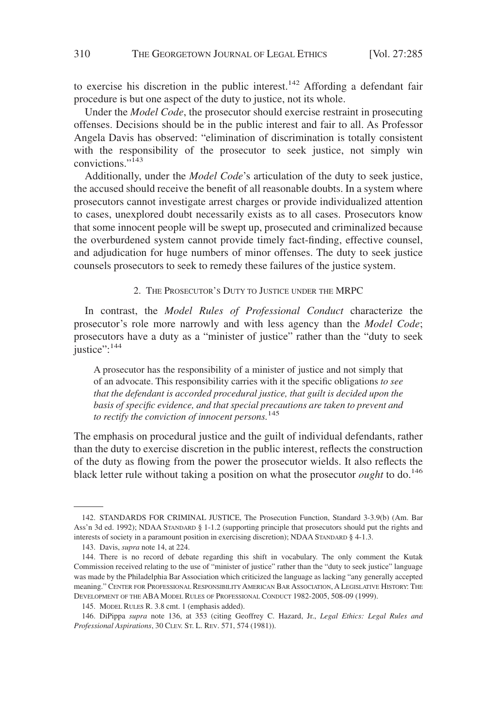to exercise his discretion in the public interest.<sup>142</sup> Affording a defendant fair procedure is but one aspect of the duty to justice, not its whole.

Under the *Model Code*, the prosecutor should exercise restraint in prosecuting offenses. Decisions should be in the public interest and fair to all. As Professor Angela Davis has observed: "elimination of discrimination is totally consistent with the responsibility of the prosecutor to seek justice, not simply win convictions."<sup>143</sup>

Additionally, under the *Model Code*'s articulation of the duty to seek justice, the accused should receive the benefit of all reasonable doubts. In a system where prosecutors cannot investigate arrest charges or provide individualized attention to cases, unexplored doubt necessarily exists as to all cases. Prosecutors know that some innocent people will be swept up, prosecuted and criminalized because the overburdened system cannot provide timely fact-finding, effective counsel, and adjudication for huge numbers of minor offenses. The duty to seek justice counsels prosecutors to seek to remedy these failures of the justice system.

2. THE PROSECUTOR'S DUTY TO JUSTICE UNDER THE MRPC

In contrast, the *Model Rules of Professional Conduct* characterize the prosecutor's role more narrowly and with less agency than the *Model Code*; prosecutors have a duty as a "minister of justice" rather than the "duty to seek justice":<sup>144</sup>

A prosecutor has the responsibility of a minister of justice and not simply that of an advocate. This responsibility carries with it the specific obligations *to see that the defendant is accorded procedural justice, that guilt is decided upon the basis of specific evidence, and that special precautions are taken to prevent and to rectify the conviction of innocent persons.*<sup>145</sup>

The emphasis on procedural justice and the guilt of individual defendants, rather than the duty to exercise discretion in the public interest, reflects the construction of the duty as flowing from the power the prosecutor wields. It also reflects the black letter rule without taking a position on what the prosecutor *ought* to do.<sup>146</sup>

<sup>142.</sup> STANDARDS FOR CRIMINAL JUSTICE, The Prosecution Function, Standard 3-3.9(b) (Am. Bar Ass'n 3d ed. 1992); NDAA STANDARD § 1-1.2 (supporting principle that prosecutors should put the rights and interests of society in a paramount position in exercising discretion); NDAA STANDARD § 4-1.3.

<sup>143.</sup> Davis, *supra* note 14, at 224.

<sup>144.</sup> There is no record of debate regarding this shift in vocabulary. The only comment the Kutak Commission received relating to the use of "minister of justice" rather than the "duty to seek justice" language was made by the Philadelphia Bar Association which criticized the language as lacking "any generally accepted meaning." CENTER FOR PROFESSIONAL RESPONSIBILITY AMERICAN BAR ASSOCIATION,ALEGISLATIVE HISTORY: THE DEVELOPMENT OF THE ABA MODEL RULES OF PROFESSIONAL CONDUCT 1982-2005, 508-09 (1999).

<sup>145.</sup> MODEL RULES R. 3.8 cmt. 1 (emphasis added).

<sup>146.</sup> DiPippa *supra* note 136, at 353 (citing Geoffrey C. Hazard, Jr., *Legal Ethics: Legal Rules and Professional Aspirations*, 30 CLEV. ST. L. REV. 571, 574 (1981)).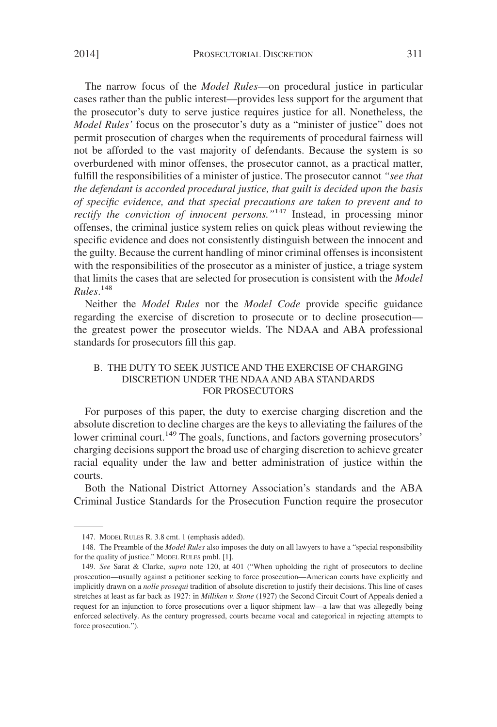The narrow focus of the *Model Rules*—on procedural justice in particular cases rather than the public interest—provides less support for the argument that the prosecutor's duty to serve justice requires justice for all. Nonetheless, the *Model Rules'* focus on the prosecutor's duty as a "minister of justice" does not permit prosecution of charges when the requirements of procedural fairness will not be afforded to the vast majority of defendants. Because the system is so overburdened with minor offenses, the prosecutor cannot, as a practical matter, fulfill the responsibilities of a minister of justice. The prosecutor cannot *"see that the defendant is accorded procedural justice, that guilt is decided upon the basis of specific evidence, and that special precautions are taken to prevent and to rectify the conviction of innocent persons.*"<sup>147</sup> Instead, in processing minor offenses, the criminal justice system relies on quick pleas without reviewing the specific evidence and does not consistently distinguish between the innocent and the guilty. Because the current handling of minor criminal offenses is inconsistent with the responsibilities of the prosecutor as a minister of justice, a triage system that limits the cases that are selected for prosecution is consistent with the *Model Rules*. 148

Neither the *Model Rules* nor the *Model Code* provide specific guidance regarding the exercise of discretion to prosecute or to decline prosecution the greatest power the prosecutor wields. The NDAA and ABA professional standards for prosecutors fill this gap.

#### B. THE DUTY TO SEEK JUSTICE AND THE EXERCISE OF CHARGING DISCRETION UNDER THE NDAA AND ABA STANDARDS FOR PROSECUTORS

For purposes of this paper, the duty to exercise charging discretion and the absolute discretion to decline charges are the keys to alleviating the failures of the lower criminal court.<sup>149</sup> The goals, functions, and factors governing prosecutors' charging decisions support the broad use of charging discretion to achieve greater racial equality under the law and better administration of justice within the courts.

Both the National District Attorney Association's standards and the ABA Criminal Justice Standards for the Prosecution Function require the prosecutor

<sup>147.</sup> MODEL RULES R. 3.8 cmt. 1 (emphasis added).

<sup>148.</sup> The Preamble of the *Model Rules* also imposes the duty on all lawyers to have a "special responsibility for the quality of justice." MODEL RULES pmbl. [1].

<sup>149.</sup> *See* Sarat & Clarke, *supra* note 120, at 401 ("When upholding the right of prosecutors to decline prosecution—usually against a petitioner seeking to force prosecution—American courts have explicitly and implicitly drawn on a *nolle prosequi* tradition of absolute discretion to justify their decisions. This line of cases stretches at least as far back as 1927: in *Milliken v. Stone* (1927) the Second Circuit Court of Appeals denied a request for an injunction to force prosecutions over a liquor shipment law—a law that was allegedly being enforced selectively. As the century progressed, courts became vocal and categorical in rejecting attempts to force prosecution.").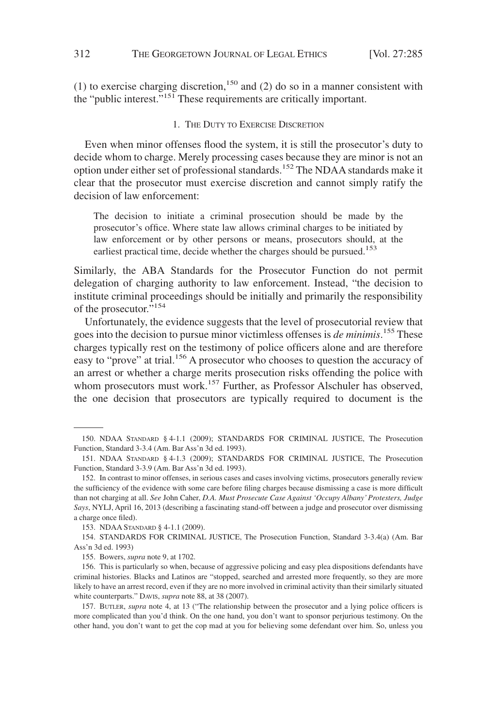(1) to exercise charging discretion,<sup>150</sup> and (2) do so in a manner consistent with the "public interest."151 These requirements are critically important.

#### 1. THE DUTY TO EXERCISE DISCRETION

Even when minor offenses flood the system, it is still the prosecutor's duty to decide whom to charge. Merely processing cases because they are minor is not an option under either set of professional standards.152 The NDAA standards make it clear that the prosecutor must exercise discretion and cannot simply ratify the decision of law enforcement:

The decision to initiate a criminal prosecution should be made by the prosecutor's office. Where state law allows criminal charges to be initiated by law enforcement or by other persons or means, prosecutors should, at the earliest practical time, decide whether the charges should be pursued.<sup>153</sup>

Similarly, the ABA Standards for the Prosecutor Function do not permit delegation of charging authority to law enforcement. Instead, "the decision to institute criminal proceedings should be initially and primarily the responsibility of the prosecutor."154

Unfortunately, the evidence suggests that the level of prosecutorial review that goes into the decision to pursue minor victimless offenses is *de minimis*. <sup>155</sup> These charges typically rest on the testimony of police officers alone and are therefore easy to "prove" at trial.<sup>156</sup> A prosecutor who chooses to question the accuracy of an arrest or whether a charge merits prosecution risks offending the police with whom prosecutors must work.<sup>157</sup> Further, as Professor Alschuler has observed, the one decision that prosecutors are typically required to document is the

<sup>150.</sup> NDAA STANDARD § 4-1.1 (2009); STANDARDS FOR CRIMINAL JUSTICE, The Prosecution Function, Standard 3-3.4 (Am. Bar Ass'n 3d ed. 1993).

<sup>151.</sup> NDAA STANDARD § 4-1.3 (2009); STANDARDS FOR CRIMINAL JUSTICE, The Prosecution Function, Standard 3-3.9 (Am. Bar Ass'n 3d ed. 1993).

<sup>152.</sup> In contrast to minor offenses, in serious cases and cases involving victims, prosecutors generally review the sufficiency of the evidence with some care before filing charges because dismissing a case is more difficult than not charging at all. *See* John Caher, *D.A. Must Prosecute Case Against 'Occupy Albany' Protesters, Judge Says*, NYLJ, April 16, 2013 (describing a fascinating stand-off between a judge and prosecutor over dismissing a charge once filed).

<sup>153.</sup> NDAA STANDARD § 4-1.1 (2009).

<sup>154.</sup> STANDARDS FOR CRIMINAL JUSTICE, The Prosecution Function, Standard 3-3.4(a) (Am. Bar Ass'n 3d ed. 1993)

<sup>155.</sup> Bowers, *supra* note 9, at 1702.

<sup>156.</sup> This is particularly so when, because of aggressive policing and easy plea dispositions defendants have criminal histories. Blacks and Latinos are "stopped, searched and arrested more frequently, so they are more likely to have an arrest record, even if they are no more involved in criminal activity than their similarly situated white counterparts." DAVIS, *supra* note 88, at 38 (2007).

<sup>157.</sup> BUTLER, *supra* note 4, at 13 ("The relationship between the prosecutor and a lying police officers is more complicated than you'd think. On the one hand, you don't want to sponsor perjurious testimony. On the other hand, you don't want to get the cop mad at you for believing some defendant over him. So, unless you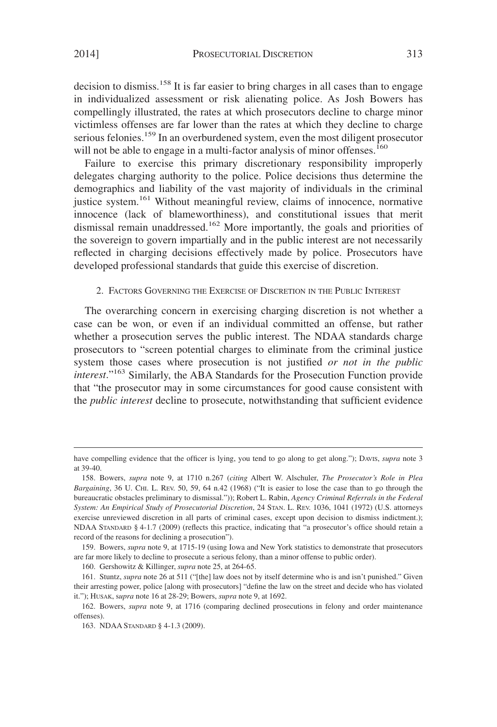decision to dismiss.<sup>158</sup> It is far easier to bring charges in all cases than to engage in individualized assessment or risk alienating police. As Josh Bowers has compellingly illustrated, the rates at which prosecutors decline to charge minor victimless offenses are far lower than the rates at which they decline to charge serious felonies.<sup>159</sup> In an overburdened system, even the most diligent prosecutor will not be able to engage in a multi-factor analysis of minor offenses.<sup>160</sup>

Failure to exercise this primary discretionary responsibility improperly delegates charging authority to the police. Police decisions thus determine the demographics and liability of the vast majority of individuals in the criminal justice system.<sup>161</sup> Without meaningful review, claims of innocence, normative innocence (lack of blameworthiness), and constitutional issues that merit dismissal remain unaddressed.<sup>162</sup> More importantly, the goals and priorities of the sovereign to govern impartially and in the public interest are not necessarily reflected in charging decisions effectively made by police. Prosecutors have developed professional standards that guide this exercise of discretion.

#### 2. FACTORS GOVERNING THE EXERCISE OF DISCRETION IN THE PUBLIC INTEREST

The overarching concern in exercising charging discretion is not whether a case can be won, or even if an individual committed an offense, but rather whether a prosecution serves the public interest. The NDAA standards charge prosecutors to "screen potential charges to eliminate from the criminal justice system those cases where prosecution is not justified *or not in the public interest*."163 Similarly, the ABA Standards for the Prosecution Function provide that "the prosecutor may in some circumstances for good cause consistent with the *public interest* decline to prosecute, notwithstanding that sufficient evidence

have compelling evidence that the officer is lying, you tend to go along to get along."); DAVIS, *supra* note 3 at 39-40.

<sup>158.</sup> Bowers, *supra* note 9, at 1710 n.267 (*citing* Albert W. Alschuler, *The Prosecutor's Role in Plea Bargaining*, 36 U. CHI. L. REV. 50, 59, 64 n.42 (1968) ("It is easier to lose the case than to go through the bureaucratic obstacles preliminary to dismissal.")); Robert L. Rabin, *Agency Criminal Referrals in the Federal System: An Empirical Study of Prosecutorial Discretion*, 24 STAN. L. REV. 1036, 1041 (1972) (U.S. attorneys exercise unreviewed discretion in all parts of criminal cases, except upon decision to dismiss indictment.); NDAA STANDARD § 4-1.7 (2009) (reflects this practice, indicating that "a prosecutor's office should retain a record of the reasons for declining a prosecution").

<sup>159.</sup> Bowers, *supra* note 9, at 1715-19 (using Iowa and New York statistics to demonstrate that prosecutors are far more likely to decline to prosecute a serious felony, than a minor offense to public order).

<sup>160.</sup> Gershowitz & Killinger, *supra* note 25, at 264-65.

<sup>161.</sup> Stuntz, *supra* note 26 at 511 ("[the] law does not by itself determine who is and isn't punished." Given their arresting power, police [along with prosecutors] "define the law on the street and decide who has violated it."); HUSAK, s*upra* note 16 at 28-29; Bowers, *supra* note 9, at 1692.

<sup>162.</sup> Bowers, *supra* note 9, at 1716 (comparing declined prosecutions in felony and order maintenance offenses).

<sup>163.</sup> NDAA STANDARD § 4-1.3 (2009).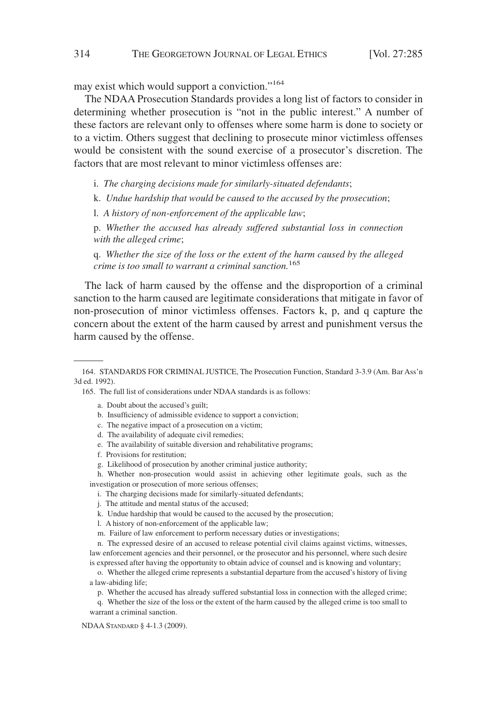may exist which would support a conviction."164

The NDAA Prosecution Standards provides a long list of factors to consider in determining whether prosecution is "not in the public interest." A number of these factors are relevant only to offenses where some harm is done to society or to a victim. Others suggest that declining to prosecute minor victimless offenses would be consistent with the sound exercise of a prosecutor's discretion. The factors that are most relevant to minor victimless offenses are:

i. *The charging decisions made for similarly-situated defendants*;

k. *Undue hardship that would be caused to the accused by the prosecution*;

l. *A history of non-enforcement of the applicable law*;

p. *Whether the accused has already suffered substantial loss in connection with the alleged crime*;

q. *Whether the size of the loss or the extent of the harm caused by the alleged crime is too small to warrant a criminal sanction.*<sup>165</sup>

The lack of harm caused by the offense and the disproportion of a criminal sanction to the harm caused are legitimate considerations that mitigate in favor of non-prosecution of minor victimless offenses. Factors k, p, and q capture the concern about the extent of the harm caused by arrest and punishment versus the harm caused by the offense.

165. The full list of considerations under NDAA standards is as follows:

- a. Doubt about the accused's guilt;
- b. Insufficiency of admissible evidence to support a conviction;
- c. The negative impact of a prosecution on a victim;
- d. The availability of adequate civil remedies;
- e. The availability of suitable diversion and rehabilitative programs;
- f. Provisions for restitution;
- g. Likelihood of prosecution by another criminal justice authority;

h. Whether non-prosecution would assist in achieving other legitimate goals, such as the investigation or prosecution of more serious offenses;

- i. The charging decisions made for similarly-situated defendants;
- j. The attitude and mental status of the accused;
- k. Undue hardship that would be caused to the accused by the prosecution;
- l. A history of non-enforcement of the applicable law;
- m. Failure of law enforcement to perform necessary duties or investigations;

n. The expressed desire of an accused to release potential civil claims against victims, witnesses, law enforcement agencies and their personnel, or the prosecutor and his personnel, where such desire is expressed after having the opportunity to obtain advice of counsel and is knowing and voluntary;

o. Whether the alleged crime represents a substantial departure from the accused's history of living a law-abiding life;

p. Whether the accused has already suffered substantial loss in connection with the alleged crime;

q. Whether the size of the loss or the extent of the harm caused by the alleged crime is too small to warrant a criminal sanction.

NDAA STANDARD § 4-1.3 (2009).

<sup>164.</sup> STANDARDS FOR CRIMINAL JUSTICE, The Prosecution Function, Standard 3-3.9 (Am. Bar Ass'n 3d ed. 1992).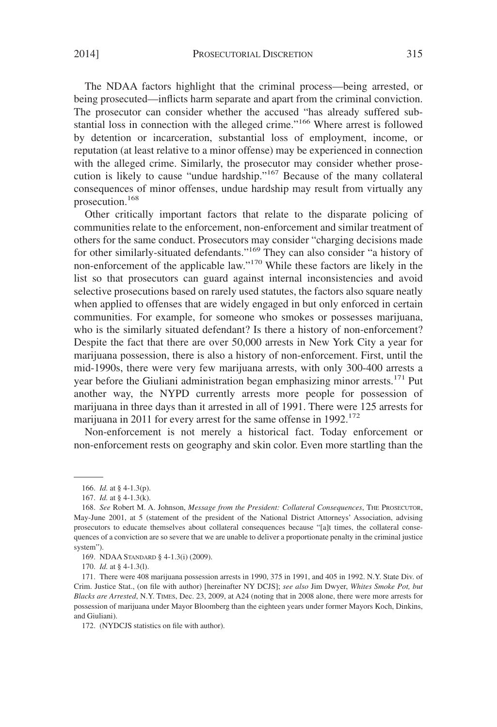The NDAA factors highlight that the criminal process—being arrested, or being prosecuted—inflicts harm separate and apart from the criminal conviction. The prosecutor can consider whether the accused "has already suffered substantial loss in connection with the alleged crime."166 Where arrest is followed by detention or incarceration, substantial loss of employment, income, or reputation (at least relative to a minor offense) may be experienced in connection with the alleged crime. Similarly, the prosecutor may consider whether prosecution is likely to cause "undue hardship."<sup>167</sup> Because of the many collateral consequences of minor offenses, undue hardship may result from virtually any prosecution.168

Other critically important factors that relate to the disparate policing of communities relate to the enforcement, non-enforcement and similar treatment of others for the same conduct. Prosecutors may consider "charging decisions made for other similarly-situated defendants."169 They can also consider "a history of non-enforcement of the applicable law."170 While these factors are likely in the list so that prosecutors can guard against internal inconsistencies and avoid selective prosecutions based on rarely used statutes, the factors also square neatly when applied to offenses that are widely engaged in but only enforced in certain communities. For example, for someone who smokes or possesses marijuana, who is the similarly situated defendant? Is there a history of non-enforcement? Despite the fact that there are over 50,000 arrests in New York City a year for marijuana possession, there is also a history of non-enforcement. First, until the mid-1990s, there were very few marijuana arrests, with only 300-400 arrests a year before the Giuliani administration began emphasizing minor arrests.<sup>171</sup> Put another way, the NYPD currently arrests more people for possession of marijuana in three days than it arrested in all of 1991. There were 125 arrests for marijuana in 2011 for every arrest for the same offense in 1992.<sup>172</sup>

Non-enforcement is not merely a historical fact. Today enforcement or non-enforcement rests on geography and skin color. Even more startling than the

<sup>166.</sup> *Id.* at § 4-1.3(p).

<sup>167.</sup> *Id.* at § 4-1.3(k).

<sup>168.</sup> *See* Robert M. A. Johnson, *Message from the President: Collateral Consequences*, THE PROSECUTOR, May-June 2001, at 5 (statement of the president of the National District Attorneys' Association, advising prosecutors to educate themselves about collateral consequences because "[a]t times, the collateral consequences of a conviction are so severe that we are unable to deliver a proportionate penalty in the criminal justice system").

<sup>169.</sup> NDAA STANDARD § 4-1.3(i) (2009).

<sup>170.</sup> *Id.* at § 4-1.3(l).

<sup>171.</sup> There were 408 marijuana possession arrests in 1990, 375 in 1991, and 405 in 1992. N.Y. State Div. of Crim. Justice Stat., (on file with author) [hereinafter NY DCJS]; *see also* Jim Dwyer, *Whites Smoke Pot, but Blacks are Arrested*, N.Y. TIMES, Dec. 23, 2009, at A24 (noting that in 2008 alone, there were more arrests for possession of marijuana under Mayor Bloomberg than the eighteen years under former Mayors Koch, Dinkins, and Giuliani).

<sup>172. (</sup>NYDCJS statistics on file with author).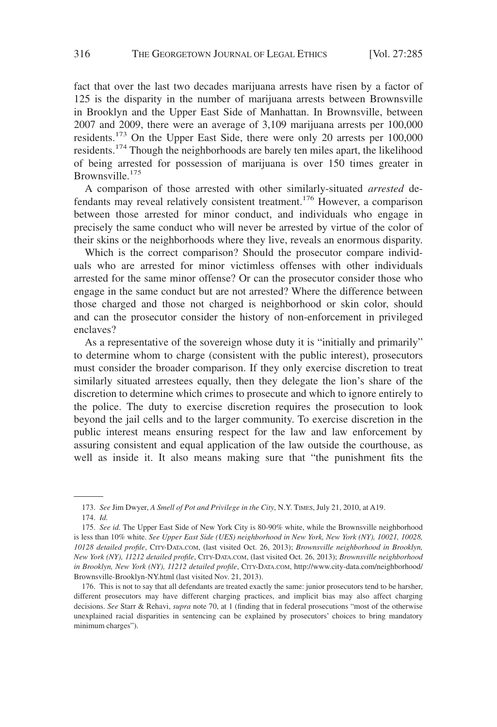fact that over the last two decades marijuana arrests have risen by a factor of 125 is the disparity in the number of marijuana arrests between Brownsville in Brooklyn and the Upper East Side of Manhattan. In Brownsville, between 2007 and 2009, there were an average of 3,109 marijuana arrests per 100,000 residents.<sup>173</sup> On the Upper East Side, there were only 20 arrests per 100,000 residents.<sup>174</sup> Though the neighborhoods are barely ten miles apart, the likelihood of being arrested for possession of marijuana is over 150 times greater in Brownsville.<sup>175</sup>

A comparison of those arrested with other similarly-situated *arrested* defendants may reveal relatively consistent treatment.<sup>176</sup> However, a comparison between those arrested for minor conduct, and individuals who engage in precisely the same conduct who will never be arrested by virtue of the color of their skins or the neighborhoods where they live, reveals an enormous disparity.

Which is the correct comparison? Should the prosecutor compare individuals who are arrested for minor victimless offenses with other individuals arrested for the same minor offense? Or can the prosecutor consider those who engage in the same conduct but are not arrested? Where the difference between those charged and those not charged is neighborhood or skin color, should and can the prosecutor consider the history of non-enforcement in privileged enclaves?

As a representative of the sovereign whose duty it is "initially and primarily" to determine whom to charge (consistent with the public interest), prosecutors must consider the broader comparison. If they only exercise discretion to treat similarly situated arrestees equally, then they delegate the lion's share of the discretion to determine which crimes to prosecute and which to ignore entirely to the police. The duty to exercise discretion requires the prosecution to look beyond the jail cells and to the larger community. To exercise discretion in the public interest means ensuring respect for the law and law enforcement by assuring consistent and equal application of the law outside the courthouse, as well as inside it. It also means making sure that "the punishment fits the

<sup>173.</sup> *See* Jim Dwyer, *A Smell of Pot and Privilege in the City*, N.Y. TIMES, July 21, 2010, at A19.

<sup>174.</sup> *Id.*

<sup>175.</sup> *See id.* The Upper East Side of New York City is 80-90% white, while the Brownsville neighborhood is less than 10% white. *See Upper East Side (UES) neighborhood in New York, New York (NY), 10021, 10028, 10128 detailed profile*, CITY-DATA.COM, (last visited Oct. 26, 2013); *Brownsville neighborhood in Brooklyn, New York (NY), 11212 detailed profile*, CITY-DATA.COM, (last visited Oct. 26, 2013); *Brownsville neighborhood in Brooklyn, New York (NY), 11212 detailed profile*, CITY-DATA.COM, http://www.city-data.com/neighborhood/ Brownsville-Brooklyn-NY.html (last visited Nov. 21, 2013).

<sup>176.</sup> This is not to say that all defendants are treated exactly the same: junior prosecutors tend to be harsher, different prosecutors may have different charging practices, and implicit bias may also affect charging decisions. *See* Starr & Rehavi, *supra* note 70, at 1 (finding that in federal prosecutions "most of the otherwise unexplained racial disparities in sentencing can be explained by prosecutors' choices to bring mandatory minimum charges").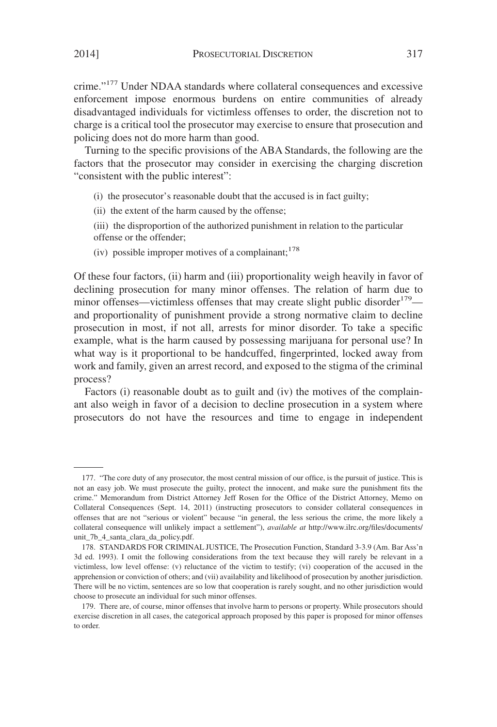crime."<sup>177</sup> Under NDAA standards where collateral consequences and excessive enforcement impose enormous burdens on entire communities of already disadvantaged individuals for victimless offenses to order, the discretion not to charge is a critical tool the prosecutor may exercise to ensure that prosecution and policing does not do more harm than good.

Turning to the specific provisions of the ABA Standards, the following are the factors that the prosecutor may consider in exercising the charging discretion "consistent with the public interest":

- (i) the prosecutor's reasonable doubt that the accused is in fact guilty;
- (ii) the extent of the harm caused by the offense;
- (iii) the disproportion of the authorized punishment in relation to the particular offense or the offender;
- (iv) possible improper motives of a complainant:  $178$

Of these four factors, (ii) harm and (iii) proportionality weigh heavily in favor of declining prosecution for many minor offenses. The relation of harm due to minor offenses—victimless offenses that may create slight public disorder<sup>179</sup> and proportionality of punishment provide a strong normative claim to decline prosecution in most, if not all, arrests for minor disorder. To take a specific example, what is the harm caused by possessing marijuana for personal use? In what way is it proportional to be handcuffed, fingerprinted, locked away from work and family, given an arrest record, and exposed to the stigma of the criminal process?

Factors (i) reasonable doubt as to guilt and (iv) the motives of the complainant also weigh in favor of a decision to decline prosecution in a system where prosecutors do not have the resources and time to engage in independent

<sup>177. &</sup>quot;The core duty of any prosecutor, the most central mission of our office, is the pursuit of justice. This is not an easy job. We must prosecute the guilty, protect the innocent, and make sure the punishment fits the crime." Memorandum from District Attorney Jeff Rosen for the Office of the District Attorney, Memo on Collateral Consequences (Sept. 14, 2011) (instructing prosecutors to consider collateral consequences in offenses that are not "serious or violent" because "in general, the less serious the crime, the more likely a collateral consequence will unlikely impact a settlement"), *available at* http://www.ilrc.org/files/documents/ unit\_7b\_4\_santa\_clara\_da\_policy.pdf.

<sup>178.</sup> STANDARDS FOR CRIMINAL JUSTICE, The Prosecution Function, Standard 3-3.9 (Am. Bar Ass'n 3d ed. 1993). I omit the following considerations from the text because they will rarely be relevant in a victimless, low level offense: (v) reluctance of the victim to testify; (vi) cooperation of the accused in the apprehension or conviction of others; and (vii) availability and likelihood of prosecution by another jurisdiction. There will be no victim, sentences are so low that cooperation is rarely sought, and no other jurisdiction would choose to prosecute an individual for such minor offenses.

<sup>179.</sup> There are, of course, minor offenses that involve harm to persons or property. While prosecutors should exercise discretion in all cases, the categorical approach proposed by this paper is proposed for minor offenses to order.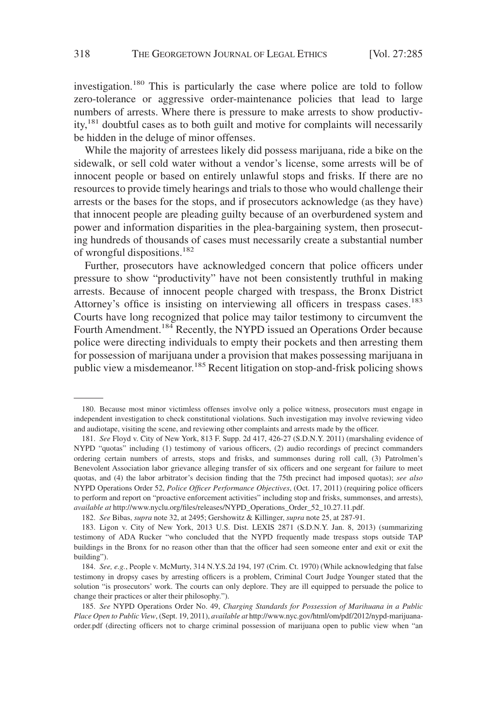investigation.<sup>180</sup> This is particularly the case where police are told to follow zero-tolerance or aggressive order-maintenance policies that lead to large numbers of arrests. Where there is pressure to make arrests to show productivity,<sup>181</sup> doubtful cases as to both guilt and motive for complaints will necessarily be hidden in the deluge of minor offenses.

While the majority of arrestees likely did possess marijuana, ride a bike on the sidewalk, or sell cold water without a vendor's license, some arrests will be of innocent people or based on entirely unlawful stops and frisks. If there are no resources to provide timely hearings and trials to those who would challenge their arrests or the bases for the stops, and if prosecutors acknowledge (as they have) that innocent people are pleading guilty because of an overburdened system and power and information disparities in the plea-bargaining system, then prosecuting hundreds of thousands of cases must necessarily create a substantial number of wrongful dispositions.<sup>182</sup>

Further, prosecutors have acknowledged concern that police officers under pressure to show "productivity" have not been consistently truthful in making arrests. Because of innocent people charged with trespass, the Bronx District Attorney's office is insisting on interviewing all officers in trespass cases.<sup>183</sup> Courts have long recognized that police may tailor testimony to circumvent the Fourth Amendment.<sup>184</sup> Recently, the NYPD issued an Operations Order because police were directing individuals to empty their pockets and then arresting them for possession of marijuana under a provision that makes possessing marijuana in public view a misdemeanor.<sup>185</sup> Recent litigation on stop-and-frisk policing shows

<sup>180.</sup> Because most minor victimless offenses involve only a police witness, prosecutors must engage in independent investigation to check constitutional violations. Such investigation may involve reviewing video and audiotape, visiting the scene, and reviewing other complaints and arrests made by the officer.

<sup>181.</sup> *See* Floyd v. City of New York, 813 F. Supp. 2d 417, 426-27 (S.D.N.Y. 2011) (marshaling evidence of NYPD "quotas" including (1) testimony of various officers, (2) audio recordings of precinct commanders ordering certain numbers of arrests, stops and frisks, and summonses during roll call, (3) Patrolmen's Benevolent Association labor grievance alleging transfer of six officers and one sergeant for failure to meet quotas, and (4) the labor arbitrator's decision finding that the 75th precinct had imposed quotas); *see also* NYPD Operations Order 52, *Police Officer Performance Objectives*, (Oct. 17, 2011) (requiring police officers to perform and report on "proactive enforcement activities" including stop and frisks, summonses, and arrests), *available at* http://www.nyclu.org/files/releases/NYPD\_Operations\_Order\_52\_10.27.11.pdf.

<sup>182.</sup> *See* Bibas, *supra* note 32, at 2495; Gershowitz & Killinger, *supra* note 25, at 287-91.

<sup>183.</sup> Ligon v. City of New York, 2013 U.S. Dist. LEXIS 2871 (S.D.N.Y. Jan. 8, 2013) (summarizing testimony of ADA Rucker "who concluded that the NYPD frequently made trespass stops outside TAP buildings in the Bronx for no reason other than that the officer had seen someone enter and exit or exit the building").

<sup>184.</sup> *See, e.g.*, People v. McMurty, 314 N.Y.S.2d 194, 197 (Crim. Ct. 1970) (While acknowledging that false testimony in dropsy cases by arresting officers is a problem, Criminal Court Judge Younger stated that the solution "is prosecutors' work. The courts can only deplore. They are ill equipped to persuade the police to change their practices or alter their philosophy.").

<sup>185.</sup> *See* NYPD Operations Order No. 49, *Charging Standards for Possession of Marihuana in a Public Place Open to Public View*, (Sept. 19, 2011), *available at* http://www.nyc.gov/html/om/pdf/2012/nypd-marijuanaorder.pdf (directing officers not to charge criminal possession of marijuana open to public view when "an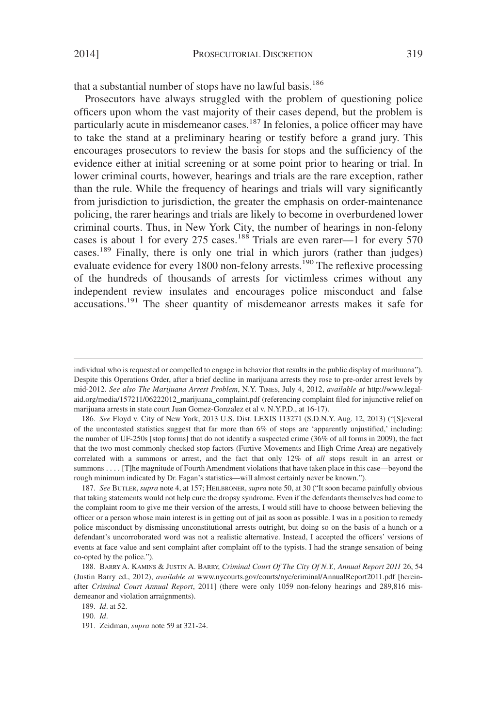that a substantial number of stops have no lawful basis.<sup>186</sup>

Prosecutors have always struggled with the problem of questioning police officers upon whom the vast majority of their cases depend, but the problem is particularly acute in misdemeanor cases.<sup>187</sup> In felonies, a police officer may have to take the stand at a preliminary hearing or testify before a grand jury. This encourages prosecutors to review the basis for stops and the sufficiency of the evidence either at initial screening or at some point prior to hearing or trial. In lower criminal courts, however, hearings and trials are the rare exception, rather than the rule. While the frequency of hearings and trials will vary significantly from jurisdiction to jurisdiction, the greater the emphasis on order-maintenance policing, the rarer hearings and trials are likely to become in overburdened lower criminal courts. Thus, in New York City, the number of hearings in non-felony cases is about 1 for every 275 cases.<sup>188</sup> Trials are even rarer—1 for every 570 cases.<sup>189</sup> Finally, there is only one trial in which jurors (rather than judges) evaluate evidence for every 1800 non-felony arrests.<sup>190</sup> The reflexive processing of the hundreds of thousands of arrests for victimless crimes without any independent review insulates and encourages police misconduct and false accusations.<sup>191</sup> The sheer quantity of misdemeanor arrests makes it safe for

187. *See* BUTLER, *supra* note 4, at 157; HEILBRONER, *supra* note 50, at 30 ("It soon became painfully obvious that taking statements would not help cure the dropsy syndrome. Even if the defendants themselves had come to the complaint room to give me their version of the arrests, I would still have to choose between believing the officer or a person whose main interest is in getting out of jail as soon as possible. I was in a position to remedy police misconduct by dismissing unconstitutional arrests outright, but doing so on the basis of a hunch or a defendant's uncorroborated word was not a realistic alternative. Instead, I accepted the officers' versions of events at face value and sent complaint after complaint off to the typists. I had the strange sensation of being co-opted by the police.").

189. *Id*. at 52.

190. *Id*.

individual who is requested or compelled to engage in behavior that results in the public display of marihuana"). Despite this Operations Order, after a brief decline in marijuana arrests they rose to pre-order arrest levels by mid-2012. *See also The Marijuana Arrest Problem*, N.Y. TIMES, July 4, 2012, *available at* http://www.legalaid.org/media/157211/06222012\_marijuana\_complaint.pdf (referencing complaint filed for injunctive relief on marijuana arrests in state court Juan Gomez-Gonzalez et al v. N.Y.P.D., at 16-17).

<sup>186.</sup> *See* Floyd v. City of New York, 2013 U.S. Dist. LEXIS 113271 (S.D.N.Y. Aug. 12, 2013) ("[S]everal of the uncontested statistics suggest that far more than 6% of stops are 'apparently unjustified,' including: the number of UF-250s [stop forms] that do not identify a suspected crime (36% of all forms in 2009), the fact that the two most commonly checked stop factors (Furtive Movements and High Crime Area) are negatively correlated with a summons or arrest, and the fact that only 12% of *all* stops result in an arrest or summons.... [T]he magnitude of Fourth Amendment violations that have taken place in this case—beyond the rough minimum indicated by Dr. Fagan's statistics—will almost certainly never be known.").

<sup>188.</sup> BARRY A. KAMINS & JUSTIN A. BARRY, *Criminal Court Of The City Of N.Y., Annual Report 2011* 26, 54 (Justin Barry ed., 2012), *available at* www.nycourts.gov/courts/nyc/criminal/AnnualReport2011.pdf [hereinafter *Criminal Court Annual Report*, 2011] (there were only 1059 non-felony hearings and 289,816 misdemeanor and violation arraignments).

<sup>191.</sup> Zeidman, *supra* note 59 at 321-24.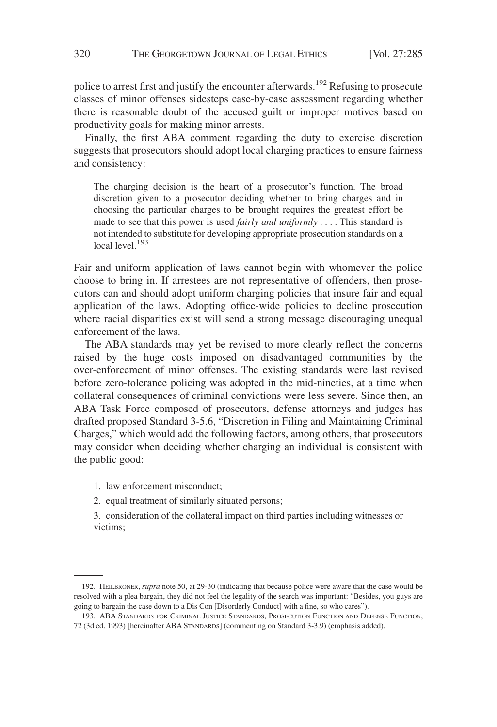police to arrest first and justify the encounter afterwards.<sup>192</sup> Refusing to prosecute classes of minor offenses sidesteps case-by-case assessment regarding whether there is reasonable doubt of the accused guilt or improper motives based on productivity goals for making minor arrests.

Finally, the first ABA comment regarding the duty to exercise discretion suggests that prosecutors should adopt local charging practices to ensure fairness and consistency:

The charging decision is the heart of a prosecutor's function. The broad discretion given to a prosecutor deciding whether to bring charges and in choosing the particular charges to be brought requires the greatest effort be made to see that this power is used *fairly and uniformly* .... This standard is not intended to substitute for developing appropriate prosecution standards on a local level.<sup>193</sup>

Fair and uniform application of laws cannot begin with whomever the police choose to bring in. If arrestees are not representative of offenders, then prosecutors can and should adopt uniform charging policies that insure fair and equal application of the laws. Adopting office-wide policies to decline prosecution where racial disparities exist will send a strong message discouraging unequal enforcement of the laws.

The ABA standards may yet be revised to more clearly reflect the concerns raised by the huge costs imposed on disadvantaged communities by the over-enforcement of minor offenses. The existing standards were last revised before zero-tolerance policing was adopted in the mid-nineties, at a time when collateral consequences of criminal convictions were less severe. Since then, an ABA Task Force composed of prosecutors, defense attorneys and judges has drafted proposed Standard 3-5.6, "Discretion in Filing and Maintaining Criminal Charges," which would add the following factors, among others, that prosecutors may consider when deciding whether charging an individual is consistent with the public good:

- 1. law enforcement misconduct;
- 2. equal treatment of similarly situated persons;

3. consideration of the collateral impact on third parties including witnesses or victims;

<sup>192.</sup> HEILBRONER, *supra* note 50, at 29-30 (indicating that because police were aware that the case would be resolved with a plea bargain, they did not feel the legality of the search was important: "Besides, you guys are going to bargain the case down to a Dis Con [Disorderly Conduct] with a fine, so who cares").

<sup>193.</sup> ABA STANDARDS FOR CRIMINAL JUSTICE STANDARDS, PROSECUTION FUNCTION AND DEFENSE FUNCTION, 72 (3d ed. 1993) [hereinafter ABA STANDARDS] (commenting on Standard 3-3.9) (emphasis added).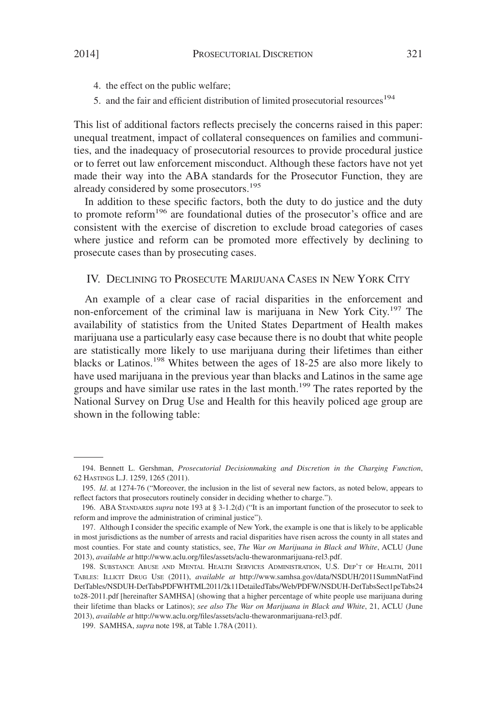- 4. the effect on the public welfare;
- 5. and the fair and efficient distribution of limited prosecutorial resources<sup>194</sup>

This list of additional factors reflects precisely the concerns raised in this paper: unequal treatment, impact of collateral consequences on families and communities, and the inadequacy of prosecutorial resources to provide procedural justice or to ferret out law enforcement misconduct. Although these factors have not yet made their way into the ABA standards for the Prosecutor Function, they are already considered by some prosecutors.<sup>195</sup>

In addition to these specific factors, both the duty to do justice and the duty to promote reform<sup>196</sup> are foundational duties of the prosecutor's office and are consistent with the exercise of discretion to exclude broad categories of cases where justice and reform can be promoted more effectively by declining to prosecute cases than by prosecuting cases.

## IV. DECLINING TO PROSECUTE MARIJUANA CASES IN NEW YORK CITY

An example of a clear case of racial disparities in the enforcement and non-enforcement of the criminal law is marijuana in New York City.<sup>197</sup> The availability of statistics from the United States Department of Health makes marijuana use a particularly easy case because there is no doubt that white people are statistically more likely to use marijuana during their lifetimes than either blacks or Latinos.<sup>198</sup> Whites between the ages of 18-25 are also more likely to have used marijuana in the previous year than blacks and Latinos in the same age groups and have similar use rates in the last month.<sup>199</sup> The rates reported by the National Survey on Drug Use and Health for this heavily policed age group are shown in the following table:

<sup>194.</sup> Bennett L. Gershman, *Prosecutorial Decisionmaking and Discretion in the Charging Function*, 62 HASTINGS L.J. 1259, 1265 (2011).

<sup>195.</sup> *Id*. at 1274-76 ("Moreover, the inclusion in the list of several new factors, as noted below, appears to reflect factors that prosecutors routinely consider in deciding whether to charge.").

<sup>196.</sup> ABA STANDARDS *supra* note 193 at § 3-1.2(d) ("It is an important function of the prosecutor to seek to reform and improve the administration of criminal justice").

<sup>197.</sup> Although I consider the specific example of New York, the example is one that is likely to be applicable in most jurisdictions as the number of arrests and racial disparities have risen across the county in all states and most counties. For state and county statistics, see, *The War on Marijuana in Black and White*, ACLU (June 2013), *available at* http://www.aclu.org/files/assets/aclu-thewaronmarijuana-rel3.pdf.

<sup>198.</sup> SUBSTANCE ABUSE AND MENTAL HEALTH SERVICES ADMINISTRATION, U.S. DEP'T OF HEALTH, 2011 TABLES: ILLICIT DRUG USE (2011), *available at* http://www.samhsa.gov/data/NSDUH/2011SummNatFind DetTables/NSDUH-DetTabsPDFWHTML2011/2k11DetailedTabs/Web/PDFW/NSDUH-DetTabsSect1peTabs24 to28-2011.pdf [hereinafter SAMHSA] (showing that a higher percentage of white people use marijuana during their lifetime than blacks or Latinos); *see also The War on Marijuana in Black and White*, 21, ACLU (June 2013), *available at* http://www.aclu.org/files/assets/aclu-thewaronmarijuana-rel3.pdf.

<sup>199.</sup> SAMHSA, *supra* note 198, at Table 1.78A (2011).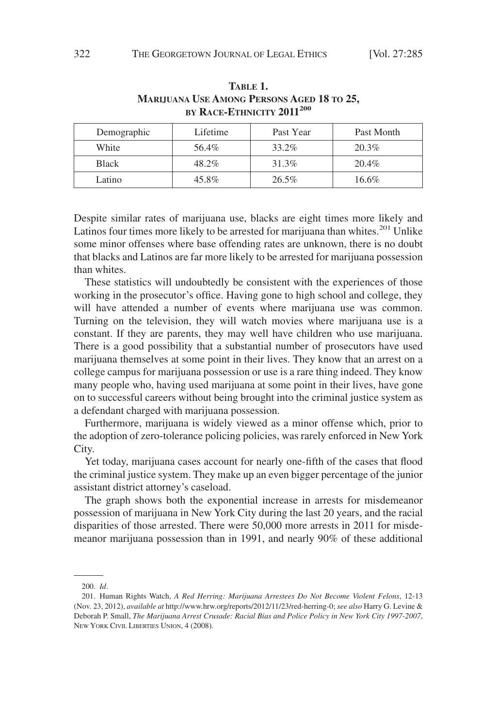| BY RACE-ETHNICITY 2011 <sup>200</sup> |          |           |            |  |
|---------------------------------------|----------|-----------|------------|--|
| Demographic                           | Lifetime | Past Year | Past Month |  |
| White                                 | 56.4%    | 33.2%     | 20.3%      |  |
| <b>Black</b>                          | 48.2%    | 31.3%     | 20.4%      |  |
| Latino                                | 45.8%    | $26.5\%$  | 16.6%      |  |

## **TABLE 1. MARIJUANA USE AMONG PERSONS AGED 18 TO 25, BY RACE-ETHNICITY 2011<sup>200</sup>**

Despite similar rates of marijuana use, blacks are eight times more likely and Latinos four times more likely to be arrested for marijuana than whites.<sup>201</sup> Unlike some minor offenses where base offending rates are unknown, there is no doubt that blacks and Latinos are far more likely to be arrested for marijuana possession than whites.

These statistics will undoubtedly be consistent with the experiences of those working in the prosecutor's office. Having gone to high school and college, they will have attended a number of events where marijuana use was common. Turning on the television, they will watch movies where marijuana use is a constant. If they are parents, they may well have children who use marijuana. There is a good possibility that a substantial number of prosecutors have used marijuana themselves at some point in their lives. They know that an arrest on a college campus for marijuana possession or use is a rare thing indeed. They know many people who, having used marijuana at some point in their lives, have gone on to successful careers without being brought into the criminal justice system as a defendant charged with marijuana possession.

Furthermore, marijuana is widely viewed as a minor offense which, prior to the adoption of zero-tolerance policing policies, was rarely enforced in New York City.

Yet today, marijuana cases account for nearly one-fifth of the cases that flood the criminal justice system. They make up an even bigger percentage of the junior assistant district attorney's caseload.

The graph shows both the exponential increase in arrests for misdemeanor possession of marijuana in New York City during the last 20 years, and the racial disparities of those arrested. There were 50,000 more arrests in 2011 for misdemeanor marijuana possession than in 1991, and nearly 90% of these additional

<sup>200.</sup> *Id*.

<sup>201.</sup> Human Rights Watch, *A Red Herring: Marijuana Arrestees Do Not Become Violent Felons*, 12-13 (Nov. 23, 2012), *available at* http://www.hrw.org/reports/2012/11/23/red-herring-0; *see also* Harry G. Levine & Deborah P. Small, *The Marijuana Arrest Crusade: Racial Bias and Police Policy in New York City 1997-2007*, NEW YORK CIVIL LIBERTIES UNION, 4 (2008).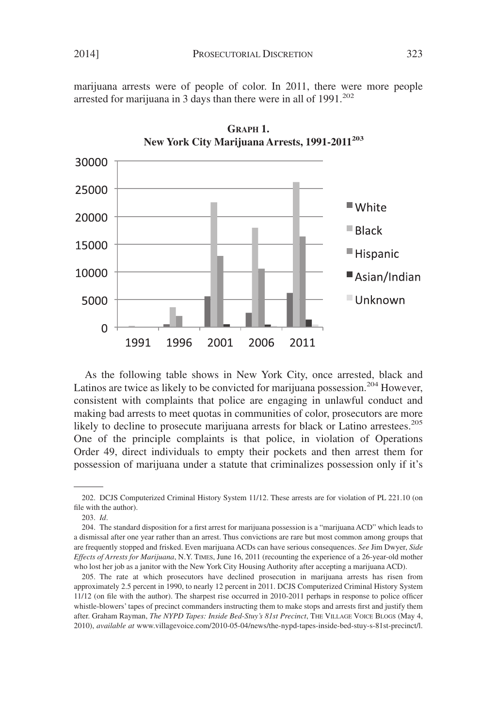marijuana arrests were of people of color. In 2011, there were more people arrested for marijuana in 3 days than there were in all of  $1991.^{202}$ 



**GRAPH 1. New York City Marijuana Arrests, 1991-2011<sup>203</sup>**

As the following table shows in New York City, once arrested, black and Latinos are twice as likely to be convicted for marijuana possession.<sup>204</sup> However, consistent with complaints that police are engaging in unlawful conduct and making bad arrests to meet quotas in communities of color, prosecutors are more likely to decline to prosecute marijuana arrests for black or Latino arrestees.<sup>205</sup> One of the principle complaints is that police, in violation of Operations Order 49, direct individuals to empty their pockets and then arrest them for possession of marijuana under a statute that criminalizes possession only if it's

<sup>202.</sup> DCJS Computerized Criminal History System 11/12. These arrests are for violation of PL 221.10 (on file with the author).

<sup>203.</sup> *Id*.

<sup>204.</sup> The standard disposition for a first arrest for marijuana possession is a "marijuana ACD" which leads to a dismissal after one year rather than an arrest. Thus convictions are rare but most common among groups that are frequently stopped and frisked. Even marijuana ACDs can have serious consequences. *See* Jim Dwyer, *Side Effects of Arrests for Marijuana*, N.Y. TIMES, June 16, 2011 (recounting the experience of a 26-year-old mother who lost her job as a janitor with the New York City Housing Authority after accepting a marijuana ACD).

<sup>205.</sup> The rate at which prosecutors have declined prosecution in marijuana arrests has risen from approximately 2.5 percent in 1990, to nearly 12 percent in 2011. DCJS Computerized Criminal History System 11/12 (on file with the author). The sharpest rise occurred in 2010-2011 perhaps in response to police officer whistle-blowers' tapes of precinct commanders instructing them to make stops and arrests first and justify them after. Graham Rayman, *The NYPD Tapes: Inside Bed-Stuy's 81st Precinct*, THE VILLAGE VOICE BLOGS (May 4, 2010), *available at* www.villagevoice.com/2010-05-04/news/the-nypd-tapes-inside-bed-stuy-s-81st-precinct/l.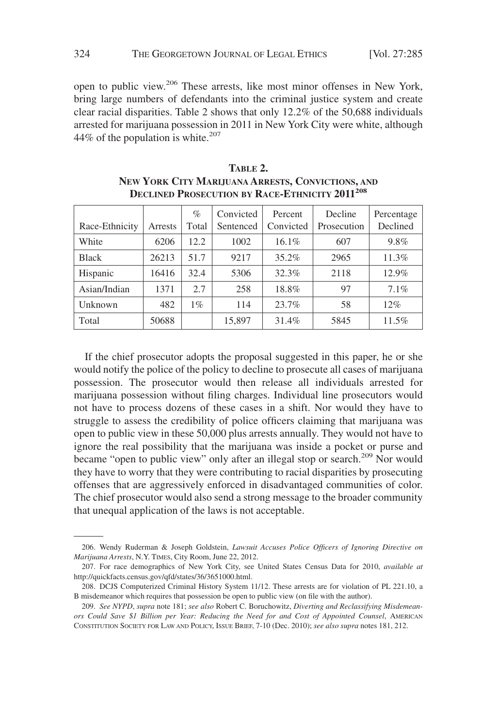open to public view.206 These arrests, like most minor offenses in New York, bring large numbers of defendants into the criminal justice system and create clear racial disparities. Table 2 shows that only 12.2% of the 50,688 individuals arrested for marijuana possession in 2011 in New York City were white, although 44% of the population is white. $207$ 

|                |         | $\%$  | Convicted | Percent   | Decline     | Percentage |
|----------------|---------|-------|-----------|-----------|-------------|------------|
| Race-Ethnicity | Arrests | Total | Sentenced | Convicted | Prosecution | Declined   |
| White          | 6206    | 12.2  | 1002      | $16.1\%$  | 607         | 9.8%       |
| <b>Black</b>   | 26213   | 51.7  | 9217      | $35.2\%$  | 2965        | 11.3%      |
| Hispanic       | 16416   | 32.4  | 5306      | 32.3%     | 2118        | $12.9\%$   |
| Asian/Indian   | 1371    | 2.7   | 258       | 18.8%     | 97          | 7.1%       |
| Unknown        | 482     | $1\%$ | 114       | 23.7%     | 58          | $12\%$     |
| Total          | 50688   |       | 15,897    | 31.4%     | 5845        | 11.5%      |

| TABLE 2.                                                         |
|------------------------------------------------------------------|
| NEW YORK CITY MARIJUANA ARRESTS, CONVICTIONS, AND                |
| <b>DECLINED PROSECUTION BY RACE-ETHNICITY 2011<sup>208</sup></b> |

If the chief prosecutor adopts the proposal suggested in this paper, he or she would notify the police of the policy to decline to prosecute all cases of marijuana possession. The prosecutor would then release all individuals arrested for marijuana possession without filing charges. Individual line prosecutors would not have to process dozens of these cases in a shift. Nor would they have to struggle to assess the credibility of police officers claiming that marijuana was open to public view in these 50,000 plus arrests annually. They would not have to ignore the real possibility that the marijuana was inside a pocket or purse and became "open to public view" only after an illegal stop or search.<sup>209</sup> Nor would they have to worry that they were contributing to racial disparities by prosecuting offenses that are aggressively enforced in disadvantaged communities of color. The chief prosecutor would also send a strong message to the broader community that unequal application of the laws is not acceptable.

<sup>206.</sup> Wendy Ruderman & Joseph Goldstein, *Lawsuit Accuses Police Officers of Ignoring Directive on Marijuana Arrests*, N.Y. TIMES, City Room, June 22, 2012.

<sup>207.</sup> For race demographics of New York City, see United States Census Data for 2010, *available at* http://quickfacts.census.gov/qfd/states/36/3651000.html.

<sup>208.</sup> DCJS Computerized Criminal History System 11/12. These arrests are for violation of PL 221.10, a B misdemeanor which requires that possession be open to public view (on file with the author).

<sup>209.</sup> *See NYPD*, *supra* note 181; *see also* Robert C. Boruchowitz, *Diverting and Reclassifying Misdemeanors Could Save \$1 Billion per Year: Reducing the Need for and Cost of Appointed Counsel*, AMERICAN CONSTITUTION SOCIETY FOR LAW AND POLICY, ISSUE BRIEF, 7-10 (Dec. 2010); *see also supra* notes 181, 212.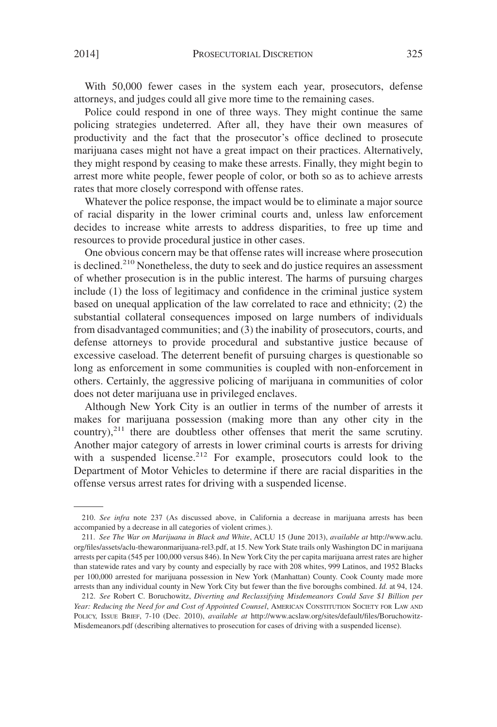With 50,000 fewer cases in the system each year, prosecutors, defense attorneys, and judges could all give more time to the remaining cases.

Police could respond in one of three ways. They might continue the same policing strategies undeterred. After all, they have their own measures of productivity and the fact that the prosecutor's office declined to prosecute marijuana cases might not have a great impact on their practices. Alternatively, they might respond by ceasing to make these arrests. Finally, they might begin to arrest more white people, fewer people of color, or both so as to achieve arrests rates that more closely correspond with offense rates.

Whatever the police response, the impact would be to eliminate a major source of racial disparity in the lower criminal courts and, unless law enforcement decides to increase white arrests to address disparities, to free up time and resources to provide procedural justice in other cases.

One obvious concern may be that offense rates will increase where prosecution is declined.<sup>210</sup> Nonetheless, the duty to seek and do justice requires an assessment of whether prosecution is in the public interest. The harms of pursuing charges include (1) the loss of legitimacy and confidence in the criminal justice system based on unequal application of the law correlated to race and ethnicity; (2) the substantial collateral consequences imposed on large numbers of individuals from disadvantaged communities; and (3) the inability of prosecutors, courts, and defense attorneys to provide procedural and substantive justice because of excessive caseload. The deterrent benefit of pursuing charges is questionable so long as enforcement in some communities is coupled with non-enforcement in others. Certainly, the aggressive policing of marijuana in communities of color does not deter marijuana use in privileged enclaves.

Although New York City is an outlier in terms of the number of arrests it makes for marijuana possession (making more than any other city in the country), $^{211}$  there are doubtless other offenses that merit the same scrutiny. Another major category of arrests in lower criminal courts is arrests for driving with a suspended license.<sup>212</sup> For example, prosecutors could look to the Department of Motor Vehicles to determine if there are racial disparities in the offense versus arrest rates for driving with a suspended license.

<sup>210.</sup> *See infra* note 237 (As discussed above, in California a decrease in marijuana arrests has been accompanied by a decrease in all categories of violent crimes.).

<sup>211.</sup> *See The War on Marijuana in Black and White*, ACLU 15 (June 2013), *available at* http://www.aclu. org/files/assets/aclu-thewaronmarijuana-rel3.pdf, at 15. New York State trails only Washington DC in marijuana arrests per capita (545 per 100,000 versus 846). In New York City the per capita marijuana arrest rates are higher than statewide rates and vary by county and especially by race with 208 whites, 999 Latinos, and 1952 Blacks per 100,000 arrested for marijuana possession in New York (Manhattan) County. Cook County made more arrests than any individual county in New York City but fewer than the five boroughs combined. *Id.* at 94, 124.

<sup>212.</sup> *See* Robert C. Boruchowitz, *Diverting and Reclassifying Misdemeanors Could Save \$1 Billion per Year: Reducing the Need for and Cost of Appointed Counsel*, AMERICAN CONSTITUTION SOCIETY FOR LAW AND POLICY, ISSUE BRIEF, 7-10 (Dec. 2010), *available at* http://www.acslaw.org/sites/default/files/Boruchowitz-Misdemeanors.pdf (describing alternatives to prosecution for cases of driving with a suspended license).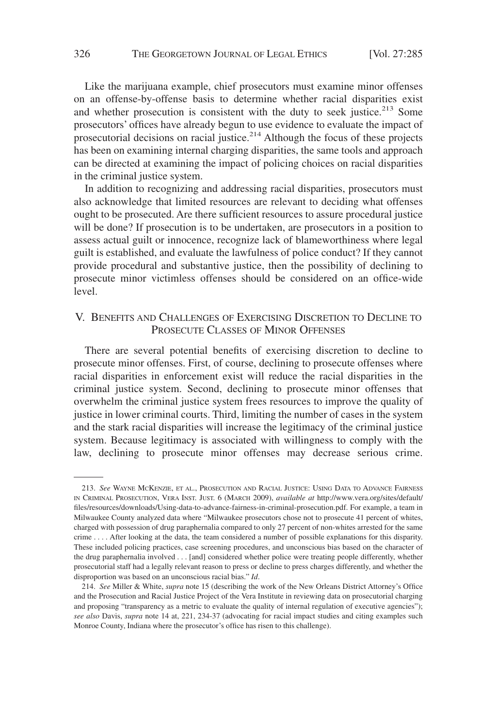Like the marijuana example, chief prosecutors must examine minor offenses on an offense-by-offense basis to determine whether racial disparities exist and whether prosecution is consistent with the duty to seek justice. $213$  Some prosecutors' offices have already begun to use evidence to evaluate the impact of prosecutorial decisions on racial justice. $2^{14}$  Although the focus of these projects has been on examining internal charging disparities, the same tools and approach can be directed at examining the impact of policing choices on racial disparities in the criminal justice system.

In addition to recognizing and addressing racial disparities, prosecutors must also acknowledge that limited resources are relevant to deciding what offenses ought to be prosecuted. Are there sufficient resources to assure procedural justice will be done? If prosecution is to be undertaken, are prosecutors in a position to assess actual guilt or innocence, recognize lack of blameworthiness where legal guilt is established, and evaluate the lawfulness of police conduct? If they cannot provide procedural and substantive justice, then the possibility of declining to prosecute minor victimless offenses should be considered on an office-wide level.

## V. BENEFITS AND CHALLENGES OF EXERCISING DISCRETION TO DECLINE TO PROSECUTE CLASSES OF MINOR OFFENSES

There are several potential benefits of exercising discretion to decline to prosecute minor offenses. First, of course, declining to prosecute offenses where racial disparities in enforcement exist will reduce the racial disparities in the criminal justice system. Second, declining to prosecute minor offenses that overwhelm the criminal justice system frees resources to improve the quality of justice in lower criminal courts. Third, limiting the number of cases in the system and the stark racial disparities will increase the legitimacy of the criminal justice system. Because legitimacy is associated with willingness to comply with the law, declining to prosecute minor offenses may decrease serious crime.

<sup>213.</sup> *See* WAYNE MCKENZIE, ET AL., PROSECUTION AND RACIAL JUSTICE: USING DATA TO ADVANCE FAIRNESS IN CRIMINAL PROSECUTION, VERA INST. JUST. 6 (MARCH 2009), *available at* http://www.vera.org/sites/default/ files/resources/downloads/Using-data-to-advance-fairness-in-criminal-prosecution.pdf. For example, a team in Milwaukee County analyzed data where "Milwaukee prosecutors chose not to prosecute 41 percent of whites, charged with possession of drug paraphernalia compared to only 27 percent of non-whites arrested for the same crime.... After looking at the data, the team considered a number of possible explanations for this disparity. These included policing practices, case screening procedures, and unconscious bias based on the character of the drug paraphernalia involved... [and] considered whether police were treating people differently, whether prosecutorial staff had a legally relevant reason to press or decline to press charges differently, and whether the disproportion was based on an unconscious racial bias." *Id*.

<sup>214.</sup> *See* Miller & White, *supra* note 15 (describing the work of the New Orleans District Attorney's Office and the Prosecution and Racial Justice Project of the Vera Institute in reviewing data on prosecutorial charging and proposing "transparency as a metric to evaluate the quality of internal regulation of executive agencies"); *see also* Davis, *supra* note 14 at, 221, 234-37 (advocating for racial impact studies and citing examples such Monroe County, Indiana where the prosecutor's office has risen to this challenge).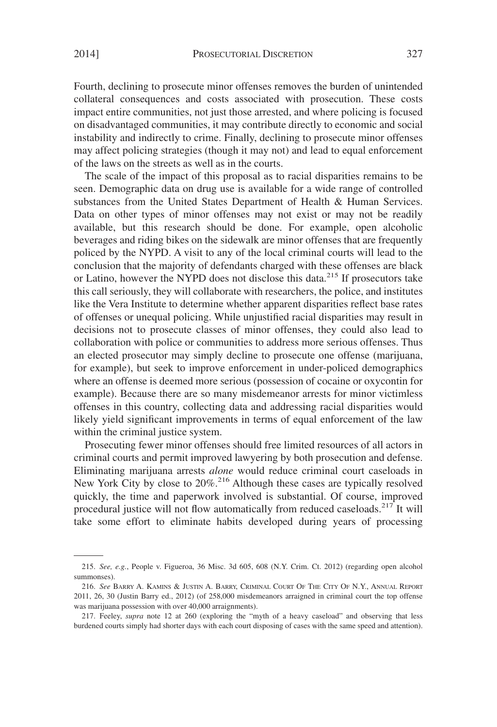Fourth, declining to prosecute minor offenses removes the burden of unintended collateral consequences and costs associated with prosecution. These costs impact entire communities, not just those arrested, and where policing is focused on disadvantaged communities, it may contribute directly to economic and social instability and indirectly to crime. Finally, declining to prosecute minor offenses may affect policing strategies (though it may not) and lead to equal enforcement of the laws on the streets as well as in the courts.

The scale of the impact of this proposal as to racial disparities remains to be seen. Demographic data on drug use is available for a wide range of controlled substances from the United States Department of Health & Human Services. Data on other types of minor offenses may not exist or may not be readily available, but this research should be done. For example, open alcoholic beverages and riding bikes on the sidewalk are minor offenses that are frequently policed by the NYPD. A visit to any of the local criminal courts will lead to the conclusion that the majority of defendants charged with these offenses are black or Latino, however the NYPD does not disclose this data.<sup>215</sup> If prosecutors take this call seriously, they will collaborate with researchers, the police, and institutes like the Vera Institute to determine whether apparent disparities reflect base rates of offenses or unequal policing. While unjustified racial disparities may result in decisions not to prosecute classes of minor offenses, they could also lead to collaboration with police or communities to address more serious offenses. Thus an elected prosecutor may simply decline to prosecute one offense (marijuana, for example), but seek to improve enforcement in under-policed demographics where an offense is deemed more serious (possession of cocaine or oxycontin for example). Because there are so many misdemeanor arrests for minor victimless offenses in this country, collecting data and addressing racial disparities would likely yield significant improvements in terms of equal enforcement of the law within the criminal justice system.

Prosecuting fewer minor offenses should free limited resources of all actors in criminal courts and permit improved lawyering by both prosecution and defense. Eliminating marijuana arrests *alone* would reduce criminal court caseloads in New York City by close to 20%.<sup>216</sup> Although these cases are typically resolved quickly, the time and paperwork involved is substantial. Of course, improved procedural justice will not flow automatically from reduced caseloads.<sup>217</sup> It will take some effort to eliminate habits developed during years of processing

<sup>215.</sup> *See, e.g.*, People v. Figueroa, 36 Misc. 3d 605, 608 (N.Y. Crim. Ct. 2012) (regarding open alcohol summonses).

<sup>216.</sup> *See* BARRY A. KAMINS & JUSTIN A. BARRY, CRIMINAL COURT OF THE CITY OF N.Y., ANNUAL REPORT 2011, 26, 30 (Justin Barry ed., 2012) (of 258,000 misdemeanors arraigned in criminal court the top offense was marijuana possession with over 40,000 arraignments).

<sup>217.</sup> Feeley, *supra* note 12 at 260 (exploring the "myth of a heavy caseload" and observing that less burdened courts simply had shorter days with each court disposing of cases with the same speed and attention).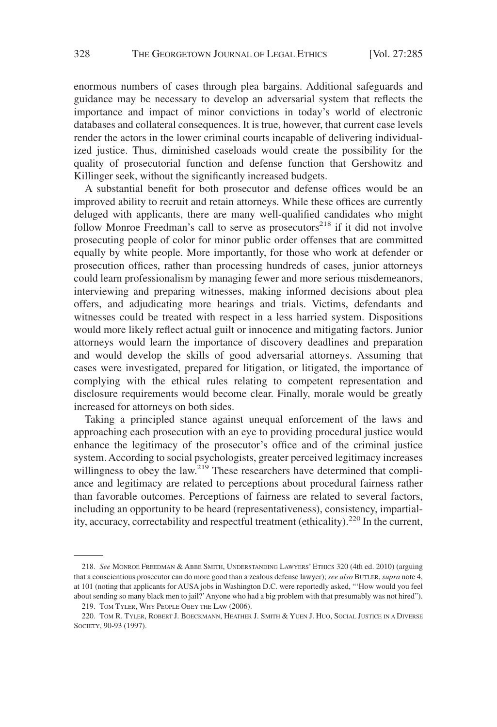enormous numbers of cases through plea bargains. Additional safeguards and guidance may be necessary to develop an adversarial system that reflects the importance and impact of minor convictions in today's world of electronic databases and collateral consequences. It is true, however, that current case levels render the actors in the lower criminal courts incapable of delivering individualized justice. Thus, diminished caseloads would create the possibility for the quality of prosecutorial function and defense function that Gershowitz and Killinger seek, without the significantly increased budgets.

A substantial benefit for both prosecutor and defense offices would be an improved ability to recruit and retain attorneys. While these offices are currently deluged with applicants, there are many well-qualified candidates who might follow Monroe Freedman's call to serve as prosecutors $^{218}$  if it did not involve prosecuting people of color for minor public order offenses that are committed equally by white people. More importantly, for those who work at defender or prosecution offices, rather than processing hundreds of cases, junior attorneys could learn professionalism by managing fewer and more serious misdemeanors, interviewing and preparing witnesses, making informed decisions about plea offers, and adjudicating more hearings and trials. Victims, defendants and witnesses could be treated with respect in a less harried system. Dispositions would more likely reflect actual guilt or innocence and mitigating factors. Junior attorneys would learn the importance of discovery deadlines and preparation and would develop the skills of good adversarial attorneys. Assuming that cases were investigated, prepared for litigation, or litigated, the importance of complying with the ethical rules relating to competent representation and disclosure requirements would become clear. Finally, morale would be greatly increased for attorneys on both sides.

Taking a principled stance against unequal enforcement of the laws and approaching each prosecution with an eye to providing procedural justice would enhance the legitimacy of the prosecutor's office and of the criminal justice system. According to social psychologists, greater perceived legitimacy increases willingness to obey the law.<sup>219</sup> These researchers have determined that compliance and legitimacy are related to perceptions about procedural fairness rather than favorable outcomes. Perceptions of fairness are related to several factors, including an opportunity to be heard (representativeness), consistency, impartiality, accuracy, correctability and respectful treatment (ethicality).<sup>220</sup> In the current,

<sup>218.</sup> *See* MONROE FREEDMAN & ABBE SMITH, UNDERSTANDING LAWYERS' ETHICS 320 (4th ed. 2010) (arguing that a conscientious prosecutor can do more good than a zealous defense lawyer); *see also* BUTLER, *supra* note 4, at 101 (noting that applicants for AUSA jobs in Washington D.C. were reportedly asked, "'How would you feel about sending so many black men to jail?'Anyone who had a big problem with that presumably was not hired").

<sup>219.</sup> TOM TYLER, WHY PEOPLE OBEY THE LAW (2006).

<sup>220.</sup> TOM R. TYLER, ROBERT J. BOECKMANN, HEATHER J. SMITH & YUEN J. HUO, SOCIAL JUSTICE IN A DIVERSE SOCIETY, 90-93 (1997).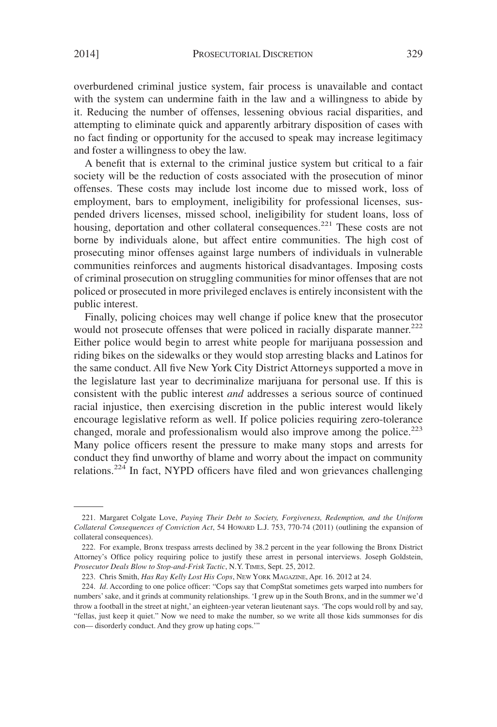overburdened criminal justice system, fair process is unavailable and contact with the system can undermine faith in the law and a willingness to abide by it. Reducing the number of offenses, lessening obvious racial disparities, and attempting to eliminate quick and apparently arbitrary disposition of cases with no fact finding or opportunity for the accused to speak may increase legitimacy and foster a willingness to obey the law.

A benefit that is external to the criminal justice system but critical to a fair society will be the reduction of costs associated with the prosecution of minor offenses. These costs may include lost income due to missed work, loss of employment, bars to employment, ineligibility for professional licenses, suspended drivers licenses, missed school, ineligibility for student loans, loss of housing, deportation and other collateral consequences.<sup>221</sup> These costs are not borne by individuals alone, but affect entire communities. The high cost of prosecuting minor offenses against large numbers of individuals in vulnerable communities reinforces and augments historical disadvantages. Imposing costs of criminal prosecution on struggling communities for minor offenses that are not policed or prosecuted in more privileged enclaves is entirely inconsistent with the public interest.

Finally, policing choices may well change if police knew that the prosecutor would not prosecute offenses that were policed in racially disparate manner.<sup>222</sup> Either police would begin to arrest white people for marijuana possession and riding bikes on the sidewalks or they would stop arresting blacks and Latinos for the same conduct. All five New York City District Attorneys supported a move in the legislature last year to decriminalize marijuana for personal use. If this is consistent with the public interest *and* addresses a serious source of continued racial injustice, then exercising discretion in the public interest would likely encourage legislative reform as well. If police policies requiring zero-tolerance changed, morale and professionalism would also improve among the police.<sup>223</sup> Many police officers resent the pressure to make many stops and arrests for conduct they find unworthy of blame and worry about the impact on community relations.<sup>224</sup> In fact, NYPD officers have filed and won grievances challenging

<sup>221.</sup> Margaret Colgate Love, *Paying Their Debt to Society, Forgiveness, Redemption, and the Uniform Collateral Consequences of Conviction Act*, 54 HOWARD L.J. 753, 770-74 (2011) (outlining the expansion of collateral consequences).

<sup>222.</sup> For example, Bronx trespass arrests declined by 38.2 percent in the year following the Bronx District Attorney's Office policy requiring police to justify these arrest in personal interviews. Joseph Goldstein, *Prosecutor Deals Blow to Stop-and-Frisk Tactic*, N.Y. TIMES, Sept. 25, 2012.

<sup>223.</sup> Chris Smith, *Has Ray Kelly Lost His Cops*, NEW YORK MAGAZINE, Apr. 16. 2012 at 24.

<sup>224.</sup> *Id*. According to one police officer: "Cops say that CompStat sometimes gets warped into numbers for numbers' sake, and it grinds at community relationships. 'I grew up in the South Bronx, and in the summer we'd throw a football in the street at night,' an eighteen-year veteran lieutenant says. 'The cops would roll by and say, "fellas, just keep it quiet." Now we need to make the number, so we write all those kids summonses for dis con— disorderly conduct. And they grow up hating cops.'"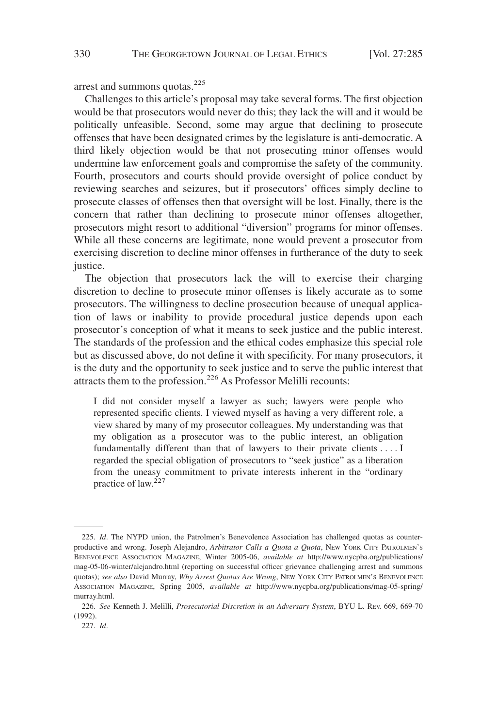arrest and summons quotas.<sup>225</sup>

Challenges to this article's proposal may take several forms. The first objection would be that prosecutors would never do this; they lack the will and it would be politically unfeasible. Second, some may argue that declining to prosecute offenses that have been designated crimes by the legislature is anti-democratic. A third likely objection would be that not prosecuting minor offenses would undermine law enforcement goals and compromise the safety of the community. Fourth, prosecutors and courts should provide oversight of police conduct by reviewing searches and seizures, but if prosecutors' offices simply decline to prosecute classes of offenses then that oversight will be lost. Finally, there is the concern that rather than declining to prosecute minor offenses altogether, prosecutors might resort to additional "diversion" programs for minor offenses. While all these concerns are legitimate, none would prevent a prosecutor from exercising discretion to decline minor offenses in furtherance of the duty to seek justice.

The objection that prosecutors lack the will to exercise their charging discretion to decline to prosecute minor offenses is likely accurate as to some prosecutors. The willingness to decline prosecution because of unequal application of laws or inability to provide procedural justice depends upon each prosecutor's conception of what it means to seek justice and the public interest. The standards of the profession and the ethical codes emphasize this special role but as discussed above, do not define it with specificity. For many prosecutors, it is the duty and the opportunity to seek justice and to serve the public interest that attracts them to the profession.226 As Professor Melilli recounts:

I did not consider myself a lawyer as such; lawyers were people who represented specific clients. I viewed myself as having a very different role, a view shared by many of my prosecutor colleagues. My understanding was that my obligation as a prosecutor was to the public interest, an obligation fundamentally different than that of lawyers to their private clients....I regarded the special obligation of prosecutors to "seek justice" as a liberation from the uneasy commitment to private interests inherent in the "ordinary practice of law. $^{227}$ 

<sup>225.</sup> *Id*. The NYPD union, the Patrolmen's Benevolence Association has challenged quotas as counterproductive and wrong. Joseph Alejandro, *Arbitrator Calls a Quota a Quota*, NEW YORK CITY PATROLMEN'S BENEVOLENCE ASSOCIATION MAGAZINE, Winter 2005-06, *available at* http://www.nycpba.org/publications/ mag-05-06-winter/alejandro.html (reporting on successful officer grievance challenging arrest and summons quotas); *see also* David Murray, *Why Arrest Quotas Are Wrong*, NEW YORK CITY PATROLMEN'S BENEVOLENCE ASSOCIATION MAGAZINE, Spring 2005, *available at* http://www.nycpba.org/publications/mag-05-spring/ murray.html.

<sup>226.</sup> *See* Kenneth J. Melilli, *Prosecutorial Discretion in an Adversary System*, BYU L. REV. 669, 669-70 (1992).

<sup>227.</sup> *Id*.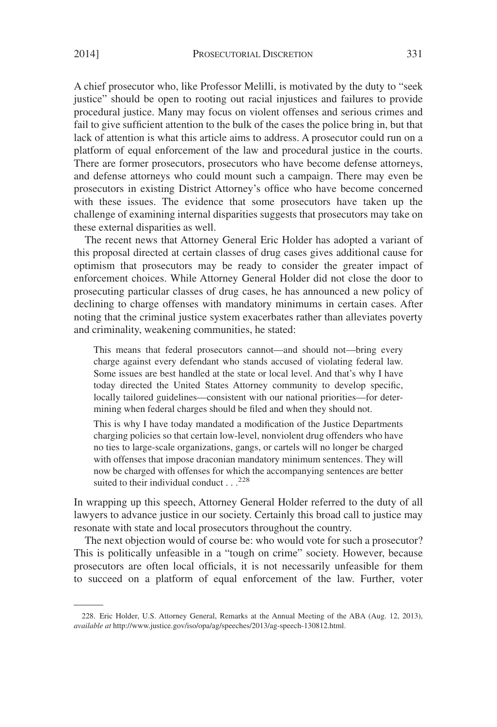A chief prosecutor who, like Professor Melilli, is motivated by the duty to "seek justice" should be open to rooting out racial injustices and failures to provide procedural justice. Many may focus on violent offenses and serious crimes and fail to give sufficient attention to the bulk of the cases the police bring in, but that lack of attention is what this article aims to address. A prosecutor could run on a platform of equal enforcement of the law and procedural justice in the courts. There are former prosecutors, prosecutors who have become defense attorneys, and defense attorneys who could mount such a campaign. There may even be prosecutors in existing District Attorney's office who have become concerned with these issues. The evidence that some prosecutors have taken up the challenge of examining internal disparities suggests that prosecutors may take on these external disparities as well.

The recent news that Attorney General Eric Holder has adopted a variant of this proposal directed at certain classes of drug cases gives additional cause for optimism that prosecutors may be ready to consider the greater impact of enforcement choices. While Attorney General Holder did not close the door to prosecuting particular classes of drug cases, he has announced a new policy of declining to charge offenses with mandatory minimums in certain cases. After noting that the criminal justice system exacerbates rather than alleviates poverty and criminality, weakening communities, he stated:

This means that federal prosecutors cannot—and should not—bring every charge against every defendant who stands accused of violating federal law. Some issues are best handled at the state or local level. And that's why I have today directed the United States Attorney community to develop specific, locally tailored guidelines—consistent with our national priorities—for determining when federal charges should be filed and when they should not.

This is why I have today mandated a modification of the Justice Departments charging policies so that certain low-level, nonviolent drug offenders who have no ties to large-scale organizations, gangs, or cartels will no longer be charged with offenses that impose draconian mandatory minimum sentences. They will now be charged with offenses for which the accompanying sentences are better suited to their individual conduct...<sup>228</sup>

In wrapping up this speech, Attorney General Holder referred to the duty of all lawyers to advance justice in our society. Certainly this broad call to justice may resonate with state and local prosecutors throughout the country.

The next objection would of course be: who would vote for such a prosecutor? This is politically unfeasible in a "tough on crime" society. However, because prosecutors are often local officials, it is not necessarily unfeasible for them to succeed on a platform of equal enforcement of the law. Further, voter

<sup>228.</sup> Eric Holder, U.S. Attorney General, Remarks at the Annual Meeting of the ABA (Aug. 12, 2013), *available at* http://www.justice.gov/iso/opa/ag/speeches/2013/ag-speech-130812.html.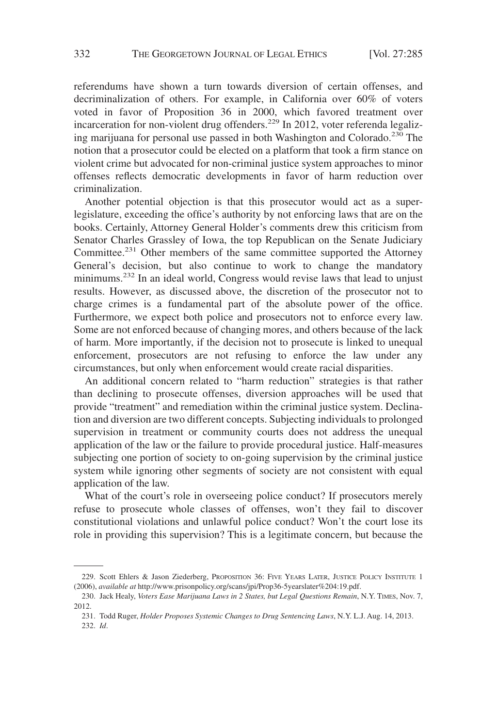referendums have shown a turn towards diversion of certain offenses, and decriminalization of others. For example, in California over 60% of voters voted in favor of Proposition 36 in 2000, which favored treatment over incarceration for non-violent drug offenders.<sup>229</sup> In 2012, voter referenda legalizing marijuana for personal use passed in both Washington and Colorado.<sup>230</sup> The notion that a prosecutor could be elected on a platform that took a firm stance on violent crime but advocated for non-criminal justice system approaches to minor offenses reflects democratic developments in favor of harm reduction over criminalization.

Another potential objection is that this prosecutor would act as a superlegislature, exceeding the office's authority by not enforcing laws that are on the books. Certainly, Attorney General Holder's comments drew this criticism from Senator Charles Grassley of Iowa, the top Republican on the Senate Judiciary Committee.<sup>231</sup> Other members of the same committee supported the Attorney General's decision, but also continue to work to change the mandatory minimums.<sup>232</sup> In an ideal world, Congress would revise laws that lead to unjust results. However, as discussed above, the discretion of the prosecutor not to charge crimes is a fundamental part of the absolute power of the office. Furthermore, we expect both police and prosecutors not to enforce every law. Some are not enforced because of changing mores, and others because of the lack of harm. More importantly, if the decision not to prosecute is linked to unequal enforcement, prosecutors are not refusing to enforce the law under any circumstances, but only when enforcement would create racial disparities.

An additional concern related to "harm reduction" strategies is that rather than declining to prosecute offenses, diversion approaches will be used that provide "treatment" and remediation within the criminal justice system. Declination and diversion are two different concepts. Subjecting individuals to prolonged supervision in treatment or community courts does not address the unequal application of the law or the failure to provide procedural justice. Half-measures subjecting one portion of society to on-going supervision by the criminal justice system while ignoring other segments of society are not consistent with equal application of the law.

What of the court's role in overseeing police conduct? If prosecutors merely refuse to prosecute whole classes of offenses, won't they fail to discover constitutional violations and unlawful police conduct? Won't the court lose its role in providing this supervision? This is a legitimate concern, but because the

<sup>229.</sup> Scott Ehlers & Jason Ziederberg, PROPOSITION 36: FIVE YEARS LATER, JUSTICE POLICY INSTITUTE 1 (2006), *available at* http://www.prisonpolicy.org/scans/jpi/Prop36-5yearslater%204:19.pdf.

<sup>230.</sup> Jack Healy, *Voters Ease Marijuana Laws in 2 States, but Legal Questions Remain*, N.Y. TIMES, Nov. 7, 2012.

<sup>231.</sup> Todd Ruger, *Holder Proposes Systemic Changes to Drug Sentencing Laws*, N.Y. L.J. Aug. 14, 2013. 232. *Id*.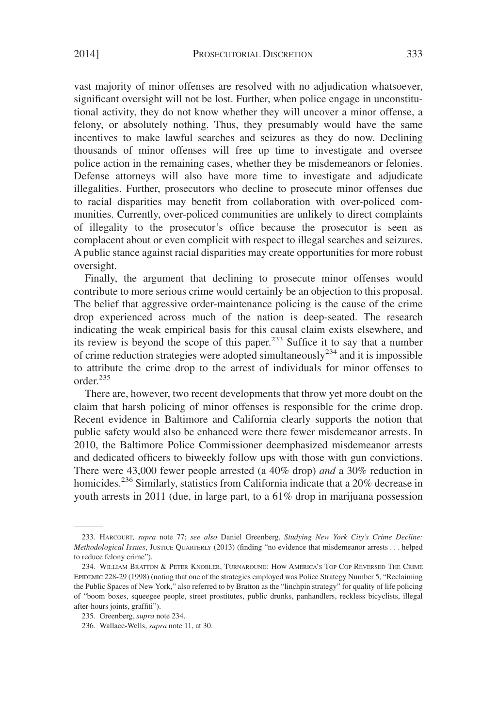vast majority of minor offenses are resolved with no adjudication whatsoever, significant oversight will not be lost. Further, when police engage in unconstitutional activity, they do not know whether they will uncover a minor offense, a felony, or absolutely nothing. Thus, they presumably would have the same incentives to make lawful searches and seizures as they do now. Declining thousands of minor offenses will free up time to investigate and oversee police action in the remaining cases, whether they be misdemeanors or felonies. Defense attorneys will also have more time to investigate and adjudicate illegalities. Further, prosecutors who decline to prosecute minor offenses due to racial disparities may benefit from collaboration with over-policed communities. Currently, over-policed communities are unlikely to direct complaints of illegality to the prosecutor's office because the prosecutor is seen as complacent about or even complicit with respect to illegal searches and seizures. A public stance against racial disparities may create opportunities for more robust oversight.

Finally, the argument that declining to prosecute minor offenses would contribute to more serious crime would certainly be an objection to this proposal. The belief that aggressive order-maintenance policing is the cause of the crime drop experienced across much of the nation is deep-seated. The research indicating the weak empirical basis for this causal claim exists elsewhere, and its review is beyond the scope of this paper.<sup>233</sup> Suffice it to say that a number of crime reduction strategies were adopted simultaneously<sup>234</sup> and it is impossible to attribute the crime drop to the arrest of individuals for minor offenses to order<sup>235</sup>

There are, however, two recent developments that throw yet more doubt on the claim that harsh policing of minor offenses is responsible for the crime drop. Recent evidence in Baltimore and California clearly supports the notion that public safety would also be enhanced were there fewer misdemeanor arrests. In 2010, the Baltimore Police Commissioner deemphasized misdemeanor arrests and dedicated officers to biweekly follow ups with those with gun convictions. There were 43,000 fewer people arrested (a 40% drop) *and* a 30% reduction in homicides.<sup>236</sup> Similarly, statistics from California indicate that a 20% decrease in youth arrests in 2011 (due, in large part, to a 61% drop in marijuana possession

<sup>233.</sup> HARCOURT, *supra* note 77; *see also* Daniel Greenberg, *Studying New York City's Crime Decline: Methodological Issues*, JUSTICE QUARTERLY (2013) (finding "no evidence that misdemeanor arrests... helped to reduce felony crime").

<sup>234.</sup> WILLIAM BRATTON & PETER KNOBLER, TURNAROUND: HOW AMERICA'S TOP COP REVERSED THE CRIME EPIDEMIC 228-29 (1998) (noting that one of the strategies employed was Police Strategy Number 5, "Reclaiming the Public Spaces of New York," also referred to by Bratton as the "linchpin strategy" for quality of life policing of "boom boxes, squeegee people, street prostitutes, public drunks, panhandlers, reckless bicyclists, illegal after-hours joints, graffiti").

<sup>235.</sup> Greenberg, *supra* note 234.

<sup>236.</sup> Wallace-Wells, *supra* note 11, at 30.